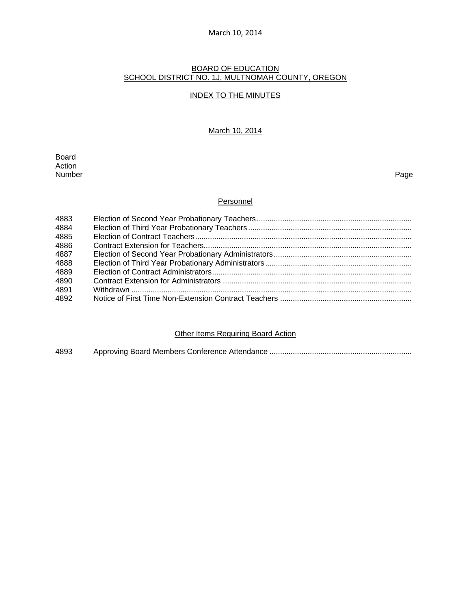#### BOARD OF EDUCATION SCHOOL DISTRICT NO. 1J, MULTNOMAH COUNTY, OREGON

#### INDEX TO THE MINUTES

#### March 10, 2014

Board Action<br>Number Number Page

### **Personnel**

| 4883 |  |
|------|--|
| 4884 |  |
| 4885 |  |
| 4886 |  |
| 4887 |  |
| 4888 |  |
| 4889 |  |
| 4890 |  |
| 4891 |  |
| 4892 |  |

# **Other Items Requiring Board Action**

4893 Approving Board Members Conference Attendance ...................................................................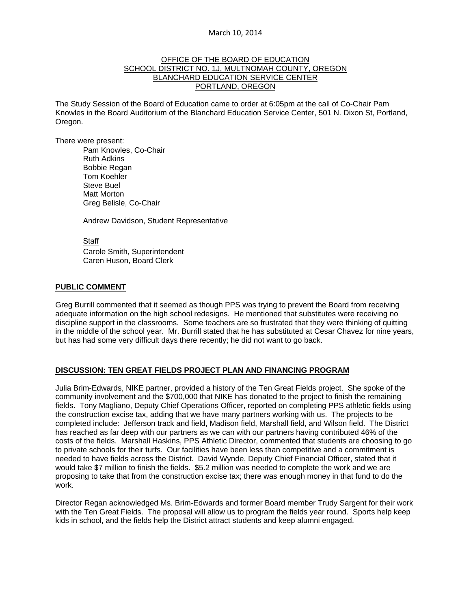### OFFICE OF THE BOARD OF EDUCATION SCHOOL DISTRICT NO. 1J, MULTNOMAH COUNTY, OREGON BLANCHARD EDUCATION SERVICE CENTER PORTLAND, OREGON

The Study Session of the Board of Education came to order at 6:05pm at the call of Co-Chair Pam Knowles in the Board Auditorium of the Blanchard Education Service Center, 501 N. Dixon St, Portland, Oregon.

There were present: Pam Knowles, Co-Chair Ruth Adkins Bobbie Regan Tom Koehler Steve Buel Matt Morton Greg Belisle, Co-Chair

Andrew Davidson, Student Representative

Staff Carole Smith, Superintendent Caren Huson, Board Clerk

#### **PUBLIC COMMENT**

Greg Burrill commented that it seemed as though PPS was trying to prevent the Board from receiving adequate information on the high school redesigns. He mentioned that substitutes were receiving no discipline support in the classrooms. Some teachers are so frustrated that they were thinking of quitting in the middle of the school year. Mr. Burrill stated that he has substituted at Cesar Chavez for nine years, but has had some very difficult days there recently; he did not want to go back.

# **DISCUSSION: TEN GREAT FIELDS PROJECT PLAN AND FINANCING PROGRAM**

Julia Brim-Edwards, NIKE partner, provided a history of the Ten Great Fields project. She spoke of the community involvement and the \$700,000 that NIKE has donated to the project to finish the remaining fields. Tony Magliano, Deputy Chief Operations Officer, reported on completing PPS athletic fields using the construction excise tax, adding that we have many partners working with us. The projects to be completed include: Jefferson track and field, Madison field, Marshall field, and Wilson field. The District has reached as far deep with our partners as we can with our partners having contributed 46% of the costs of the fields. Marshall Haskins, PPS Athletic Director, commented that students are choosing to go to private schools for their turfs. Our facilities have been less than competitive and a commitment is needed to have fields across the District. David Wynde, Deputy Chief Financial Officer, stated that it would take \$7 million to finish the fields. \$5.2 million was needed to complete the work and we are proposing to take that from the construction excise tax; there was enough money in that fund to do the work.

Director Regan acknowledged Ms. Brim-Edwards and former Board member Trudy Sargent for their work with the Ten Great Fields. The proposal will allow us to program the fields year round. Sports help keep kids in school, and the fields help the District attract students and keep alumni engaged.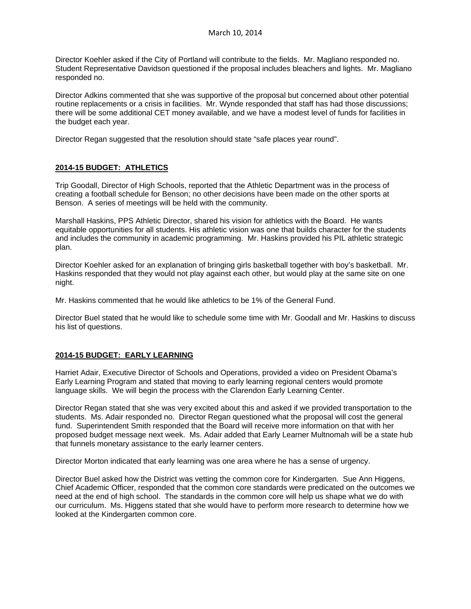Director Koehler asked if the City of Portland will contribute to the fields. Mr. Magliano responded no. Student Representative Davidson questioned if the proposal includes bleachers and lights. Mr. Magliano responded no.

Director Adkins commented that she was supportive of the proposal but concerned about other potential routine replacements or a crisis in facilities. Mr. Wynde responded that staff has had those discussions; there will be some additional CET money available, and we have a modest level of funds for facilities in the budget each year.

Director Regan suggested that the resolution should state "safe places year round".

# **2014-15 BUDGET: ATHLETICS**

Trip Goodall, Director of High Schools, reported that the Athletic Department was in the process of creating a football schedule for Benson; no other decisions have been made on the other sports at Benson. A series of meetings will be held with the community.

Marshall Haskins, PPS Athletic Director, shared his vision for athletics with the Board. He wants equitable opportunities for all students. His athletic vision was one that builds character for the students and includes the community in academic programming. Mr. Haskins provided his PIL athletic strategic plan.

Director Koehler asked for an explanation of bringing girls basketball together with boy's basketball. Mr. Haskins responded that they would not play against each other, but would play at the same site on one night.

Mr. Haskins commented that he would like athletics to be 1% of the General Fund.

Director Buel stated that he would like to schedule some time with Mr. Goodall and Mr. Haskins to discuss his list of questions.

#### **2014-15 BUDGET: EARLY LEARNING**

Harriet Adair, Executive Director of Schools and Operations, provided a video on President Obama's Early Learning Program and stated that moving to early learning regional centers would promote language skills. We will begin the process with the Clarendon Early Learning Center.

Director Regan stated that she was very excited about this and asked if we provided transportation to the students. Ms. Adair responded no. Director Regan questioned what the proposal will cost the general fund. Superintendent Smith responded that the Board will receive more information on that with her proposed budget message next week. Ms. Adair added that Early Learner Multnomah will be a state hub that funnels monetary assistance to the early learner centers.

Director Morton indicated that early learning was one area where he has a sense of urgency.

Director Buel asked how the District was vetting the common core for Kindergarten. Sue Ann Higgens, Chief Academic Officer, responded that the common core standards were predicated on the outcomes we need at the end of high school. The standards in the common core will help us shape what we do with our curriculum. Ms. Higgens stated that she would have to perform more research to determine how we looked at the Kindergarten common core.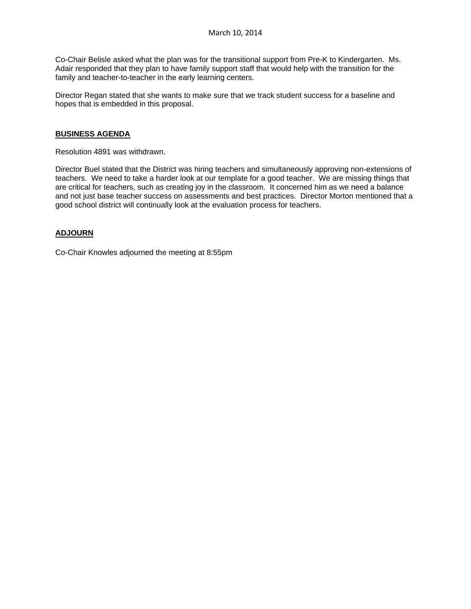Co-Chair Belisle asked what the plan was for the transitional support from Pre-K to Kindergarten. Ms. Adair responded that they plan to have family support staff that would help with the transition for the family and teacher-to-teacher in the early learning centers.

Director Regan stated that she wants to make sure that we track student success for a baseline and hopes that is embedded in this proposal.

## **BUSINESS AGENDA**

Resolution 4891 was withdrawn.

Director Buel stated that the District was hiring teachers and simultaneously approving non-extensions of teachers. We need to take a harder look at our template for a good teacher. We are missing things that are critical for teachers, such as creating joy in the classroom. It concerned him as we need a balance and not just base teacher success on assessments and best practices. Director Morton mentioned that a good school district will continually look at the evaluation process for teachers.

# **ADJOURN**

Co-Chair Knowles adjourned the meeting at 8:55pm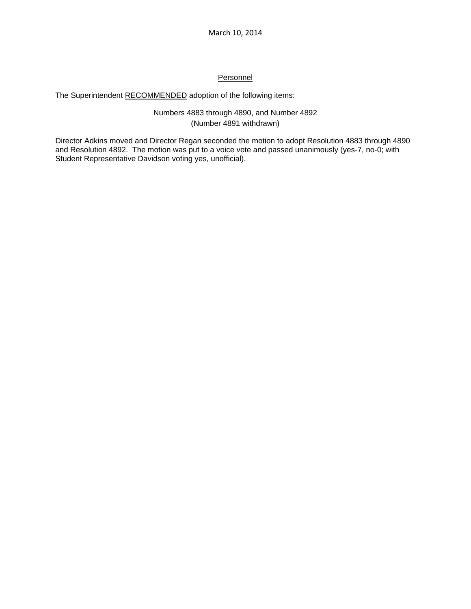# **Personnel**

# The Superintendent RECOMMENDED adoption of the following items:

# Numbers 4883 through 4890, and Number 4892 (Number 4891 withdrawn)

Director Adkins moved and Director Regan seconded the motion to adopt Resolution 4883 through 4890 and Resolution 4892. The motion was put to a voice vote and passed unanimously (yes-7, no-0; with Student Representative Davidson voting yes, unofficial).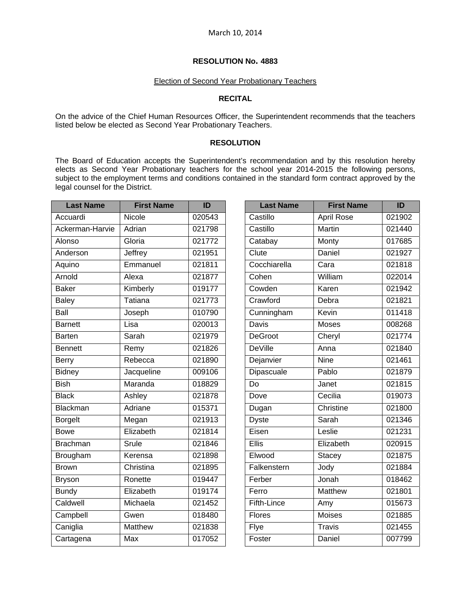# Election of Second Year Probationary Teachers

# **RECITAL**

On the advice of the Chief Human Resources Officer, the Superintendent recommends that the teachers listed below be elected as Second Year Probationary Teachers.

### **RESOLUTION**

The Board of Education accepts the Superintendent's recommendation and by this resolution hereby elects as Second Year Probationary teachers for the school year 2014-2015 the following persons, subject to the employment terms and conditions contained in the standard form contract approved by the legal counsel for the District.

| <b>Last Name</b> | <b>First Name</b> | ID     |
|------------------|-------------------|--------|
| Accuardi         | Nicole            | 020543 |
| Ackerman-Harvie  | Adrian            | 021798 |
| Alonso           | Gloria            | 021772 |
| Anderson         | Jeffrey           | 021951 |
| Aquino           | Emmanuel          | 021811 |
| Arnold           | Alexa             | 021877 |
| <b>Baker</b>     | Kimberly          | 019177 |
| <b>Baley</b>     | <b>Tatiana</b>    | 021773 |
| Ball             | Joseph            | 010790 |
| <b>Barnett</b>   | Lisa              | 020013 |
| <b>Barten</b>    | Sarah             | 021979 |
| <b>Bennett</b>   | Remy              | 021826 |
| <b>Berry</b>     | Rebecca           | 021890 |
| Bidney           | Jacqueline        | 009106 |
| <b>Bish</b>      | Maranda           | 018829 |
| <b>Black</b>     | Ashley            | 021878 |
| Blackman         | Adriane           | 015371 |
| <b>Borgelt</b>   | Megan             | 021913 |
| <b>Bowe</b>      | Elizabeth         | 021814 |
| <b>Brachman</b>  | Srule             | 021846 |
| Brougham         | Kerensa           | 021898 |
| <b>Brown</b>     | Christina         | 021895 |
| <b>Bryson</b>    | Ronette           | 019447 |
| <b>Bundy</b>     | Elizabeth         | 019174 |
| Caldwell         | Michaela          | 021452 |
| Campbell         | Gwen              | 018480 |
| Caniglia         | <b>Matthew</b>    | 021838 |
| Cartagena        | Max               | 017052 |

| <b>Last Name</b>   | <b>First Name</b> | ID     |
|--------------------|-------------------|--------|
| Castillo           | <b>April Rose</b> | 021902 |
| Castillo           | Martin            | 021440 |
| Catabay            | Monty             | 017685 |
| Clute              | Daniel            | 021927 |
| Cocchiarella       | Cara              | 021818 |
| Cohen              | William           | 022014 |
| Cowden             | Karen             | 021942 |
| Crawford           | Debra             | 021821 |
| Cunningham         | Kevin             | 011418 |
| <b>Davis</b>       | <b>Moses</b>      | 008268 |
| <b>DeGroot</b>     | Cheryl            | 021774 |
| <b>DeVille</b>     | Anna              | 021840 |
| Dejanvier          | <b>Nine</b>       | 021461 |
| Dipascuale         | Pablo             | 021879 |
| $\overline{Do}$    | Janet             | 021815 |
| Dove               | Cecilia           | 019073 |
| Dugan              | Christine         | 021800 |
| <b>Dyste</b>       | Sarah             | 021346 |
| Eisen              | Leslie            | 021231 |
| Ellis              | Elizabeth         | 020915 |
| Elwood             | <b>Stacey</b>     | 021875 |
| Falkenstern        | Jody              | 021884 |
| Ferber             | Jonah             | 018462 |
| Ferro              | <b>Matthew</b>    | 021801 |
| <b>Fifth-Lince</b> | Amy               | 015673 |
| Flores             | Moises            | 021885 |
| Flye               | Travis            | 021455 |
| Foster             | Daniel            | 007799 |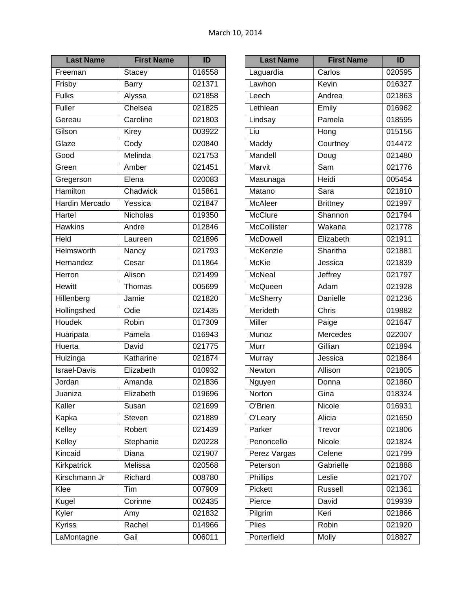| <b>Last Name</b>      | <b>First Name</b> | ID                  |
|-----------------------|-------------------|---------------------|
| Freeman               | <b>Stacey</b>     | 016558              |
| Frisby                | Barry             | 021371              |
| <b>Fulks</b>          | Alyssa            | 021858              |
| Fuller                | Chelsea           | 021825              |
| Gereau                | Caroline          | 021803              |
| Gilson                | Kirey             | 003922              |
| Glaze                 | Cody              | 020840              |
| Good                  | Melinda           | 021753              |
| Green                 | Amber             | 021451              |
| Gregerson             | Elena             | 020083              |
| Hamilton              | Chadwick          | 015861              |
| <b>Hardin Mercado</b> | Yessica           | $\overline{021847}$ |
| Hartel                | Nicholas          | 019350              |
| <b>Hawkins</b>        | Andre             | 012846              |
| Held                  | Laureen           | 021896              |
| Helmsworth            | Nancy             | 021793              |
| Hernandez             | Cesar             | 011864              |
| Herron                | Alison            | 021499              |
| <b>Hewitt</b>         | Thomas            | 005699              |
| Hillenberg            | Jamie             | 021820              |
| Hollingshed           | Odie              | 021435              |
| Houdek                | Robin             | 017309              |
| Huaripata             | Pamela            | 016943              |
| Huerta                | David             | 021775              |
| Huizinga              | Katharine         | 021874              |
| <b>Israel-Davis</b>   | Elizabeth         | 010932              |
| Jordan                | Amanda            | 021836              |
| Juaniza               | Elizabeth         | 019696              |
| Kaller                | Susan             | 021699              |
| Kapka                 | Steven            | 021889              |
| Kelley                | Robert            | 021439              |
| Kelley                | Stephanie         | 020228              |
| Kincaid               | Diana             | 021907              |
| Kirkpatrick           | Melissa           | 020568              |
| Kirschmann Jr         | Richard           | 008780              |
| Klee                  | Tim               | 007909              |
| Kugel                 | Corinne           | 002435              |
| Kyler                 | Amy               | 021832              |
| Kyriss                | Rachel            | 014966              |
| LaMontagne            | Gail              | 006011              |

| <b>Last Name</b>   | <b>First Name</b>  | ID     |
|--------------------|--------------------|--------|
| Laguardia          | Carlos             | 020595 |
| Lawhon             | Kevin              | 016327 |
| Leech              | Andrea             | 021863 |
| Lethlean           | Emily              | 016962 |
| Lindsay            | Pamela             | 018595 |
| Liu                | $\overline{H}$ ong | 015156 |
| Maddy              | Courtney           | 014472 |
| Mandell            | Doug               | 021480 |
| Marvit             | Sam                | 021776 |
| Masunaga           | Heidi              | 005454 |
| Matano             | Sara               | 021810 |
| McAleer            | <b>Brittney</b>    | 021997 |
| <b>McClure</b>     | Shannon            | 021794 |
| <b>McCollister</b> | Wakana             | 021778 |
| <b>McDowell</b>    | Elizabeth          | 021911 |
| <b>McKenzie</b>    | Sharitha           | 021881 |
| McKie              | Jessica            | 021839 |
| <b>McNeal</b>      | Jeffrey            | 021797 |
| McQueen            | Adam               | 021928 |
| <b>McSherry</b>    | Danielle           | 021236 |
| Merideth           | Chris              | 019882 |
| Miller             | Paige              | 021647 |
| Munoz              | Mercedes           | 022007 |
| Murr               | Gillian            | 021894 |
| Murray             | Jessica            | 021864 |
| Newton             | Allison            | 021805 |
| Nguyen             | Donna              | 021860 |
| Norton             | Gina               | 018324 |
| O'Brien            | Nicole             | 016931 |
| O'Leary            | Alicia             | 021650 |
| Parker             | Trevor             | 021806 |
| Penoncello         | Nicole             | 021824 |
| Perez Vargas       | Celene             | 021799 |
| Peterson           | Gabrielle          | 021888 |
| Phillips           | Leslie             | 021707 |
| Pickett            | Russell            | 021361 |
| Pierce             | David              | 019939 |
| Pilgrim            | Keri               | 021866 |
| Plies              | Robin              | 021920 |
| Porterfield        | Molly              | 018827 |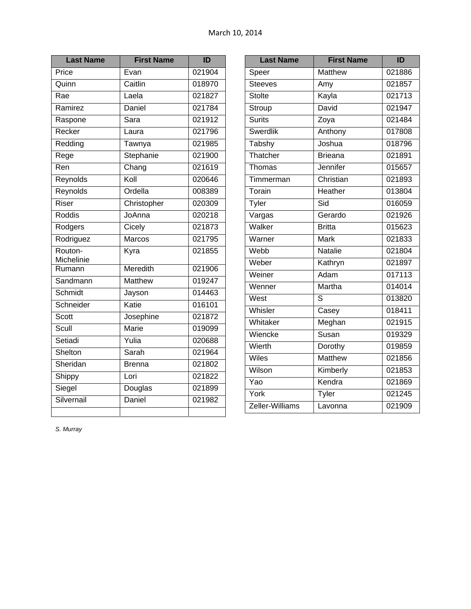| <b>Last Name</b>      | <b>First Name</b> | ID     |
|-----------------------|-------------------|--------|
| Price                 | Evan              | 021904 |
| Quinn                 | Caitlin           | 018970 |
| Rae                   | Laela             | 021827 |
| Ramirez               | Daniel            | 021784 |
| Raspone               | Sara              | 021912 |
| Recker                | Laura             | 021796 |
| Redding               | Tawnya            | 021985 |
| Rege                  | Stephanie         | 021900 |
| $\overline{Ren}$      | Chang             | 021619 |
| Reynolds              | Koll              | 020646 |
| Reynolds              | Ordella           | 008389 |
| Riser                 | Christopher       | 020309 |
| Roddis                | JoAnna            | 020218 |
| Rodgers               | Cicely            | 021873 |
| Rodriguez             | Marcos            | 021795 |
| Routon-<br>Michelinie | Kyra              | 021855 |
| Rumann                | Meredith          | 021906 |
| Sandmann              | Matthew           | 019247 |
| Schmidt               | Jayson            | 014463 |
| Schneider             | Katie             | 016101 |
| Scott                 | Josephine         | 021872 |
| Scull                 | Marie             | 019099 |
| Setiadi               | Yulia             | 020688 |
| Shelton               | Sarah             | 021964 |
| Sheridan              | <b>Brenna</b>     | 021802 |
| Shippy                | Lori              | 021822 |
| Siegel                | Douglas           | 021899 |
| Silvernail            | Daniel            | 021982 |
|                       |                   |        |

| <b>Last Name</b> | <b>First Name</b> | ID     |
|------------------|-------------------|--------|
| Speer            | <b>Matthew</b>    | 021886 |
| <b>Steeves</b>   | Amy               | 021857 |
| <b>Stolte</b>    | Kayla             | 021713 |
| Stroup           | David             | 021947 |
| Surits           | Zoya              | 021484 |
| Swerdlik         | Anthony           | 017808 |
| Tabshy           | Joshua            | 018796 |
| Thatcher         | <b>Brieana</b>    | 021891 |
| Thomas           | Jennifer          | 015657 |
| Timmerman        | Christian         | 021893 |
| Torain           | Heather           | 013804 |
| Tyler            | Sid               | 016059 |
| Vargas           | Gerardo           | 021926 |
| Walker           | <b>Britta</b>     | 015623 |
| Warner           | <b>Mark</b>       | 021833 |
| Webb             | Natalie           | 021804 |
| Weber            | Kathryn           | 021897 |
| Weiner           | Adam              | 017113 |
| Wenner           | Martha            | 014014 |
| West             | S                 | 013820 |
| Whisler          | Casey             | 018411 |
| Whitaker         | Meghan            | 021915 |
| Wiencke          | Susan             | 019329 |
| Wierth           | Dorothy           | 019859 |
| Wiles            | <b>Matthew</b>    | 021856 |
| Wilson           | Kimberly          | 021853 |
| Yao              | Kendra            | 021869 |
| York             | Tyler             | 021245 |
| Zeller-Williams  | Lavonna           | 021909 |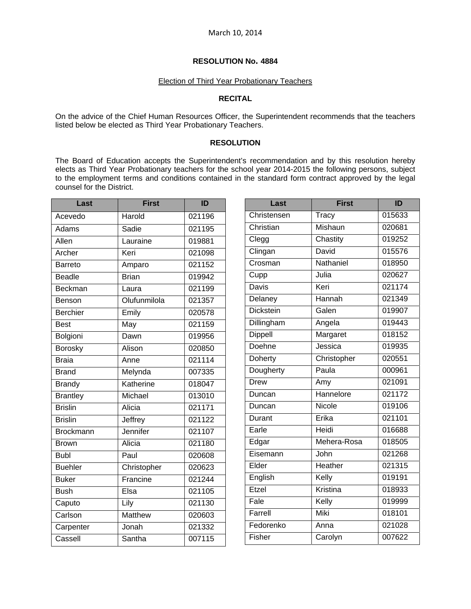# Election of Third Year Probationary Teachers

# **RECITAL**

On the advice of the Chief Human Resources Officer, the Superintendent recommends that the teachers listed below be elected as Third Year Probationary Teachers.

### **RESOLUTION**

The Board of Education accepts the Superintendent's recommendation and by this resolution hereby elects as Third Year Probationary teachers for the school year 2014-2015 the following persons, subject to the employment terms and conditions contained in the standard form contract approved by the legal counsel for the District.

| Last            | <b>First</b>   | ID     |
|-----------------|----------------|--------|
| Acevedo         | Harold         | 021196 |
| Adams           | Sadie          | 021195 |
| Allen           | Lauraine       | 019881 |
| Archer          | Keri           | 021098 |
| <b>Barreto</b>  | Amparo         | 021152 |
| Beadle          | <b>Brian</b>   | 019942 |
| Beckman         | Laura          | 021199 |
| Benson          | Olufunmilola   | 021357 |
| Berchier        | Emily          | 020578 |
| <b>Best</b>     | May            | 021159 |
| Bolgioni        | Dawn           | 019956 |
| Borosky         | Alison         | 020850 |
| <b>Braia</b>    | Anne           | 021114 |
| <b>Brand</b>    | Melynda        | 007335 |
| <b>Brandy</b>   | Katherine      | 018047 |
| <b>Brantley</b> | Michael        | 013010 |
| <b>Brislin</b>  | Alicia         | 021171 |
| <b>Brislin</b>  | Jeffrey        | 021122 |
| Brockmann       | Jennifer       | 021107 |
| <b>Brown</b>    | Alicia         | 021180 |
| <b>Bubl</b>     | Paul           | 020608 |
| <b>Buehler</b>  | Christopher    | 020623 |
| <b>Buker</b>    | Francine       | 021244 |
| <b>Bush</b>     | Elsa           | 021105 |
| Caputo          | Lily           | 021130 |
| Carlson         | <b>Matthew</b> | 020603 |
| Carpenter       | Jonah          | 021332 |
| Cassell         | Santha         | 007115 |

| Last             | <b>First</b> | ID     |
|------------------|--------------|--------|
| Christensen      | Tracy        | 015633 |
| Christian        | Mishaun      | 020681 |
| Clegg            | Chastity     | 019252 |
| Clingan          | David        | 015576 |
| Crosman          | Nathaniel    | 018950 |
| Cupp             | Julia        | 020627 |
| <b>Davis</b>     | Keri         | 021174 |
| Delaney          | Hannah       | 021349 |
| <b>Dickstein</b> | Galen        | 019907 |
| Dillingham       | Angela       | 019443 |
| <b>Dippell</b>   | Margaret     | 018152 |
| Doehne           | Jessica      | 019935 |
| Doherty          | Christopher  | 020551 |
| Dougherty        | Paula        | 000961 |
| <b>Drew</b>      | Amy          | 021091 |
| Duncan           | Hannelore    | 021172 |
| Duncan           | Nicole       | 019106 |
| Durant           | Erika        | 021101 |
| Earle            | Heidi        | 016688 |
| Edgar            | Mehera-Rosa  | 018505 |
| Eisemann         | John         | 021268 |
| Elder            | Heather      | 021315 |
| English          | Kelly        | 019191 |
| Etzel            | Kristina     | 018933 |
| Fale             | Kelly        | 019999 |
| Farrell          | Miki         | 018101 |
| Fedorenko        | Anna         | 021028 |
| Fisher           | Carolyn      | 007622 |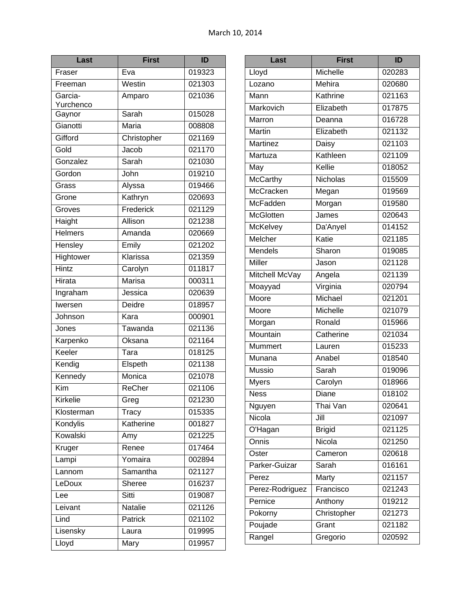| Last           | <b>First</b>                | ID     |
|----------------|-----------------------------|--------|
| Fraser         | Eva                         | 019323 |
| Freeman        | Westin                      | 021303 |
| Garcia-        | Amparo                      | 021036 |
| Yurchenco      |                             |        |
| Gaynor         | Sarah                       | 015028 |
| Gianotti       | Maria                       | 008808 |
| Gifford        | Christopher                 | 021169 |
| Gold           | Jacob                       | 021170 |
| Gonzalez       | Sarah                       | 021030 |
| Gordon         | John                        | 019210 |
| Grass          | Alyssa                      | 019466 |
| Grone          | Kathryn                     | 020693 |
| Groves         | Frederick                   | 021129 |
| Haight         | Allison                     | 021238 |
| <b>Helmers</b> | Amanda                      | 020669 |
| Hensley        | Emily                       | 021202 |
| Hightower      | Klarissa                    | 021359 |
| <b>Hintz</b>   | Carolyn                     | 011817 |
| Hirata         | <b>Marisa</b>               | 000311 |
| Ingraham       | Jessica                     | 020639 |
| Iwersen        | Deidre                      | 018957 |
| Johnson        | Kara                        | 000901 |
| Jones          | Tawanda                     | 021136 |
| Karpenko       | Oksana                      | 021164 |
| Keeler         | $\overline{\mathsf{T}}$ ara | 018125 |
| Kendig         | Elspeth                     | 021138 |
| Kennedy        | Monica                      | 021078 |
| Kim            | ReCher                      | 021106 |
| Kirkelie       | Greg                        | 021230 |
| Klosterman     | Tracy                       | 015335 |
| Kondylis       | Katherine                   | 001827 |
| Kowalski       | Amy                         | 021225 |
| Kruger         | Renee                       | 017464 |
| Lampi          | Yomaira                     | 002894 |
| Lannom         | Samantha                    | 021127 |
| LeDoux         | Sheree                      | 016237 |
| Lee            | Sitti                       | 019087 |
| Leivant        | Natalie                     | 021126 |
| Lind           | Patrick                     | 021102 |
| Lisensky       | Laura                       | 019995 |
| Lloyd          | Mary                        | 019957 |
|                |                             |        |

| Last             | <b>First</b>  | ID                  |
|------------------|---------------|---------------------|
| Lloyd            | Michelle      | 020283              |
| Lozano           | Mehira        | 020680              |
| Mann             | Kathrine      | 021163              |
| Markovich        | Elizabeth     | 017875              |
| Marron           | Deanna        | 016728              |
| <b>Martin</b>    | Elizabeth     | 021132              |
| Martinez         | Daisy         | 021103              |
| Martuza          | Kathleen      | 021109              |
| May              | Kellie        | 018052              |
| <b>McCarthy</b>  | Nicholas      | 015509              |
| McCracken        | Megan         | 019569              |
| <b>McFadden</b>  | Morgan        | 019580              |
| <b>McGlotten</b> | James         | 020643              |
| McKelvey         | Da'Anyel      | 014152              |
| Melcher          | Katie         | 021185              |
| Mendels          | Sharon        | 019085              |
| Miller           | Jason         | 021128              |
| Mitchell McVay   | Angela        | 021139              |
| Moayyad          | Virginia      | $\overline{02079}4$ |
| Moore            | Michael       | 021201              |
| Moore            | Michelle      | 021079              |
| Morgan           | Ronald        | 015966              |
| Mountain         | Catherine     | 021034              |
| Mummert          | Lauren        | 015233              |
| Munana           | Anabel        | 018540              |
| Mussio           | Sarah         | 019096              |
| <b>Myers</b>     | Carolyn       | 018966              |
| <b>Ness</b>      | Diane         | 018102              |
| Nguyen           | Thai Van      | 020641              |
| Nicola           | Jill          | 021097              |
| O'Hagan          | <b>Brigid</b> | 021125              |
| Onnis            | Nicola        | 021250              |
| Oster            | Cameron       | 020618              |
| Parker-Guizar    | Sarah         | 016161              |
| Perez            | Marty         | 021157              |
| Perez-Rodriguez  | Francisco     | 021243              |
| Pernice          | Anthony       | 019212              |
| Pokorny          | Christopher   | 021273              |
| Poujade          | Grant         | 021182              |
| Rangel           | Gregorio      | 020592              |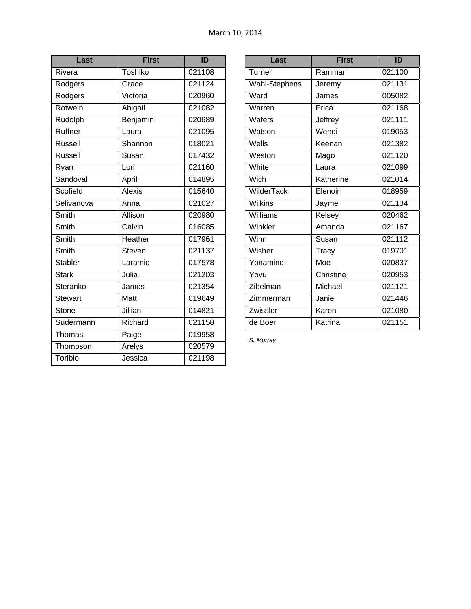| Last           | <b>First</b>                   | ID     |
|----------------|--------------------------------|--------|
| Rivera         | Toshiko                        | 021108 |
| Rodgers        | Grace                          | 021124 |
| Rodgers        | Victoria                       | 020960 |
| Rotwein        | Abigail                        | 021082 |
| Rudolph        | Benjamin                       | 020689 |
| Ruffner        | $\overline{\mathsf{L}^2}$ aura | 021095 |
| <b>Russell</b> | Shannon                        | 018021 |
| <b>Russell</b> | Susan                          | 017432 |
| Ryan           | Lori                           | 021160 |
| Sandoval       | April                          | 014895 |
| Scofield       | Alexis                         | 015640 |
| Selivanova     | Anna                           | 021027 |
| Smith          | Allison                        | 020980 |
| Smith          | Calvin                         | 016085 |
| Smith          | Heather                        | 017961 |
| Smith          | <b>Steven</b>                  | 021137 |
| Stabler        | Laramie                        | 017578 |
| <b>Stark</b>   | Julia                          | 021203 |
| Steranko       | James                          | 021354 |
| <b>Stewart</b> | Matt                           | 019649 |
| Stone          | Jillian                        | 014821 |
| Sudermann      | Richard                        | 021158 |
| Thomas         | Paige                          | 019958 |
| Thompson       | Arelys                         | 020579 |
| Toribio        | Jessica                        | 021198 |

| Last          | <b>First</b> | ID     |
|---------------|--------------|--------|
| Turner        | Ramman       | 021100 |
| Wahl-Stephens | Jeremy       | 021131 |
| Ward          | James        | 005082 |
| Warren        | Erica        | 021168 |
| Waters        | Jeffrey      | 021111 |
| Watson        | Wendi        | 019053 |
| Wells         | Keenan       | 021382 |
| Weston        | Mago         | 021120 |
| White         | Laura        | 021099 |
| Wich          | Katherine    | 021014 |
| WilderTack    | Elenoir      | 018959 |
| Wilkins       | Jayme        | 021134 |
| Williams      | Kelsey       | 020462 |
| Winkler       | Amanda       | 021167 |
| Winn          | Susan        | 021112 |
| Wisher        | Tracy        | 019701 |
| Yonamine      | Moe          | 020837 |
| Yovu          | Christine    | 020953 |
| Zibelman      | Michael      | 021121 |
| Zimmerman     | Janie        | 021446 |
| Zwissler      | Karen        | 021080 |
| de Boer       | Katrina      | 021151 |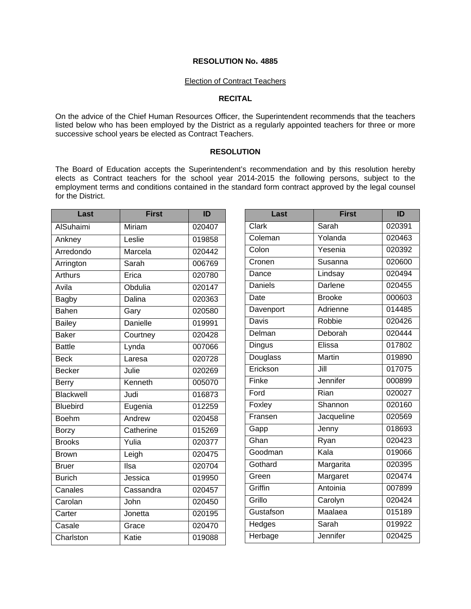#### Election of Contract Teachers

## **RECITAL**

On the advice of the Chief Human Resources Officer, the Superintendent recommends that the teachers listed below who has been employed by the District as a regularly appointed teachers for three or more successive school years be elected as Contract Teachers.

#### **RESOLUTION**

The Board of Education accepts the Superintendent's recommendation and by this resolution hereby elects as Contract teachers for the school year 2014-2015 the following persons, subject to the employment terms and conditions contained in the standard form contract approved by the legal counsel for the District.

| Last            | <b>First</b>    | ID                   | Last           | <b>First</b>  | ID     |
|-----------------|-----------------|----------------------|----------------|---------------|--------|
| AlSuhaimi       | Miriam          | 020407               | Clark          | Sarah         | 020391 |
| Ankney          | Leslie          | 019858               | Coleman        | Yolanda       | 020463 |
| Arredondo       | Marcela         | 020442               | Colon          | Yesenia       | 020392 |
| Arrington       | Sarah           | 006769               | Cronen         | Susanna       | 020600 |
| <b>Arthurs</b>  | Erica           | 020780               | Dance          | Lindsay       | 020494 |
| Avila           | Obdulia         | 020147               | <b>Daniels</b> | Darlene       | 020455 |
| Bagby           | <b>Dalina</b>   | 020363               | Date           | <b>Brooke</b> | 000603 |
| <b>Bahen</b>    | Gary            | 020580               | Davenport      | Adrienne      | 014485 |
| <b>Bailey</b>   | <b>Danielle</b> | 019991               | Davis          | Robbie        | 020426 |
| <b>Baker</b>    | Courtney        | 020428               | Delman         | Deborah       | 020444 |
| <b>Battle</b>   | Lynda           | 007066               | Dingus         | Elissa        | 017802 |
| <b>Beck</b>     | Laresa          | 020728               | Douglass       | <b>Martin</b> | 019890 |
| <b>Becker</b>   | Julie           | 020269               | Erickson       | Jill          | 017075 |
| <b>Berry</b>    | Kenneth         | 005070               | Finke          | Jennifer      | 000899 |
| Blackwell       | Judi            | 016873               | Ford           | Rian          | 020027 |
| <b>Bluebird</b> | Eugenia         | 012259               | Foxley         | Shannon       | 020160 |
| <b>Boehm</b>    | Andrew          | 020458               | Fransen        | Jacqueline    | 020569 |
| <b>Borzy</b>    | Catherine       | 015269               | Gapp           | Jenny         | 018693 |
| <b>Brooks</b>   | Yulia           | 020377               | Ghan           | Ryan          | 020423 |
| <b>Brown</b>    | Leigh           | 020475               | Goodman        | Kala          | 019066 |
| <b>Bruer</b>    | Ilsa            | 020704               | Gothard        | Margarita     | 020395 |
| <b>Burich</b>   | Jessica         | 019950               | Green          | Margaret      | 020474 |
| Canales         | Cassandra       | $\overline{020}$ 457 | Griffin        | Antoinia      | 007899 |
| Carolan         | John            | 020450               | Grillo         | Carolyn       | 020424 |
| Carter          | Jonetta         | 020195               | Gustafson      | Maalaea       | 015189 |
| Casale          | Grace           | 020470               | <b>Hedges</b>  | Sarah         | 019922 |
| Charlston       | Katie           | 019088               | Herbage        | Jennifer      | 020425 |
|                 |                 |                      |                |               |        |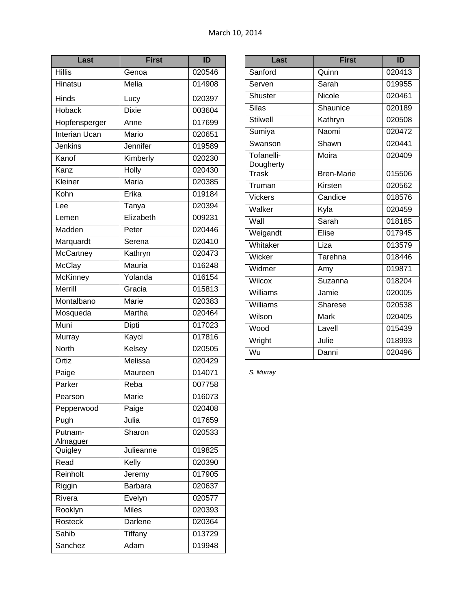| <b>First</b> | ID                                                                                              |
|--------------|-------------------------------------------------------------------------------------------------|
| Genoa        | 020546                                                                                          |
| Melia        | 014908                                                                                          |
| Lucy         | 020397                                                                                          |
| <b>Dixie</b> | 003604                                                                                          |
| Anne         | 017699                                                                                          |
| Mario        | 020651                                                                                          |
| Jennifer     | 019589                                                                                          |
| Kimberly     | 020230                                                                                          |
| <b>Holly</b> | 020430                                                                                          |
| <b>Maria</b> | 020385                                                                                          |
| Erika        | 019184                                                                                          |
| Tanya        | 020394                                                                                          |
| Elizabeth    | 009231                                                                                          |
| Peter        | 020446                                                                                          |
| Serena       | 020410                                                                                          |
| Kathryn      | 020473                                                                                          |
| Mauria       | 016248                                                                                          |
| Yolanda      | 016154                                                                                          |
| Gracia       | 015813                                                                                          |
| Marie        | 020383                                                                                          |
| Martha       | 020464                                                                                          |
| Dipti        | 017023                                                                                          |
| Kayci        | 017816                                                                                          |
| Kelsey       | 020505                                                                                          |
| Melissa      | 020429                                                                                          |
| Maureen      | 014071                                                                                          |
| Reba         | 007758                                                                                          |
| Marie        | 016073                                                                                          |
| Paige        | 020408                                                                                          |
| Julia        | 017659                                                                                          |
| Sharon       | 020533                                                                                          |
|              | 019825                                                                                          |
|              | 020390                                                                                          |
|              | 017905                                                                                          |
|              | 020637                                                                                          |
|              | 020577                                                                                          |
|              | 020393                                                                                          |
|              | 020364                                                                                          |
|              | 013729                                                                                          |
|              | 019948                                                                                          |
|              | Julieanne<br>Kelly<br>Jeremy<br>Barbara<br>Evelyn<br><b>Miles</b><br>Darlene<br>Tiffany<br>Adam |

| Last                    | First             | ID     |
|-------------------------|-------------------|--------|
| Sanford                 | Quinn             | 020413 |
| Serven                  | Sarah             | 019955 |
| <b>Shuster</b>          | Nicole            | 020461 |
| Silas                   | Shaunice          | 020189 |
| <b>Stilwell</b>         | Kathryn           | 020508 |
| Sumiya                  | Naomi             | 020472 |
| Swanson                 | Shawn             | 020441 |
| Tofanelli-<br>Dougherty | Moira             | 020409 |
| Trask                   | <b>Bren-Marie</b> | 015506 |
| Truman                  | Kirsten           | 020562 |
| <b>Vickers</b>          | Candice           | 018576 |
| Walker                  | Kyla              | 020459 |
| Wall                    | Sarah             | 018185 |
| Weigandt                | Elise             | 017945 |
| Whitaker                | Liza              | 013579 |
| Wicker                  | Tarehna           | 018446 |
| Widmer                  | Amy               | 019871 |
| <b>Wilcox</b>           | Suzanna           | 018204 |
| Williams                | Jamie             | 020005 |
| Williams                | <b>Sharese</b>    | 020538 |
| Wilson                  | <b>Mark</b>       | 020405 |
| Wood                    | Lavell            | 015439 |
| Wright                  | Julie             | 018993 |
| Wu                      | Danni             | 020496 |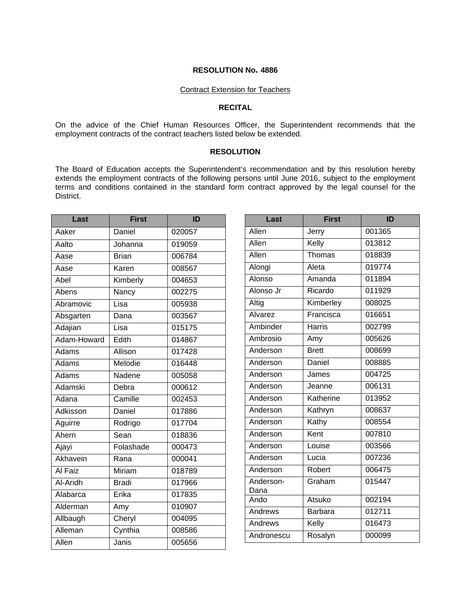#### Contract Extension for Teachers

## **RECITAL**

On the advice of the Chief Human Resources Officer, the Superintendent recommends that the employment contracts of the contract teachers listed below be extended.

#### **RESOLUTION**

The Board of Education accepts the Superintendent's recommendation and by this resolution hereby extends the employment contracts of the following persons until June 2016, subject to the employment terms and conditions contained in the standard form contract approved by the legal counsel for the District.

| Last        | <b>First</b> | ID     |
|-------------|--------------|--------|
| Aaker       | Daniel       | 020057 |
| Aalto       | Johanna      | 019059 |
| Aase        | <b>Brian</b> | 006784 |
| Aase        | Karen        | 008567 |
| Abel        | Kimberly     | 004653 |
| Abens       | Nancy        | 002275 |
| Abramovic   | Lisa         | 005938 |
| Absgarten   | Dana         | 003567 |
| Adajian     | Lisa         | 015175 |
| Adam-Howard | Edith        | 014867 |
| Adams       | Allison      | 017428 |
| Adams       | Melodie      | 016448 |
| Adams       | Nadene       | 005058 |
| Adamski     | Debra        | 000612 |
| Adana       | Camille      | 002453 |
| Adkisson    | Daniel       | 017886 |
| Aguirre     | Rodrigo      | 017704 |
| Ahern       | Sean         | 018836 |
| Ajayi       | Folashade    | 000473 |
| Akhavein    | Rana         | 000041 |
| Al Faiz     | Miriam       | 018789 |
| Al-Aridh    | <b>Bradi</b> | 017966 |
| Alabarca    | Erika        | 017835 |
| Alderman    | Amy          | 010907 |
| Allbaugh    | Cheryl       | 004095 |
| Alleman     | Cynthia      | 008586 |
| Allen       | Janis        | 005656 |
|             |              |        |

| Last              | <b>First</b>   | ID     |
|-------------------|----------------|--------|
| Allen             | Jerry          | 001365 |
| Allen             | Kelly          | 013812 |
| Allen             | Thomas         | 018839 |
| Alongi            | Aleta          | 019774 |
| Alonso            | Amanda         | 011894 |
| Alonso Jr         | Ricardo        | 011929 |
| Altig             | Kimberley      | 008025 |
| Alvarez           | Francisca      | 016651 |
| Ambinder          | <b>Harris</b>  | 002799 |
| Ambrosio          | Amy            | 005626 |
| Anderson          | <b>Brett</b>   | 008699 |
| Anderson          | Daniel         | 008885 |
| Anderson          | James          | 004725 |
| Anderson          | Jeanne         | 006131 |
| Anderson          | Katherine      | 013952 |
| Anderson          | Kathryn        | 008637 |
| Anderson          | Kathy          | 008554 |
| Anderson          | Kent           | 007810 |
| Anderson          | Louise         | 003566 |
| Anderson          | Lucia          | 007236 |
| Anderson          | Robert         | 006475 |
| Anderson-<br>Dana | Graham         | 015447 |
| Ando              | Atsuko         | 002194 |
| <b>Andrews</b>    | <b>Barbara</b> | 012711 |
| Andrews           | Kelly          | 016473 |
| Andronescu        | Rosalyn        | 000099 |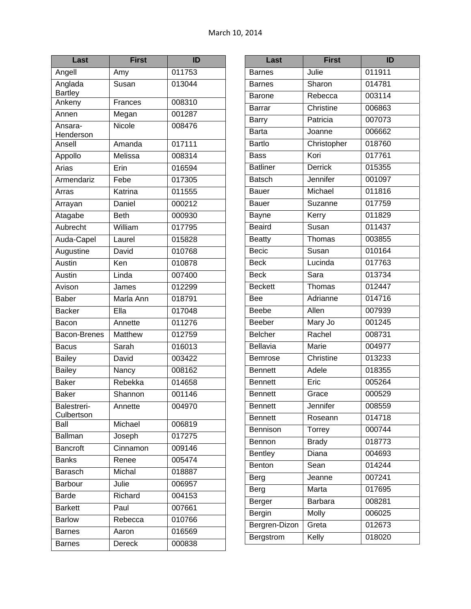| Last                      | <b>First</b>  | ID     |
|---------------------------|---------------|--------|
| Angell                    | Amy           | 011753 |
| Anglada<br><b>Bartley</b> | Susan         | 013044 |
| Ankeny                    | Frances       | 008310 |
| Annen                     | Megan         | 001287 |
| Ansara-<br>Henderson      | <b>Nicole</b> | 008476 |
| Ansell                    | Amanda        | 017111 |
| Appollo                   | Melissa       | 008314 |
| Arias                     | Erin          | 016594 |
| Armendariz                | Febe          | 017305 |
| Arras                     | Katrina       | 011555 |
| Arrayan                   | Daniel        | 000212 |
| Atagabe                   | <b>Beth</b>   | 000930 |
| Aubrecht                  | William       | 017795 |
| Auda-Capel                | Laurel        | 015828 |
| Augustine                 | David         | 010768 |
| Austin                    | Ken           | 010878 |
| Austin                    | Linda         | 007400 |
| Avison                    | James         | 012299 |
| <b>Baber</b>              | Marla Ann     | 018791 |
| <b>Backer</b>             | EIIa          | 017048 |
| Bacon                     | Annette       | 011276 |
| Bacon-Brenes              | Matthew       | 012759 |
| <b>Bacus</b>              | Sarah         | 016013 |
| <b>Bailey</b>             | David         | 003422 |
| <b>Bailey</b>             | Nancy         | 008162 |
| <b>Baker</b>              | Rebekka       | 014658 |
| <b>Baker</b>              | Shannon       | 001146 |
| Balestreri-<br>Culbertson | Annette       | 004970 |
| Ball                      | Michael       | 006819 |
| Ballman                   | Joseph        | 017275 |
| Bancroft                  | Cinnamon      | 009146 |
| <b>Banks</b>              | Renee         | 005474 |
| <b>Barasch</b>            | Michal        | 018887 |
| Barbour                   | Julie         | 006957 |
| <b>Barde</b>              | Richard       | 004153 |
| <b>Barkett</b>            | Paul          | 007661 |
| <b>Barlow</b>             | Rebecca       | 010766 |
| <b>Barnes</b>             | Aaron         | 016569 |
| <b>Barnes</b>             | Dereck        | 000838 |

| Last            | <b>First</b>                | ID     |
|-----------------|-----------------------------|--------|
| <b>Barnes</b>   | Julie                       | 011911 |
| <b>Barnes</b>   | Sharon                      | 014781 |
| <b>Barone</b>   | Rebecca                     | 003114 |
| <b>Barrar</b>   | Christine                   | 006863 |
| <b>Barry</b>    | Patricia                    | 007073 |
| Barta           | Joanne                      | 006662 |
| <b>Bartlo</b>   | Christopher                 | 018760 |
| <b>Bass</b>     | Kori                        | 017761 |
| <b>Batliner</b> | <b>Derrick</b>              | 015355 |
| <b>Batsch</b>   | Jennifer                    | 001097 |
| <b>Bauer</b>    | Michael                     | 011816 |
| Bauer           | Suzanne                     | 017759 |
| <b>Bayne</b>    | Kerry                       | 011829 |
| <b>Beaird</b>   | Susan                       | 011437 |
| <b>Beatty</b>   | Thomas                      | 003855 |
| Becic           | Susan                       | 010164 |
| <b>Beck</b>     | Lucinda                     | 017763 |
| <b>Beck</b>     | $\overline{\mathsf{S}}$ ara | 013734 |
| <b>Beckett</b>  | Thomas                      | 012447 |
| Bee             | Adrianne                    | 014716 |
| <b>Beebe</b>    | Allen                       | 007939 |
| <b>Beeber</b>   | Mary Jo                     | 001245 |
| <b>Belcher</b>  | Rachel                      | 008731 |
| <b>Bellavia</b> | Marie                       | 004977 |
| Bemrose         | Christine                   | 013233 |
| <b>Bennett</b>  | Adele                       | 018355 |
| <b>Bennett</b>  | Eric                        | 005264 |
| <b>Bennett</b>  | Grace                       | 000529 |
| <b>Bennett</b>  | Jennifer                    | 008559 |
| <b>Bennett</b>  | Roseann                     | 014718 |
| Bennison        | Torrey                      | 000744 |
| Bennon          | <b>Brady</b>                | 018773 |
| <b>Bentley</b>  | Diana                       | 004693 |
| Benton          | Sean                        | 014244 |
| Berg            | Jeanne                      | 007241 |
| Berg            | Marta                       | 017695 |
| Berger          | <b>Barbara</b>              | 008281 |
| Bergin          | Molly                       | 006025 |
| Bergren-Dizon   | Greta                       | 012673 |
| Bergstrom       | Kelly                       | 018020 |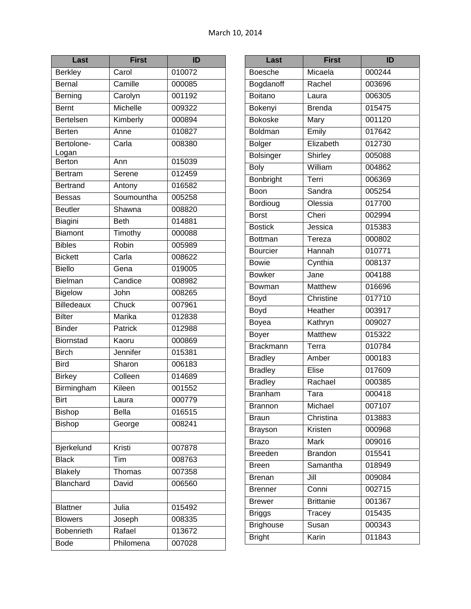| Last                | <b>First</b>              | ID     |
|---------------------|---------------------------|--------|
| <b>Berkley</b>      | Carol                     | 010072 |
| Bernal              | Camille                   | 000085 |
| Berning             | Carolyn                   | 001192 |
| <b>Bernt</b>        | Michelle                  | 009322 |
| Bertelsen           | Kimberly                  | 000894 |
| <b>Berten</b>       | Anne                      | 010827 |
| Bertolone-<br>Logan | Carla                     | 008380 |
| Berton              | Ann                       | 015039 |
| Bertram             | Serene                    | 012459 |
| <b>Bertrand</b>     | Antony                    | 016582 |
| <b>Bessas</b>       | Soumountha                | 005258 |
| <b>Beutler</b>      | Shawna                    | 008820 |
| Biagini             | <b>Beth</b>               | 014881 |
| <b>Biamont</b>      | Timothy                   | 000088 |
| <b>Bibles</b>       | Robin                     | 005989 |
| <b>Bickett</b>      | Carla                     | 008622 |
| <b>Biello</b>       | Gena                      | 019005 |
| Bielman             | Candice                   | 008982 |
| <b>Bigelow</b>      | John                      | 008265 |
| Billedeaux          | Chuck                     | 007961 |
| <b>Bilter</b>       | Marika                    | 012838 |
| <b>Binder</b>       | Patrick                   | 012988 |
| Biornstad           | Kaoru                     | 000869 |
| <b>Birch</b>        | Jennifer                  | 015381 |
| <b>Bird</b>         | Sharon                    | 006183 |
| <b>Birkey</b>       | Colleen                   | 014689 |
| Birmingham          | <b>Kileen</b>             | 001552 |
| Birt                | Laura                     | 000779 |
| Bishop              | <b>Bella</b>              | 016515 |
| <b>Bishop</b>       | George                    | 008241 |
|                     |                           |        |
| Bjerkelund          | Kristi                    | 007878 |
| <b>Black</b>        | $\overline{\mathsf{Tim}}$ | 008763 |
| <b>Blakely</b>      | Thomas                    | 007358 |
| Blanchard           | David                     | 006560 |
|                     |                           |        |
| <b>Blattner</b>     | Julia                     | 015492 |
| <b>Blowers</b>      | Joseph                    | 008335 |
| Bobenrieth          | Rafael                    | 013672 |
| <b>Bode</b>         | Philomena                 | 007028 |

| Last             | <b>First</b>     | ID     |
|------------------|------------------|--------|
| <b>Boesche</b>   | Micaela          | 000244 |
| Bogdanoff        | Rachel           | 003696 |
| <b>Boitano</b>   | Laura            | 006305 |
| Bokenyi          | <b>Brenda</b>    | 015475 |
| <b>Bokoske</b>   | Mary             | 001120 |
| <b>Boldman</b>   | Emily            | 017642 |
| <b>Bolger</b>    | Elizabeth        | 012730 |
| <b>Bolsinger</b> | Shirley          | 005088 |
| <b>Boly</b>      | William          | 004862 |
| Bonbright        | Terri            | 006369 |
| Boon             | Sandra           | 005254 |
| Bordioug         | Olessia          | 017700 |
| <b>Borst</b>     | Cheri            | 002994 |
| <b>Bostick</b>   | Jessica          | 015383 |
| <b>Bottman</b>   | Tereza           | 000802 |
| <b>Bourcier</b>  | Hannah           | 010771 |
| <b>Bowie</b>     | Cynthia          | 008137 |
| <b>Bowker</b>    | Jane             | 004188 |
| Bowman           | <b>Matthew</b>   | 016696 |
| Boyd             | Christine        | 017710 |
| Boyd             | Heather          | 003917 |
| Boyea            | Kathryn          | 009027 |
| Boyer            | Matthew          | 015322 |
| <b>Brackmann</b> | Terra            | 010784 |
| <b>Bradley</b>   | Amber            | 000183 |
| <b>Bradley</b>   | Elise            | 017609 |
| <b>Bradley</b>   | Rachael          | 000385 |
| <b>Branham</b>   | Tara             | 000418 |
| Brannon          | Michael          | 007107 |
| <b>Braun</b>     | Christina        | 013883 |
| <b>Brayson</b>   | Kristen          | 000968 |
| Brazo            | <b>Mark</b>      | 009016 |
| <b>Breeden</b>   | <b>Brandon</b>   | 015541 |
| Breen            | Samantha         | 018949 |
| Brenan           | Jill             | 009084 |
| <b>Brenner</b>   | Conni            | 002715 |
| <b>Brewer</b>    | <b>Brittanie</b> | 001367 |
| <b>Briggs</b>    | Tracey           | 015435 |
| <b>Brighouse</b> | Susan            | 000343 |
| <b>Bright</b>    | Karin            | 011843 |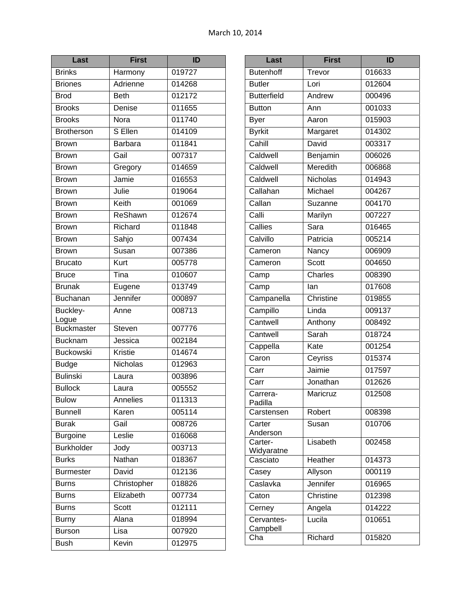| Last              | <b>First</b>   | ID     |
|-------------------|----------------|--------|
| <b>Brinks</b>     | Harmony        | 019727 |
| <b>Briones</b>    | Adrienne       | 014268 |
| <b>Brod</b>       | <b>Beth</b>    | 012172 |
| <b>Brooks</b>     | Denise         | 011655 |
| <b>Brooks</b>     | Nora           | 011740 |
| <b>Brotherson</b> | S Ellen        | 014109 |
| <b>Brown</b>      | <b>Barbara</b> | 011841 |
| <b>Brown</b>      | Gail           | 007317 |
| <b>Brown</b>      | Gregory        | 014659 |
| <b>Brown</b>      | Jamie          | 016553 |
| <b>Brown</b>      | Julie          | 019064 |
| <b>Brown</b>      | Keith          | 001069 |
| <b>Brown</b>      | ReShawn        | 012674 |
| <b>Brown</b>      | Richard        | 011848 |
| <b>Brown</b>      | Sahjo          | 007434 |
| <b>Brown</b>      | Susan          | 007386 |
| <b>Brucato</b>    | Kurt           | 005778 |
| <b>Bruce</b>      | Tina           | 010607 |
| <b>Brunak</b>     | Eugene         | 013749 |
| Buchanan          | Jennifer       | 000897 |
| Buckley-<br>Logue | Anne           | 008713 |
| <b>Buckmaster</b> | Steven         | 007776 |
| <b>Bucknam</b>    | Jessica        | 002184 |
| <b>Buckowski</b>  | Kristie        | 014674 |
| <b>Budge</b>      | Nicholas       | 012963 |
| <b>Bulinski</b>   | Laura          | 003896 |
| <b>Bullock</b>    | Laura          | 005552 |
| <b>Bulow</b>      | Annelies       | 011313 |
| <b>Bunnell</b>    | Karen          | 005114 |
| <b>Burak</b>      | Gail           | 008726 |
| <b>Burgoine</b>   | Leslie         | 016068 |
| <b>Burkholder</b> | Jody           | 003713 |
| <b>Burks</b>      | Nathan         | 018367 |
| <b>Burmester</b>  | David          | 012136 |
| <b>Burns</b>      | Christopher    | 018826 |
| <b>Burns</b>      | Elizabeth      | 007734 |
| <b>Burns</b>      | Scott          | 012111 |
| <b>Burny</b>      | Alana          | 018994 |
| <b>Burson</b>     | Lisa           | 007920 |
| <b>Bush</b>       | Kevin          | 012975 |

| Last                   | <b>First</b> | ID     |
|------------------------|--------------|--------|
| <b>Butenhoff</b>       | Trevor       | 016633 |
| <b>Butler</b>          | Lori         | 012604 |
| <b>Butterfield</b>     | Andrew       | 000496 |
| <b>Button</b>          | Ann          | 001033 |
| <b>Byer</b>            | Aaron        | 015903 |
| <b>Byrkit</b>          | Margaret     | 014302 |
| Cahill                 | David        | 003317 |
| Caldwell               | Benjamin     | 006026 |
| Caldwell               | Meredith     | 006868 |
| Caldwell               | Nicholas     | 014943 |
| Callahan               | Michael      | 004267 |
| Callan                 | Suzanne      | 004170 |
| Calli                  | Marilyn      | 007227 |
| Callies                | Sara         | 016465 |
| Calvillo               | Patricia     | 005214 |
| Cameron                | Nancy        | 006909 |
| Cameron                | <b>Scott</b> | 004650 |
| Camp                   | Charles      | 008390 |
| Camp                   | lan          | 017608 |
| Campanella             | Christine    | 019855 |
| Campillo               | Linda        | 009137 |
| Cantwell               | Anthony      | 008492 |
| Cantwell               | Sarah        | 018724 |
| Cappella               | Kate         | 001254 |
| Caron                  | Ceyriss      | 015374 |
| Carr                   | Jaimie       | 017597 |
| Carr                   | Jonathan     | 012626 |
| Carrera-<br>Padilla    | Maricruz     | 012508 |
| Carstensen             | Robert       | 008398 |
| Carter<br>Anderson     | Susan        | 010706 |
| Carter-                | Lisabeth     | 002458 |
| Widyaratne<br>Casciato | Heather      | 014373 |
| Casey                  | Allyson      | 000119 |
| Caslavka               | Jennifer     | 016965 |
| Caton                  | Christine    | 012398 |
| Cerney                 | Angela       | 014222 |
| Cervantes-             | Lucila       | 010651 |
| Campbell               |              |        |
| Cha                    | Richard      | 015820 |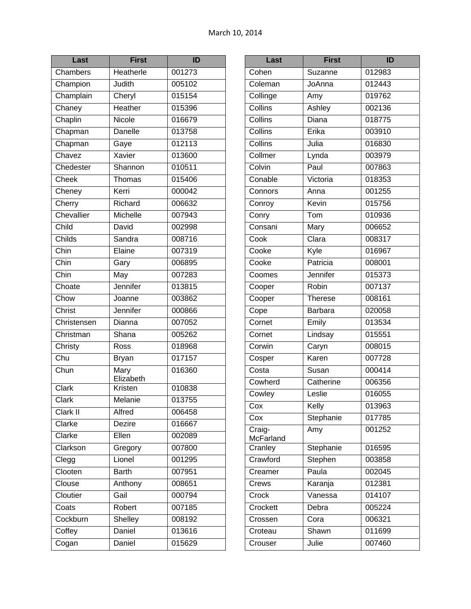| Last                  | <b>First</b>      | ID     |
|-----------------------|-------------------|--------|
| Chambers              | Heatherle         | 001273 |
| Champion              | Judith            | 005102 |
| Champlain             | Cheryl            | 015154 |
| Chaney                | Heather           | 015396 |
| Chaplin               | Nicole            | 016679 |
| Chapman               | Danelle           | 013758 |
| Chapman               | Gaye              | 012113 |
| Chavez                | <b>Xavier</b>     | 013600 |
| Chedester             | Shannon           | 010511 |
| Cheek                 | Thomas            | 015406 |
| Cheney                | Kerri             | 000042 |
| Cherry                | Richard           | 006632 |
| Chevallier            | Michelle          | 007943 |
| Child                 | David             | 002998 |
| Childs                | Sandra            | 008716 |
| Chin                  | Elaine            | 007319 |
| Chin                  | Gary              | 006895 |
| Chin                  | May               | 007283 |
| Choate                | Jennifer          | 013815 |
| Chow                  | Joanne            | 003862 |
| Christ                | Jennifer          | 000866 |
| Christensen           | Dianna            | 007052 |
| Christman             | Shana             | 005262 |
| Christy               | Ross              | 018968 |
| Chu                   | <b>Bryan</b>      | 017157 |
| Chun                  | Mary<br>Elizabeth | 016360 |
| Clark                 | Kristen           | 010838 |
| Clark                 | Melanie           | 013755 |
| $Clark$ <sup>II</sup> | Alfred            | 006458 |
| Clarke                | Dezire            | 016667 |
| Clarke                | Ellen             | 002089 |
| Clarkson              | Gregory           | 007800 |
| Clegg                 | Lionel            | 001295 |
| Clooten               | <b>Barth</b>      | 007951 |
| Clouse                | Anthony           | 008651 |
| Cloutier              | Gail              | 000794 |
| Coats                 | Robert            | 007185 |
| Cockburn              | Shelley           | 008192 |
| Coffey                | Daniel            | 013616 |
| Cogan                 | Daniel            | 015629 |

| Cohen<br>Suzanne<br>012983<br>012443<br>Coleman<br>JoAnna<br>Collinge<br>019762<br>Amy<br>Collins<br>Ashley<br>002136<br>Collins<br>Diana<br>018775<br>Collins<br>Erika<br>003910<br>Collins<br>Julia<br>016830<br>Collmer<br>Lynda<br>003979<br>Colvin<br>Paul<br>007863<br>Conable<br>Victoria<br>018353<br>001255<br>Connors<br>Anna<br>Conroy<br>Kevin<br>015756<br>010936<br>Conry<br>Tom<br>Consani<br>006652<br>Mary<br>$\overline{\text{Clara}}$<br>Cook<br>008317<br>Cooke<br>Kyle<br>016967<br>Cooke<br>Patricia<br>008001<br>Jennifer<br>015373<br>Coomes<br>Robin<br>007137<br>Cooper<br>008161<br>Cooper<br><b>Therese</b><br>Cope<br>020058<br>Barbara<br>Cornet<br>Emily<br>013534<br>Lindsay<br>015551<br>Cornet<br>Caryn<br>Corwin<br>008015<br>Karen<br>007728<br>Cosper<br>Costa<br>000414<br>Susan<br>Cowherd<br>Catherine<br>006356<br>Leslie<br>Cowley<br>016055<br>013963<br>Kelly<br>Cox<br>Stephanie<br>Cox<br>017785<br>001252<br>Amy | Last                        | <b>First</b> | ID |
|-----------------------------------------------------------------------------------------------------------------------------------------------------------------------------------------------------------------------------------------------------------------------------------------------------------------------------------------------------------------------------------------------------------------------------------------------------------------------------------------------------------------------------------------------------------------------------------------------------------------------------------------------------------------------------------------------------------------------------------------------------------------------------------------------------------------------------------------------------------------------------------------------------------------------------------------------------------------|-----------------------------|--------------|----|
|                                                                                                                                                                                                                                                                                                                                                                                                                                                                                                                                                                                                                                                                                                                                                                                                                                                                                                                                                                 |                             |              |    |
|                                                                                                                                                                                                                                                                                                                                                                                                                                                                                                                                                                                                                                                                                                                                                                                                                                                                                                                                                                 |                             |              |    |
|                                                                                                                                                                                                                                                                                                                                                                                                                                                                                                                                                                                                                                                                                                                                                                                                                                                                                                                                                                 |                             |              |    |
|                                                                                                                                                                                                                                                                                                                                                                                                                                                                                                                                                                                                                                                                                                                                                                                                                                                                                                                                                                 |                             |              |    |
|                                                                                                                                                                                                                                                                                                                                                                                                                                                                                                                                                                                                                                                                                                                                                                                                                                                                                                                                                                 |                             |              |    |
|                                                                                                                                                                                                                                                                                                                                                                                                                                                                                                                                                                                                                                                                                                                                                                                                                                                                                                                                                                 |                             |              |    |
|                                                                                                                                                                                                                                                                                                                                                                                                                                                                                                                                                                                                                                                                                                                                                                                                                                                                                                                                                                 |                             |              |    |
|                                                                                                                                                                                                                                                                                                                                                                                                                                                                                                                                                                                                                                                                                                                                                                                                                                                                                                                                                                 |                             |              |    |
|                                                                                                                                                                                                                                                                                                                                                                                                                                                                                                                                                                                                                                                                                                                                                                                                                                                                                                                                                                 |                             |              |    |
|                                                                                                                                                                                                                                                                                                                                                                                                                                                                                                                                                                                                                                                                                                                                                                                                                                                                                                                                                                 |                             |              |    |
|                                                                                                                                                                                                                                                                                                                                                                                                                                                                                                                                                                                                                                                                                                                                                                                                                                                                                                                                                                 |                             |              |    |
|                                                                                                                                                                                                                                                                                                                                                                                                                                                                                                                                                                                                                                                                                                                                                                                                                                                                                                                                                                 |                             |              |    |
|                                                                                                                                                                                                                                                                                                                                                                                                                                                                                                                                                                                                                                                                                                                                                                                                                                                                                                                                                                 |                             |              |    |
|                                                                                                                                                                                                                                                                                                                                                                                                                                                                                                                                                                                                                                                                                                                                                                                                                                                                                                                                                                 |                             |              |    |
|                                                                                                                                                                                                                                                                                                                                                                                                                                                                                                                                                                                                                                                                                                                                                                                                                                                                                                                                                                 |                             |              |    |
|                                                                                                                                                                                                                                                                                                                                                                                                                                                                                                                                                                                                                                                                                                                                                                                                                                                                                                                                                                 |                             |              |    |
|                                                                                                                                                                                                                                                                                                                                                                                                                                                                                                                                                                                                                                                                                                                                                                                                                                                                                                                                                                 |                             |              |    |
|                                                                                                                                                                                                                                                                                                                                                                                                                                                                                                                                                                                                                                                                                                                                                                                                                                                                                                                                                                 |                             |              |    |
|                                                                                                                                                                                                                                                                                                                                                                                                                                                                                                                                                                                                                                                                                                                                                                                                                                                                                                                                                                 |                             |              |    |
|                                                                                                                                                                                                                                                                                                                                                                                                                                                                                                                                                                                                                                                                                                                                                                                                                                                                                                                                                                 |                             |              |    |
|                                                                                                                                                                                                                                                                                                                                                                                                                                                                                                                                                                                                                                                                                                                                                                                                                                                                                                                                                                 |                             |              |    |
|                                                                                                                                                                                                                                                                                                                                                                                                                                                                                                                                                                                                                                                                                                                                                                                                                                                                                                                                                                 |                             |              |    |
|                                                                                                                                                                                                                                                                                                                                                                                                                                                                                                                                                                                                                                                                                                                                                                                                                                                                                                                                                                 |                             |              |    |
|                                                                                                                                                                                                                                                                                                                                                                                                                                                                                                                                                                                                                                                                                                                                                                                                                                                                                                                                                                 |                             |              |    |
|                                                                                                                                                                                                                                                                                                                                                                                                                                                                                                                                                                                                                                                                                                                                                                                                                                                                                                                                                                 |                             |              |    |
|                                                                                                                                                                                                                                                                                                                                                                                                                                                                                                                                                                                                                                                                                                                                                                                                                                                                                                                                                                 |                             |              |    |
|                                                                                                                                                                                                                                                                                                                                                                                                                                                                                                                                                                                                                                                                                                                                                                                                                                                                                                                                                                 |                             |              |    |
|                                                                                                                                                                                                                                                                                                                                                                                                                                                                                                                                                                                                                                                                                                                                                                                                                                                                                                                                                                 |                             |              |    |
|                                                                                                                                                                                                                                                                                                                                                                                                                                                                                                                                                                                                                                                                                                                                                                                                                                                                                                                                                                 |                             |              |    |
|                                                                                                                                                                                                                                                                                                                                                                                                                                                                                                                                                                                                                                                                                                                                                                                                                                                                                                                                                                 |                             |              |    |
| McFarland                                                                                                                                                                                                                                                                                                                                                                                                                                                                                                                                                                                                                                                                                                                                                                                                                                                                                                                                                       | $\overline{\text{Craig}}$ - |              |    |
| Cranley<br>Stephanie<br>016595                                                                                                                                                                                                                                                                                                                                                                                                                                                                                                                                                                                                                                                                                                                                                                                                                                                                                                                                  |                             |              |    |
| Crawford<br>003858<br>Stephen                                                                                                                                                                                                                                                                                                                                                                                                                                                                                                                                                                                                                                                                                                                                                                                                                                                                                                                                   |                             |              |    |
| Paula<br>002045<br>Creamer                                                                                                                                                                                                                                                                                                                                                                                                                                                                                                                                                                                                                                                                                                                                                                                                                                                                                                                                      |                             |              |    |
| 012381<br>Karanja<br>Crews                                                                                                                                                                                                                                                                                                                                                                                                                                                                                                                                                                                                                                                                                                                                                                                                                                                                                                                                      |                             |              |    |
| 014107<br>Crock<br>Vanessa                                                                                                                                                                                                                                                                                                                                                                                                                                                                                                                                                                                                                                                                                                                                                                                                                                                                                                                                      |                             |              |    |
| Crockett<br>005224<br>Debra                                                                                                                                                                                                                                                                                                                                                                                                                                                                                                                                                                                                                                                                                                                                                                                                                                                                                                                                     |                             |              |    |
| 006321<br>Crossen<br>Cora                                                                                                                                                                                                                                                                                                                                                                                                                                                                                                                                                                                                                                                                                                                                                                                                                                                                                                                                       |                             |              |    |
| 011699<br>Croteau<br>Shawn                                                                                                                                                                                                                                                                                                                                                                                                                                                                                                                                                                                                                                                                                                                                                                                                                                                                                                                                      |                             |              |    |
| Julie<br>007460<br>Crouser                                                                                                                                                                                                                                                                                                                                                                                                                                                                                                                                                                                                                                                                                                                                                                                                                                                                                                                                      |                             |              |    |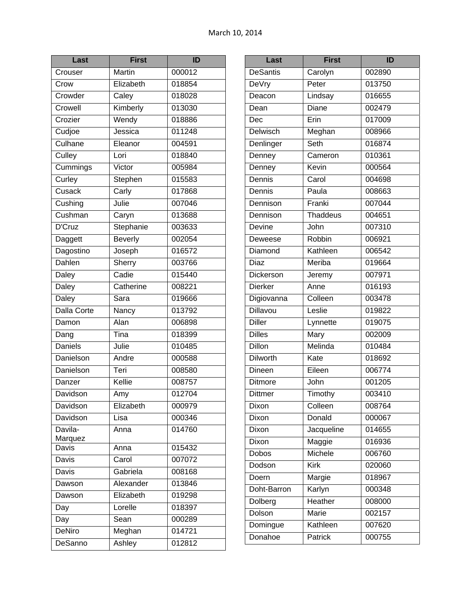| Last                         | <b>First</b>   | ID               |
|------------------------------|----------------|------------------|
| Crouser                      | <b>Martin</b>  | 000012           |
| Crow                         | Elizabeth      | 018854           |
| Crowder                      | Caley          | 018028           |
| Crowell                      | Kimberly       | 013030           |
| Crozier                      | Wendy          | 018886           |
| Cudjoe                       | Jessica        | 011248           |
| Culhane                      | Eleanor        | 004591           |
| Culley                       | Lori           | 018840           |
| Cummings                     | Victor         | 005984           |
| Curley                       | Stephen        | 015583           |
| $\overline{\mathrm{C}$ usack | Carly          | 017868           |
| Cushing                      | Julie          | 007046           |
| Cushman                      | Caryn          | 013688           |
| D'Cruz                       | Stephanie      | 003633           |
| Daggett                      | <b>Beverly</b> | 002054           |
| Dagostino                    | Joseph         | 016572           |
| Dahlen                       | Sherry         | 003766           |
| <b>Daley</b>                 | Cadie          | 015440           |
| <b>Daley</b>                 | Catherine      | 008221           |
| Daley                        | Sara           | 019666           |
| Dalla Corte                  | Nancy          | 013792           |
| Damon                        | Alan           | 006898           |
| Dang                         | Tina           | 018399           |
| <b>Daniels</b>               | Julie          | 010485           |
| Danielson                    | Andre          | 000588           |
| Danielson                    | Teri           | 008580           |
| Danzer                       | Kellie         | 008757           |
| Davidson                     | Amy            | 012704           |
| Davidson                     | Elizabeth      | 000979           |
| Davidson                     | Lisa           | 000346           |
| Davila-                      | Anna           | 014760           |
| Marquez                      |                |                  |
| Davis<br>Davis               | Anna<br>Carol  | 015432<br>007072 |
|                              |                |                  |
| Davis                        | Gabriela       | 008168           |
| Dawson                       | Alexander      | 013846           |
| Dawson                       | Elizabeth      | 019298           |
| Day                          | Lorelle        | 018397           |
| Day                          | Sean           | 000289           |
| <b>DeNiro</b>                | Meghan         | 014721           |
| DeSanno                      | Ashley         | 012812           |

| Last            | <b>First</b>    | ID                  |
|-----------------|-----------------|---------------------|
| <b>DeSantis</b> | Carolyn         | 002890              |
| DeVry           | Peter           | 013750              |
| Deacon          | Lindsay         | 016655              |
| Dean            | Diane           | 002479              |
| Dec             | Erin            | 017009              |
| <b>Delwisch</b> | Meghan          | 008966              |
| Denlinger       | Seth            | 016874              |
| Denney          | Cameron         | 010361              |
| Denney          | Kevin           | 000564              |
| Dennis          | Carol           | 004698              |
| Dennis          | Paula           | 008663              |
| Dennison        | Franki          | 007044              |
| Dennison        | <b>Thaddeus</b> | 004651              |
| Devine          | John            | 007310              |
| Deweese         | Robbin          | 006921              |
| Diamond         | Kathleen        | 006542              |
| Diaz            | Meriba          | 019664              |
| Dickerson       | Jeremy          | $\frac{1}{00797}$ 1 |
| <b>Dierker</b>  | Anne            | 016193              |
| Digiovanna      | Colleen         | 003478              |
| Dillavou        | Leslie          | 019822              |
| <b>Diller</b>   | Lynnette        | 019075              |
| <b>Dilles</b>   | Mary            | 002009              |
| <b>Dillon</b>   | Melinda         | 010484              |
| <b>Dilworth</b> | Kate            | 018692              |
| Dineen          | Eileen          | 006774              |
| <b>Ditmore</b>  | John            | 001205              |
| <b>Dittmer</b>  | Timothy         | 003410              |
| Dixon           | Colleen         | 008764              |
| Dixon           | Donald          | 000067              |
| Dixon           | Jacqueline      | 014655              |
| Dixon           | Maggie          | 016936              |
| <b>Dobos</b>    | Michele         | 006760              |
| Dodson          | <b>Kirk</b>     | 020060              |
| Doern           | Margie          | 018967              |
| Doht-Barron     | Karlyn          | 000348              |
| Dolberg         | Heather         | 008000              |
| Dolson          | Marie           | 002157              |
| Domingue        | Kathleen        | 007620              |
| Donahoe         | Patrick         | 000755              |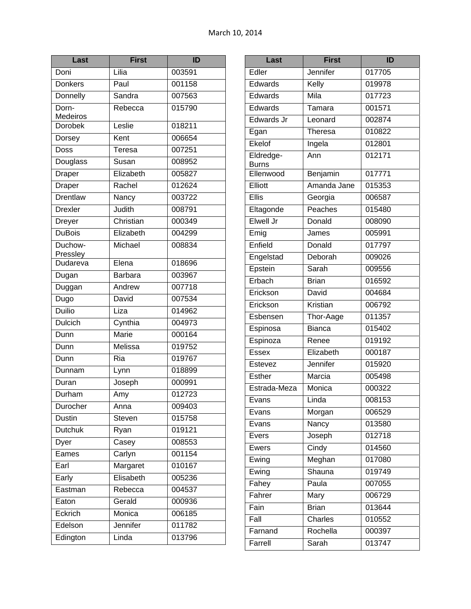| Last                       | <b>First</b> | ID                 |
|----------------------------|--------------|--------------------|
| Doni                       | Lilia        | 003591             |
| <b>Donkers</b>             | Paul         | 001158             |
| Donnelly                   | Sandra       | 007563             |
| Dorn-                      | Rebecca      | 015790             |
| Medeiros<br><b>Dorobek</b> | Leslie       | 018211             |
| Dorsey                     | Kent         | 006654             |
| Doss                       | Teresa       | 007251             |
| Douglass                   | Susan        | 008952             |
| Draper                     | Elizabeth    | 005827             |
| Draper                     | Rachel       | 012624             |
| Drentlaw                   | Nancy        | 003722             |
| <b>Drexler</b>             | Judith       | 008791             |
|                            | Christian    | 000349             |
| Dreyer<br><b>DuBois</b>    | Elizabeth    | 004299             |
| Duchow-                    | Michael      |                    |
| Pressley                   |              | 008834             |
| Dudareva                   | Elena        | 018696             |
| Dugan                      | Barbara      | 003967             |
| Duggan                     | Andrew       | $\frac{1}{007718}$ |
| Dugo                       | David        | 007534             |
| <b>Duilio</b>              | Liza         | 014962             |
| Dulcich                    | Cynthia      | 004973             |
| Dunn                       | <b>Marie</b> | 000164             |
| Dunn                       | Melissa      | 019752             |
| Dunn                       | Ria          | 019767             |
| Dunnam                     | Lynn         | 018899             |
| Duran                      | Joseph       | 000991             |
| Durham                     | Amy          | 012723             |
| Durocher                   | Anna         | 009403             |
| Dustin                     | Steven       | 015758             |
| <b>Dutchuk</b>             | Ryan         | 019121             |
| Dyer                       | Casey        | 008553             |
| Eames                      | Carlyn       | 001154             |
| Earl                       | Margaret     | 010167             |
| Early                      | Elisabeth    | 005236             |
| Eastman                    | Rebecca      | 004537             |
| Eaton                      | Gerald       | 000936             |
| Eckrich                    | Monica       | 006185             |
| Edelson                    | Jennifer     | 011782             |
| Edington                   | Linda        | 013796             |

| Last                      | <b>First</b>        | ID     |
|---------------------------|---------------------|--------|
| Edler                     | Jennifer            | 017705 |
| Edwards                   | Kelly               | 019978 |
| Edwards                   | Mila                | 017723 |
| Edwards                   | Tamara              | 001571 |
| Edwards Jr                | Leonard             | 002874 |
| Egan                      | <b>Theresa</b>      | 010822 |
| Ekelof                    | Ingela              | 012801 |
| Eldredge-<br><b>Burns</b> | Ann                 | 012171 |
| Ellenwood                 | Benjamin            | 017771 |
| Elliott                   | Amanda Jane         | 015353 |
| <b>Ellis</b>              | Georgia             | 006587 |
| Eltagonde                 | Peaches             | 015480 |
| Elwell Jr                 | Donald              | 008090 |
| Emig                      | James               | 005991 |
| Enfield                   | Donald              | 017797 |
| Engelstad                 | Deborah             | 009026 |
| Epstein                   | Sarah               | 009556 |
| Erbach                    | <b>Brian</b>        | 016592 |
| Erickson                  | David               | 004684 |
| Erickson                  | Kristian            | 006792 |
| Esbensen                  | Thor-Aage           | 011357 |
| Espinosa                  | <b>Bianca</b>       | 015402 |
| Espinoza                  | Renee               | 019192 |
| <b>Essex</b>              | Elizabeth           | 000187 |
| Estevez                   | Jennifer            | 015920 |
| <b>Esther</b>             | Marcia              | 005498 |
| Estrada-Meza              | Monica              | 000322 |
| Evans                     | Linda               | 008153 |
| Evans                     | Morgan              | 006529 |
| Evans                     | Nancy               | 013580 |
| Evers                     | Joseph              | 012718 |
| Ewers                     | $\overline{C}$ indy | 014560 |
| Ewing                     | Meghan              | 017080 |
| Ewing                     | Shauna              | 019749 |
| Fahey                     | Paula               | 007055 |
| Fahrer                    | Mary                | 006729 |
| Fain                      | <b>Brian</b>        | 013644 |
| Fall                      | Charles             | 010552 |
| Farnand                   | Rochella            | 000397 |
| Farrell                   | Sarah               | 013747 |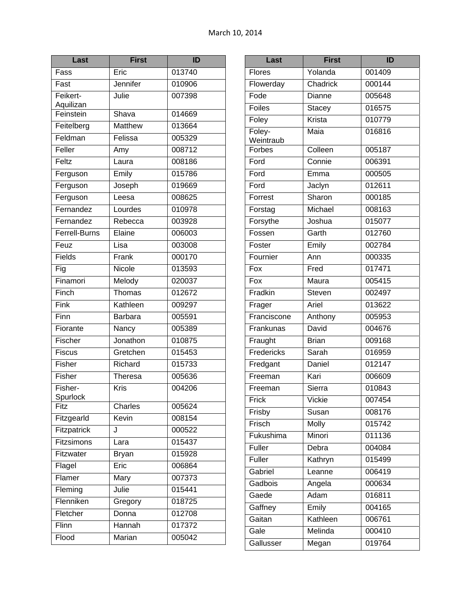| Last                  | <b>First</b>   | ID     |
|-----------------------|----------------|--------|
| Fass                  | Eric           | 013740 |
| Fast                  | Jennifer       | 010906 |
| Feikert-<br>Aquilizan | Julie          | 007398 |
| Feinstein             | Shava          | 014669 |
| Feitelberg            | Matthew        | 013664 |
| Feldman               | Felissa        | 005329 |
| Feller                | Amy            | 008712 |
| Feltz                 | Laura          | 008186 |
| Ferguson              | Emily          | 015786 |
| Ferguson              | Joseph         | 019669 |
| Ferguson              | Leesa          | 008625 |
| Fernandez             | Lourdes        | 010978 |
| Fernandez             | Rebecca        | 003928 |
| <b>Ferrell-Burns</b>  | Elaine         | 006003 |
| Feuz                  | Lisa           | 003008 |
| Fields                | Frank          | 000170 |
| Fig                   | Nicole         | 013593 |
| Finamori              | Melody         | 020037 |
| Finch                 | Thomas         | 012672 |
| Fink                  | Kathleen       | 009297 |
| Finn                  | <b>Barbara</b> | 005591 |
| Fiorante              | Nancy          | 005389 |
| Fischer               | Jonathon       | 010875 |
| <b>Fiscus</b>         | Gretchen       | 015453 |
| Fisher                | Richard        | 015733 |
| Fisher                | Theresa        | 005636 |
| Fisher-<br>Spurlock   | Kris           | 004206 |
| Fitz                  | Charles        | 005624 |
| Fitzgearld            | Kevin          | 008154 |
| Fitzpatrick           | J              | 000522 |
| Fitzsimons            | Lara           | 015437 |
| Fitzwater             | <b>Bryan</b>   | 015928 |
| Flagel                | Eric           | 006864 |
| Flamer                | Mary           | 007373 |
| Fleming               | Julie          | 015441 |
| Flenniken             | Gregory        | 018725 |
| Fletcher              | Donna          | 012708 |
| Flinn                 | Hannah         | 017372 |
| Flood                 | Marian         | 005042 |

| Last                            | <b>First</b> | ID     |
|---------------------------------|--------------|--------|
| Flores                          | Yolanda      | 001409 |
| Flowerday                       | Chadrick     | 000144 |
| Fode                            | Dianne       | 005648 |
| Foiles                          | Stacey       | 016575 |
| Foley                           | Krista       | 010779 |
| Foley-                          | Maia         | 016816 |
| Weintraub<br>Forbes             | Colleen      | 005187 |
| Ford                            | Connie       | 006391 |
| Ford                            | Emma         | 000505 |
| Ford                            | Jaclyn       | 012611 |
| Forrest                         | Sharon       | 000185 |
| Forstag                         | Michael      | 008163 |
| Forsythe                        | Joshua       | 015077 |
| Fossen                          | Garth        | 012760 |
| Foster                          | Emily        | 002784 |
| Fournier                        | Ann          | 000335 |
| $F$ <sub>O</sub> $\overline{X}$ | Fred         | 017471 |
| Fox                             | Maura        | 005415 |
| Fradkin                         | Steven       | 002497 |
| Frager                          | Ariel        | 013622 |
| Franciscone                     | Anthony      | 005953 |
| Frankunas                       | David        | 004676 |
| Fraught                         | <b>Brian</b> | 009168 |
| Fredericks                      | Sarah        | 016959 |
| Fredgant                        | Daniel       | 012147 |
| Freeman                         | Kari         | 006609 |
| Freeman                         | Sierra       | 010843 |
| Frick                           | Vickie       | 007454 |
| Frisby                          | Susan        | 008176 |
| Frisch                          | <b>Molly</b> | 015742 |
| Fukushima                       | Minori       | 011136 |
| Fuller                          | Debra        | 004084 |
| Fuller                          | Kathryn      | 015499 |
| Gabriel                         | Leanne       | 006419 |
| Gadbois                         | Angela       | 000634 |
| Gaede                           | Adam         | 016811 |
| Gaffney                         | Emily        | 004165 |
| Gaitan                          | Kathleen     | 006761 |
| Gale                            | Melinda      | 000410 |
| Gallusser                       | Megan        | 019764 |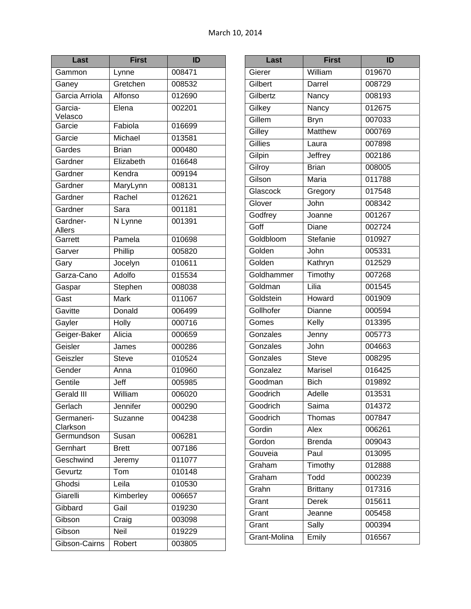| Last                      | <b>First</b> | ID     |
|---------------------------|--------------|--------|
| Gammon                    | Lynne        | 008471 |
| Ganey                     | Gretchen     | 008532 |
| Garcia Arriola            | Alfonso      | 012690 |
| Garcia-<br>Velasco        | Elena        | 002201 |
| Garcie                    | Fabiola      | 016699 |
| Garcie                    | Michael      | 013581 |
| Gardes                    | <b>Brian</b> | 000480 |
| Gardner                   | Elizabeth    | 016648 |
| Gardner                   | Kendra       | 009194 |
| Gardner                   | MaryLynn     | 008131 |
| Gardner                   | Rachel       | 012621 |
| Gardner                   | Sara         | 001181 |
| Gardner-<br><b>Allers</b> | N Lynne      | 001391 |
| Garrett                   | Pamela       | 010698 |
| Garver                    | Phillip      | 005820 |
| Gary                      | Jocelyn      | 010611 |
| Garza-Cano                | Adolfo       | 015534 |
| Gaspar                    | Stephen      | 008038 |
| Gast                      | Mark         | 011067 |
| Gavitte                   | Donald       | 006499 |
| Gayler                    | Holly        | 000716 |
| Geiger-Baker              | Alicia       | 000659 |
| Geisler                   | James        | 000286 |
| Geiszler                  | <b>Steve</b> | 010524 |
| Gender                    | Anna         | 010960 |
| Gentile                   | Jeff         | 005985 |
| <b>Gerald III</b>         | William      | 006020 |
| Gerlach                   | Jennifer     | 000290 |
| Germaneri-<br>Clarkson    | Suzanne      | 004238 |
| Germundson                | Susan        | 006281 |
| Gernhart                  | <b>Brett</b> | 007186 |
| Geschwind                 | Jeremy       | 011077 |
| Gevurtz                   | Tom          | 010148 |
| Ghodsi                    | Leila        | 010530 |
| Giarelli                  | Kimberley    | 006657 |
| Gibbard                   | Gail         | 019230 |
| Gibson                    | Craig        | 003098 |
| Gibson                    | Neil         | 019229 |
| Gibson-Cairns             | Robert       | 003805 |

| Last         | <b>First</b>    | ID     |
|--------------|-----------------|--------|
| Gierer       | William         | 019670 |
| Gilbert      | Darrel          | 008729 |
| Gilbertz     | Nancy           | 008193 |
| Gilkey       | Nancy           | 012675 |
| Gillem       | <b>Bryn</b>     | 007033 |
| Gilley       | <b>Matthew</b>  | 000769 |
| Gillies      | Laura           | 007898 |
| Gilpin       | Jeffrey         | 002186 |
| Gilroy       | <b>Brian</b>    | 008005 |
| Gilson       | Maria           | 011788 |
| Glascock     | Gregory         | 017548 |
| Glover       | John            | 008342 |
| Godfrey      | Joanne          | 001267 |
| Goff         | Diane           | 002724 |
| Goldbloom    | Stefanie        | 010927 |
| Golden       | John            | 005331 |
| Golden       | Kathryn         | 012529 |
| Goldhammer   | Timothy         | 007268 |
| Goldman      | Lilia           | 001545 |
| Goldstein    | Howard          | 001909 |
| Gollhofer    | Dianne          | 000594 |
| Gomes        | Kelly           | 013395 |
| Gonzales     | Jenny           | 005773 |
| Gonzales     | John            | 004663 |
| Gonzales     | <b>Steve</b>    | 008295 |
| Gonzalez     | Marisel         | 016425 |
| Goodman      | <b>Bich</b>     | 019892 |
| Goodrich     | Adelle          | 013531 |
| Goodrich     | Saima           | 014372 |
| Goodrich     | Thomas          | 007847 |
| Gordin       | Alex            | 006261 |
| Gordon       | <b>Brenda</b>   | 009043 |
| Gouveia      | Paul            | 013095 |
| Graham       | Timothy         | 012888 |
| Graham       | Todd            | 000239 |
| Grahn        | <b>Brittany</b> | 017316 |
| Grant        | Derek           | 015611 |
| Grant        | Jeanne          | 005458 |
| Grant        | Sally           | 000394 |
| Grant-Molina | Emily           | 016567 |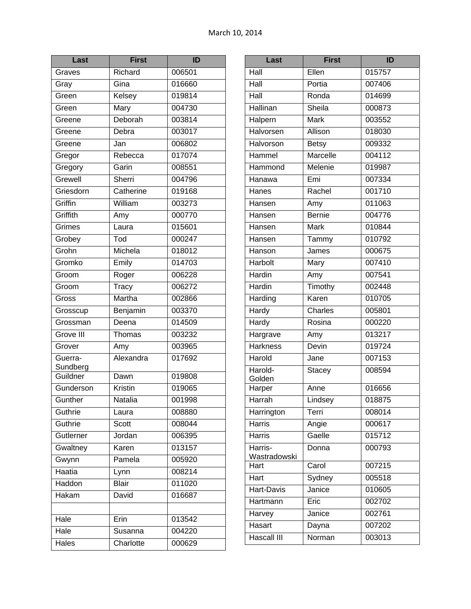| Last                | First                        | ID     |
|---------------------|------------------------------|--------|
| Graves              | Richard                      | 006501 |
| Gray                | Gina                         | 016660 |
| Green               | Kelsey                       | 019814 |
| Green               | Mary                         | 004730 |
| Greene              | Deborah                      | 003814 |
| Greene              | Debra                        | 003017 |
| Greene              | Jan                          | 006802 |
| Gregor              | Rebecca                      | 017074 |
| Gregory             | Garin                        | 008551 |
| Grewell             | Sherri                       | 004796 |
| Griesdorn           | Catherine                    | 019168 |
| Griffin             | William                      | 003273 |
| Griffith            | Amy                          | 000770 |
| Grimes              | Laura                        | 015601 |
| Grobey              | $\overline{\mathsf{T}}$ od   | 000247 |
| Grohn               | Michela                      | 018012 |
| Gromko              | Emily                        | 014703 |
| Groom               | Roger                        | 006228 |
| Groom               | $\overline{\mathsf{T}}$ racy | 006272 |
| Gross               | Martha                       | 002866 |
| Grosscup            | Benjamin                     | 003370 |
| Grossman            | Deena                        | 014509 |
| Grove III           | Thomas                       | 003232 |
| Grover              | Amy                          | 003965 |
| Guerra-<br>Sundberg | Alexandra                    | 017692 |
| Guildner            | Dawn                         | 019808 |
| Gunderson           | Kristin                      | 019065 |
| Gunther             | Natalia                      | 001998 |
| Guthrie             | Laura                        | 008880 |
| Guthrie             | Scott                        | 008044 |
| Gutlerner           | Jordan                       | 006395 |
| Gwaltney            | Karen                        | 013157 |
| Gwynn               | Pamela                       | 005920 |
| Haatia              | Lynn                         | 008214 |
| Haddon              | <b>Blair</b>                 | 011020 |
| Hakam               | David                        | 016687 |
|                     |                              |        |
| Hale                | Erin                         | 013542 |
| Hale                | Susanna                      | 004220 |
| Hales               | Charlotte                    | 000629 |

| Last                    | <b>First</b>  | ID                 |
|-------------------------|---------------|--------------------|
| Hall                    | Ellen         | 015757             |
| Hall                    | Portia        | 007406             |
| Hall                    | Ronda         | 014699             |
| Hallinan                | Sheila        | 000873             |
| Halpern                 | <b>Mark</b>   | 003552             |
| Halvorsen               | Allison       | 018030             |
| Halvorson               | <b>Betsy</b>  | 009332             |
| Hammel                  | Marcelle      | 004112             |
| Hammond                 | Melenie       | 019987             |
| Hanawa                  | Emi           | 007334             |
| Hanes                   | Rachel        | 001710             |
| Hansen                  | Amy           | 011063             |
| Hansen                  | <b>Bernie</b> | 004776             |
| Hansen                  | Mark          | 010844             |
| Hansen                  | Tammy         | 010792             |
| Hanson                  | James         | 000675             |
| Harbolt                 | Mary          | 007410             |
| Hardin                  | Amy           | 007541             |
| Hardin                  | Timothy       | 002448             |
| Harding                 | Karen         | 010705             |
| Hardy                   | Charles       | 005801             |
| Hardy                   | Rosina        | 000220             |
| Hargrave                | Amy           | 013217             |
| <b>Harkness</b>         | Devin         | 019724             |
| Harold                  | Jane          | 007153             |
| Harold-<br>Golden       | <b>Stacey</b> | 008594             |
| Harper                  | Anne          | 016656             |
| Harrah                  | Lindsey       | 018875             |
| Harrington              | Terri         | 008014             |
| <b>Harris</b>           | Angie         | 000617             |
| <b>Harris</b>           | Gaelle        | $\frac{1}{015712}$ |
| Harris-<br>Wastradowski | Donna         | 000793             |
| Hart                    | Carol         | 007215             |
| Hart                    | Sydney        | 005518             |
| Hart-Davis              | Janice        | 010605             |
| Hartmann                | Eric          | 002702             |
| Harvey                  | Janice        | 002761             |
| Hasart                  | Dayna         | 007202             |
| Hascall III             | Norman        | 003013             |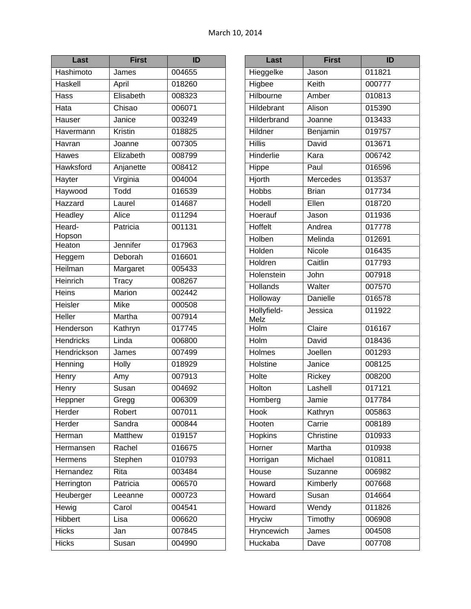| Last             | <b>First</b> | ID     |
|------------------|--------------|--------|
| Hashimoto        | James        | 004655 |
| Haskell          | April        | 018260 |
| Hass             | Elisabeth    | 008323 |
| Hata             | Chisao       | 006071 |
| Hauser           | Janice       | 003249 |
| Havermann        | Kristin      | 018825 |
| Havran           | Joanne       | 007305 |
| Hawes            | Elizabeth    | 008799 |
| <b>Hawksford</b> | Anjanette    | 008412 |
| Hayter           | Virginia     | 004004 |
| Haywood          | Todd         | 016539 |
| Hazzard          | Laurel       | 014687 |
| Headley          | Alice        | 011294 |
| Heard-<br>Hopson | Patricia     | 001131 |
| Heaton           | Jennifer     | 017963 |
| Heggem           | Deborah      | 016601 |
| Heilman          | Margaret     | 005433 |
| Heinrich         | Tracy        | 008267 |
| Heins            | Marion       | 002442 |
| Heisler          | <b>Mike</b>  | 000508 |
| <b>Heller</b>    | Martha       | 007914 |
| Henderson        | Kathryn      | 017745 |
| <b>Hendricks</b> | Linda        | 006800 |
| Hendrickson      | James        | 007499 |
| Henning          | Holly        | 018929 |
| Henry            | Amy          | 007913 |
| Henry            | Susan        | 004692 |
| Heppner          | Gregg        | 006309 |
| Herder           | Robert       | 007011 |
| Herder           | Sandra       | 000844 |
| Herman           | Matthew      | 019157 |
| Hermansen        | Rachel       | 016675 |
| Hermens          | Stephen      | 010793 |
| Hernandez        | Rita         | 003484 |
| Herrington       | Patricia     | 006570 |
| Heuberger        | Leeanne      | 000723 |
| Hewig            | Carol        | 004541 |
| <b>Hibbert</b>   | Lisa         | 006620 |
| <b>Hicks</b>     | Jan          | 007845 |
| <b>Hicks</b>     | Susan        | 004990 |

| Last                | <b>First</b>       | ID     |
|---------------------|--------------------|--------|
| Hieggelke           | Jason              | 011821 |
| Higbee              | Keith              | 000777 |
| Hilbourne           | Amber              | 010813 |
| Hildebrant          | Alison             | 015390 |
| Hilderbrand         | Joanne             | 013433 |
| Hildner             | Benjamin           | 019757 |
| <b>Hillis</b>       | David              | 013671 |
| Hinderlie           | Kara               | 006742 |
| <b>Hippe</b>        | Paul               | 016596 |
| Hjorth              | <b>Mercedes</b>    | 013537 |
| <b>Hobbs</b>        | <b>Brian</b>       | 017734 |
| Hodell              | Ellen              | 018720 |
| Hoerauf             | Jason              | 011936 |
| <b>Hoffelt</b>      | Andrea             | 017778 |
| Holben              | Melinda            | 012691 |
| Holden              | Nicole             | 016435 |
| Holdren             | Caitlin            | 017793 |
| Holenstein          | John               | 007918 |
| <b>Hollands</b>     | Walter             | 007570 |
| Holloway            | <b>Danielle</b>    | 016578 |
| Hollyfield-<br>Melz | Jessica            | 011922 |
| Holm                | Claire             | 016167 |
| Holm                | David              | 018436 |
| Holmes              | Joellen            | 001293 |
| Holstine            | Janice             | 008125 |
| <b>Holte</b>        | Rickey             | 008200 |
| Holton              | Lashell            | 017121 |
| Homberg             | Jamie              | 017784 |
| Hook                | Kathryn            | 005863 |
| Hooten              | Carrie             | 008189 |
| Hopkins             | Christine          | 010933 |
| Horner              | Martha             | 010938 |
| Horrigan            | Michael            | 010811 |
| House               | Suzanne            | 006982 |
| Howard              | Kimberly           | 007668 |
| Howard              | Susan              | 014664 |
| Howard              | Wendy              | 011826 |
| <b>Hryciw</b>       | Timothy            | 006908 |
| Hryncewich          | James              | 004508 |
| Huckaba             | $\overline{D}$ ave | 007708 |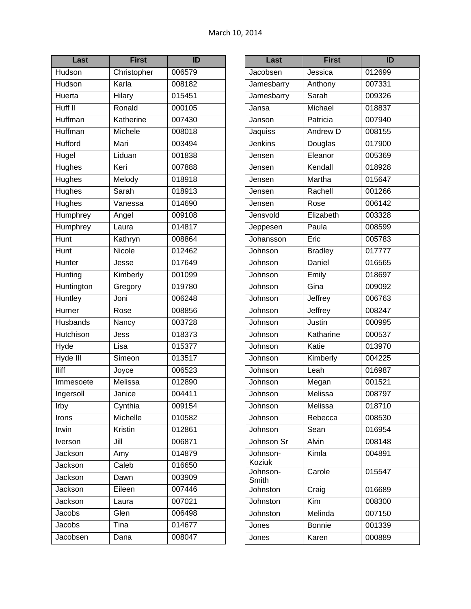| Last            | <b>First</b> | ID     |
|-----------------|--------------|--------|
| Hudson          | Christopher  | 006579 |
| Hudson          | Karla        | 008182 |
| Huerta          | Hilary       | 015451 |
| Huff II         | Ronald       | 000105 |
| Huffman         | Katherine    | 007430 |
| Huffman         | Michele      | 008018 |
| <b>Hufford</b>  | Mari         | 003494 |
| Hugel           | Liduan       | 001838 |
| Hughes          | Keri         | 007888 |
| Hughes          | Melody       | 018918 |
| <b>Hughes</b>   | Sarah        | 018913 |
| <b>Hughes</b>   | Vanessa      | 014690 |
| <b>Humphrey</b> | Angel        | 009108 |
| Humphrey        | Laura        | 014817 |
| Hunt            | Kathryn      | 008864 |
| Hunt            | Nicole       | 012462 |
| Hunter          | Jesse        | 017649 |
| Hunting         | Kimberly     | 001099 |
| Huntington      | Gregory      | 019780 |
| Huntley         | Joni         | 006248 |
| Hurner          | Rose         | 008856 |
| Husbands        | Nancy        | 003728 |
| Hutchison       | Jess         | 018373 |
| Hyde            | Lisa         | 015377 |
| Hyde III        | Simeon       | 013517 |
| <b>Iliff</b>    | Joyce        | 006523 |
| Immesoete       | Melissa      | 012890 |
| Ingersoll       | Janice       | 004411 |
| Irby            | Cynthia      | 009154 |
| Irons           | Michelle     | 010582 |
| Irwin           | Kristin      | 012861 |
| Iverson         | Jill         | 006871 |
| Jackson         | Amy          | 014879 |
| Jackson         | Caleb        | 016650 |
| Jackson         | Dawn         | 003909 |
| Jackson         | Eileen       | 007446 |
| Jackson         | Laura        | 007021 |
| Jacobs          | Glen         | 006498 |
| Jacobs          | Tina         | 014677 |
| Jacobsen        | Dana         | 008047 |

| Last               | <b>First</b>    | ID     |
|--------------------|-----------------|--------|
| Jacobsen           | Jessica         | 012699 |
| Jamesbarry         | Anthony         | 007331 |
| Jamesbarry         | Sarah           | 009326 |
| Jansa              | Michael         | 018837 |
| Janson             | Patricia        | 007940 |
| Jaquiss            | <b>Andrew D</b> | 008155 |
| <b>Jenkins</b>     | Douglas         | 017900 |
| Jensen             | Eleanor         | 005369 |
| Jensen             | Kendall         | 018928 |
| Jensen             | Martha          | 015647 |
| Jensen             | Rachell         | 001266 |
| Jensen             | Rose            | 006142 |
| Jensvold           | Elizabeth       | 003328 |
| Jeppesen           | Paula           | 008599 |
| Johansson          | Eric            | 005783 |
| Johnson            | <b>Bradley</b>  | 017777 |
| Johnson            | Daniel          | 016565 |
| Johnson            | Emily           | 018697 |
| Johnson            | Gina            | 009092 |
| Johnson            | Jeffrey         | 006763 |
| Johnson            | Jeffrey         | 008247 |
| Johnson            | Justin          | 000995 |
| Johnson            | Katharine       | 000537 |
| Johnson            | Katie           | 013970 |
| Johnson            | Kimberly        | 004225 |
| Johnson            | Leah            | 016987 |
| Johnson            | Megan           | 001521 |
| Johnson            | Melissa         | 008797 |
| Johnson            | Melissa         | 018710 |
| Johnson            | Rebecca         | 008530 |
| Johnson            | Sean            | 016954 |
| Johnson Sr         | Alvin           | 008148 |
| Johnson-<br>Koziuk | Kimla           | 004891 |
| Johnson-<br>Smith  | Carole          | 015547 |
| Johnston           | Craig           | 016689 |
| Johnston           | Kim             | 008300 |
| Johnston           | Melinda         | 007150 |
| Jones              | <b>Bonnie</b>   | 001339 |
| Jones              | Karen           | 000889 |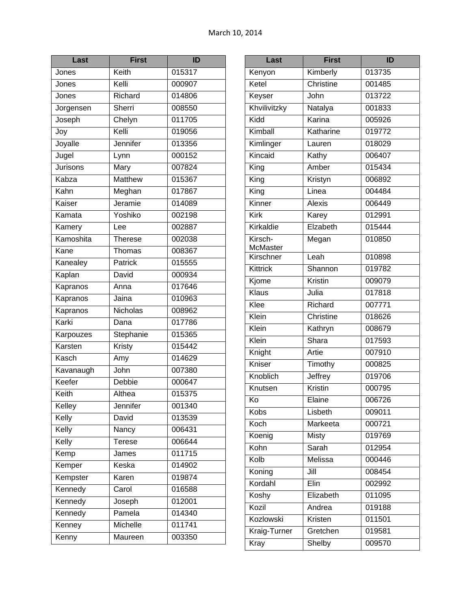| Last      | <b>First</b>   | ID     |
|-----------|----------------|--------|
| Jones     | Keith          | 015317 |
| Jones     | Kelli          | 000907 |
| Jones     | Richard        | 014806 |
| Jorgensen | Sherri         | 008550 |
| Joseph    | Chelyn         | 011705 |
| Joy       | Kelli          | 019056 |
| Joyalle   | Jennifer       | 013356 |
| Jugel     | Lynn           | 000152 |
| Jurisons  | Mary           | 007824 |
| Kabza     | <b>Matthew</b> | 015367 |
| Kahn      | Meghan         | 017867 |
| Kaiser    | Jeramie        | 014089 |
| Kamata    | Yoshiko        | 002198 |
| Kamery    | Lee            | 002887 |
| Kamoshita | <b>Therese</b> | 002038 |
| Kane      | Thomas         | 008367 |
| Kanealey  | Patrick        | 015555 |
| Kaplan    | David          | 000934 |
| Kapranos  | Anna           | 017646 |
| Kapranos  | Jaina          | 010963 |
| Kapranos  | Nicholas       | 008962 |
| Karki     | Dana           | 017786 |
| Karpouzes | Stephanie      | 015365 |
| Karsten   | Kristy         | 015442 |
| Kasch     | Amy            | 014629 |
| Kavanaugh | John           | 007380 |
| Keefer    | Debbie         | 000647 |
| Keith     | Althea         | 015375 |
| Kelley    | Jennifer       | 001340 |
| Kelly     | David          | 013539 |
| Kelly     | Nancy          | 006431 |
| Kelly     | Terese         | 006644 |
| Kemp      | James          | 011715 |
| Kemper    | Keska          | 014902 |
| Kempster  | Karen          | 019874 |
| Kennedy   | Carol          | 016588 |
| Kennedy   | Joseph         | 012001 |
| Kennedy   | Pamela         | 014340 |
| Kenney    | Michelle       | 011741 |
| Kenny     | Maureen        | 003350 |

| Last                       | <b>First</b>  | ID     |
|----------------------------|---------------|--------|
| Kenyon                     | Kimberly      | 013735 |
| Ketel                      | Christine     | 001485 |
| Keyser                     | John          | 013722 |
| Khvilivitzky               | Natalya       | 001833 |
| Kidd                       | Karina        | 005926 |
| Kimball                    | Katharine     | 019772 |
| Kimlinger                  | Lauren        | 018029 |
| Kincaid                    | Kathy         | 006407 |
| King                       | Amber         | 015434 |
| King                       | Kristyn       | 006892 |
| King                       | Linea         | 004484 |
| Kinner                     | <b>Alexis</b> | 006449 |
| Kirk                       | Karey         | 012991 |
| Kirkaldie                  | Elzabeth      | 015444 |
| Kirsch-<br><b>McMaster</b> | Megan         | 010850 |
| Kirschner                  | Leah          | 010898 |
| Kittrick                   | Shannon       | 019782 |
| Kjome                      | Kristin       | 009079 |
| <b>Klaus</b>               | Julia         | 017818 |
| Klee                       | Richard       | 007771 |
| Klein                      | Christine     | 018626 |
| Klein                      | Kathryn       | 008679 |
| Klein                      | Shara         | 017593 |
| Knight                     | Artie         | 007910 |
| Kniser                     | Timothy       | 000825 |
| Knoblich                   | Jeffrey       | 019706 |
| Knutsen                    | Kristin       | 000795 |
| Ko                         | Elaine        | 006726 |
| Kobs                       | Lisbeth       | 009011 |
| Koch                       | Markeeta      | 000721 |
| Koenig                     | <b>Misty</b>  | 019769 |
| Kohn                       | Sarah         | 012954 |
| Kolb                       | Melissa       | 000446 |
| Koning                     | Jill          | 008454 |
| Kordahl                    | Elin          | 002992 |
| Koshy                      | Elizabeth     | 011095 |
| Kozil                      | Andrea        | 019188 |
| Kozlowski                  | Kristen       | 011501 |
| Kraig-Turner               | Gretchen      | 019581 |
| <b>Kray</b>                | Shelby        | 009570 |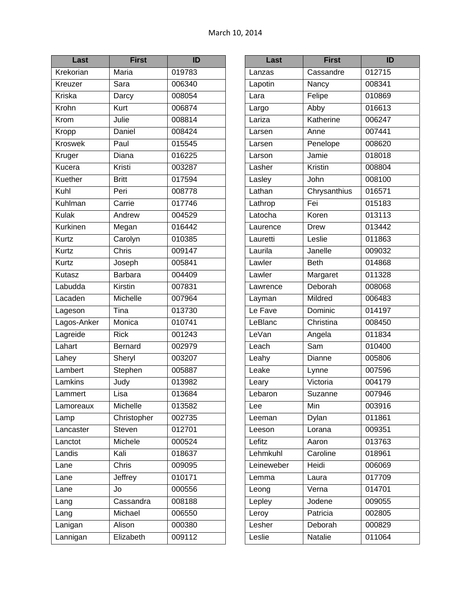| Last           | <b>First</b>              | ID     |
|----------------|---------------------------|--------|
| Krekorian      | Maria                     | 019783 |
| Kreuzer        | Sara                      | 006340 |
| <b>Kriska</b>  | Darcy                     | 008054 |
| Krohn          | Kurt                      | 006874 |
| Krom           | Julie                     | 008814 |
| Kropp          | <b>Daniel</b>             | 008424 |
| <b>Kroswek</b> | Paul                      | 015545 |
| Kruger         | Diana                     | 016225 |
| Kucera         | Kristi                    | 003287 |
| Kuether        | <b>Britt</b>              | 017594 |
| Kuhl           | Peri                      | 008778 |
| Kuhlman        | Carrie                    | 017746 |
| Kulak          | Andrew                    | 004529 |
| Kurkinen       | Megan                     | 016442 |
| Kurtz          | Carolyn                   | 010385 |
| Kurtz          | $\overline{\text{Chris}}$ | 009147 |
| Kurtz          | Joseph                    | 005841 |
| Kutasz         | Barbara                   | 004409 |
| Labudda        | Kirstin                   | 007831 |
| Lacaden        | Michelle                  | 007964 |
| Lageson        | Tina                      | 013730 |
| Lagos-Anker    | Monica                    | 010741 |
| Lagreide       | <b>Rick</b>               | 001243 |
| Lahart         | <b>Bernard</b>            | 002979 |
| Lahey          | Sheryl                    | 003207 |
| Lambert        | Stephen                   | 005887 |
| Lamkins        | Judy                      | 013982 |
| Lammert        | Lisa                      | 013684 |
| Lamoreaux      | Michelle                  | 013582 |
| Lamp           | Christopher               | 002735 |
| Lancaster      | <b>Steven</b>             | 012701 |
| Lanctot        | Michele                   | 000524 |
| Landis         | Kali                      | 018637 |
| Lane           | Chris                     | 009095 |
| Lane           | Jeffrey                   | 010171 |
| Lane           | Jo                        | 000556 |
| Lang           | Cassandra                 | 008188 |
| Lang           | Michael                   | 006550 |
| Lanigan        | Alison                    | 000380 |
| Lannigan       | Elizabeth                 | 009112 |

| Last       | <b>First</b> | ID     |
|------------|--------------|--------|
| Lanzas     | Cassandre    | 012715 |
| Lapotin    | Nancy        | 008341 |
| Lara       | Felipe       | 010869 |
| Largo      | Abby         | 016613 |
| Lariza     | Katherine    | 006247 |
| Larsen     | Anne         | 007441 |
| Larsen     | Penelope     | 008620 |
| Larson     | Jamie        | 018018 |
| Lasher     | Kristin      | 008804 |
| Lasley     | John         | 008100 |
| Lathan     | Chrysanthius | 016571 |
| Lathrop    | Fei          | 015183 |
| Latocha    | Koren        | 013113 |
| Laurence   | <b>Drew</b>  | 013442 |
| Lauretti   | Leslie       | 011863 |
| Laurila    | Janelle      | 009032 |
| Lawler     | <b>Beth</b>  | 014868 |
| Lawler     | Margaret     | 011328 |
| Lawrence   | Deborah      | 008068 |
| Layman     | Mildred      | 006483 |
| Le Fave    | Dominic      | 014197 |
| LeBlanc    | Christina    | 008450 |
| LeVan      | Angela       | 011834 |
| Leach      | Sam          | 010400 |
| Leahy      | Dianne       | 005806 |
| Leake      | Lynne        | 007596 |
| Leary      | Victoria     | 004179 |
| Lebaron    | Suzanne      | 007946 |
| Lee        | Min          | 003916 |
| Leeman     | <b>Dylan</b> | 011861 |
| Leeson     | Lorana       | 009351 |
| Lefitz     | Aaron        | 013763 |
| Lehmkuhl   | Caroline     | 018961 |
| Leineweber | Heidi        | 006069 |
| Lemma      | Laura        | 017709 |
| Leong      | Verna        | 014701 |
| Lepley     | Jodene       | 009055 |
| Leroy      | Patricia     | 002805 |
| Lesher     | Deborah      | 000829 |
| Leslie     | Natalie      | 011064 |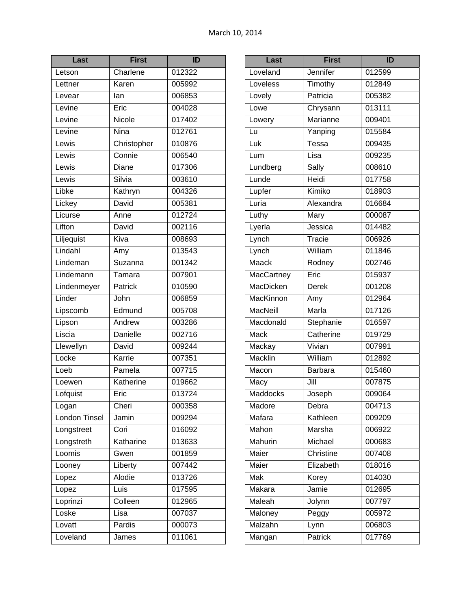| Last          | <b>First</b> | ID     |
|---------------|--------------|--------|
| Letson        | Charlene     | 012322 |
| Lettner       | Karen        | 005992 |
| Levear        | lan          | 006853 |
| Levine        | Eric         | 004028 |
| Levine        | Nicole       | 017402 |
| Levine        | <b>Nina</b>  | 012761 |
| Lewis         | Christopher  | 010876 |
| Lewis         | Connie       | 006540 |
| Lewis         | Diane        | 017306 |
| Lewis         | Silvia       | 003610 |
| Libke         | Kathryn      | 004326 |
| Lickey        | David        | 005381 |
| Licurse       | Anne         | 012724 |
| Lifton        | David        | 002116 |
| Liljequist    | Kiva         | 008693 |
| Lindahl       | Amy          | 013543 |
| Lindeman      | Suzanna      | 001342 |
| Lindemann     | Tamara       | 007901 |
| Lindenmeyer   | Patrick      | 010590 |
| Linder        | John         | 006859 |
| Lipscomb      | Edmund       | 005708 |
| Lipson        | Andrew       | 003286 |
| Liscia        | Danielle     | 002716 |
| Llewellyn     | David        | 009244 |
| Locke         | Karrie       | 007351 |
| Loeb          | Pamela       | 007715 |
| Loewen        | Katherine    | 019662 |
| Lofquist      | Eric         | 013724 |
| Logan         | Cheri        | 000358 |
| London Tinsel | Jamin        | 009294 |
| Longstreet    | Cori         | 016092 |
| Longstreth    | Katharine    | 013633 |
| Loomis        | Gwen         | 001859 |
| Looney        | Liberty      | 007442 |
| Lopez         | Alodie       | 013726 |
| Lopez         | Luis         | 017595 |
| Loprinzi      | Colleen      | 012965 |
| Loske         | Lisa         | 007037 |
| Lovatt        | Pardis       | 000073 |
| Loveland      | James        | 011061 |

| Last                      | <b>First</b>   | ID     |
|---------------------------|----------------|--------|
| Loveland                  | Jennifer       | 012599 |
| Loveless                  | Timothy        | 012849 |
| Lovely                    | Patricia       | 005382 |
| Lowe                      | Chrysann       | 013111 |
| Lowery                    | Marianne       | 009401 |
| Lu                        | Yanping        | 015584 |
| Luk                       | Tessa          | 009435 |
| Lum                       | Lisa           | 009235 |
| Lundberg                  | Sally          | 008610 |
| Lunde                     | Heidi          | 017758 |
| Lupfer                    | Kimiko         | 018903 |
| Luria                     | Alexandra      | 016684 |
| Luthy                     | Mary           | 000087 |
| Lyerla                    | Jessica        | 014482 |
| Lynch                     | Tracie         | 006926 |
| Lynch                     | William        | 011846 |
| Maack                     | Rodney         | 002746 |
| <b>MacCartney</b>         | Eric           | 015937 |
| MacDicken                 | Derek          | 001208 |
| MacKinnon                 | Amy            | 012964 |
| <b>MacNeill</b>           | Marla          | 017126 |
| Macdonald                 | Stephanie      | 016597 |
| Mack                      | Catherine      | 019729 |
| Mackay                    | Vivian         | 007991 |
| <b>Macklin</b>            | William        | 012892 |
| Macon                     | <b>Barbara</b> | 015460 |
| Macy                      | Jill           | 007875 |
| Maddocks                  | Joseph         | 009064 |
| Madore                    | Debra          | 004713 |
| Mafara                    | Kathleen       | 009209 |
| Mahon                     | Marsha         | 006922 |
| Mahurin                   | Michael        | 000683 |
| Maier                     | Christine      | 007408 |
| Maier                     | Elizabeth      | 018016 |
| $\overline{\mathsf{Mak}}$ | Korey          | 014030 |
| Makara                    | Jamie          | 012695 |
| Maleah                    | Jolynn         | 007797 |
| Maloney                   | Peggy          | 005972 |
| Malzahn                   | Lynn           | 006803 |
| Mangan                    | <b>Patrick</b> | 017769 |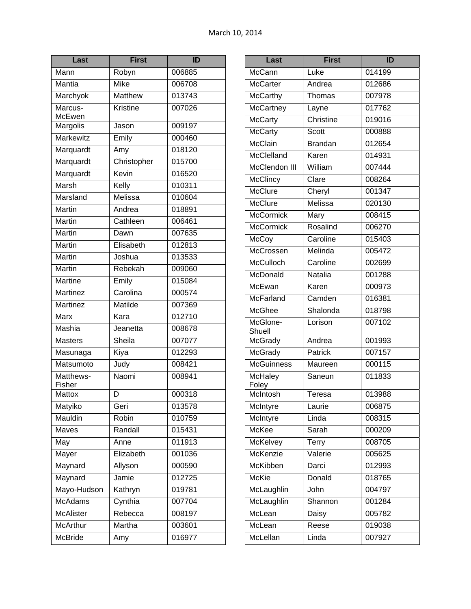| Last                | <b>First</b> | ID     |
|---------------------|--------------|--------|
| Mann                | Robyn        | 006885 |
| Mantia              | <b>Mike</b>  | 006708 |
| Marchyok            | Matthew      | 013743 |
| Marcus-<br>McEwen   | Kristine     | 007026 |
| Margolis            | Jason        | 009197 |
| <b>Markewitz</b>    | Emily        | 000460 |
| Marquardt           | Amy          | 018120 |
| Marquardt           | Christopher  | 015700 |
| Marquardt           | Kevin        | 016520 |
| Marsh               | Kelly        | 010311 |
| Marsland            | Melissa      | 010604 |
| <b>Martin</b>       | Andrea       | 018891 |
| Martin              | Cathleen     | 006461 |
| <b>Martin</b>       | Dawn         | 007635 |
| Martin              | Elisabeth    | 012813 |
| <b>Martin</b>       | Joshua       | 013533 |
| Martin              | Rebekah      | 009060 |
| <b>Martine</b>      | Emily        | 015084 |
| Martinez            | Carolina     | 000574 |
| <b>Martinez</b>     | Matilde      | 007369 |
| <b>Marx</b>         | Kara         | 012710 |
| Mashia              | Jeanetta     | 008678 |
| <b>Masters</b>      | Sheila       | 007077 |
| Masunaga            | Kiya         | 012293 |
| Matsumoto           | Judy         | 008421 |
| Matthews-<br>Fisher | Naomi        | 008941 |
| Mattox              | D            | 000318 |
| Matyiko             | Geri         | 013578 |
| Mauldin             | Robin        | 010759 |
| Maves               | Randall      | 015431 |
| May                 | Anne         | 011913 |
| Mayer               | Elizabeth    | 001036 |
| Maynard             | Allyson      | 000590 |
| Maynard             | Jamie        | 012725 |
| Mayo-Hudson         | Kathryn      | 019781 |
| <b>McAdams</b>      | Cynthia      | 007704 |
| <b>McAlister</b>    | Rebecca      | 008197 |
| McArthur            | Martha       | 003601 |
| <b>McBride</b>      | Amy          | 016977 |

| Last                    | <b>First</b>              | ID     |
|-------------------------|---------------------------|--------|
| McCann                  | Luke                      | 014199 |
| <b>McCarter</b>         | Andrea                    | 012686 |
| <b>McCarthy</b>         | Thomas                    | 007978 |
| <b>McCartney</b>        | Layne                     | 017762 |
| <b>McCarty</b>          | Christine                 | 019016 |
| <b>McCarty</b>          | Scott                     | 000888 |
| McClain                 | <b>Brandan</b>            | 012654 |
| McClelland              | Karen                     | 014931 |
| <b>McClendon III</b>    | William                   | 007444 |
| <b>McClincy</b>         | Clare                     | 008264 |
| <b>McClure</b>          | Cheryl                    | 001347 |
| <b>McClure</b>          | Melissa                   | 020130 |
| <b>McCormick</b>        | Mary                      | 008415 |
| <b>McCormick</b>        | Rosalind                  | 006270 |
| McCoy                   | Caroline                  | 015403 |
| McCrossen               | Melinda                   | 005472 |
| McCulloch               | Caroline                  | 002699 |
| McDonald                | Natalia                   | 001288 |
| McEwan                  | Karen                     | 000973 |
| McFarland               | Camden                    | 016381 |
| McGhee                  | Shalonda                  | 018798 |
| McGlone-<br>Shuell      | Lorison                   | 007102 |
| McGrady                 | Andrea                    | 001993 |
| <b>McGrady</b>          | Patrick                   | 007157 |
| <b>McGuinness</b>       | Maureen                   | 000115 |
| <b>McHaley</b><br>Foley | Saneun                    | 011833 |
| McIntosh                | Teresa                    | 013988 |
| McIntyre                | Laurie                    | 006875 |
| McIntyre                | Linda                     | 008315 |
| McKee                   | Sarah                     | 000209 |
| <b>McKelvey</b>         | Terry                     | 008705 |
| <b>McKenzie</b>         | Valerie                   | 005625 |
| McKibben                | Darci                     | 012993 |
| <b>McKie</b>            | Donald                    | 018765 |
| McLaughlin              | John                      | 004797 |
| McLaughlin              | Shannon                   | 001284 |
| McLean                  | Daisy                     | 005782 |
| McLean                  | Reese                     | 019038 |
| McLellan                | $\overline{\text{Linda}}$ | 007927 |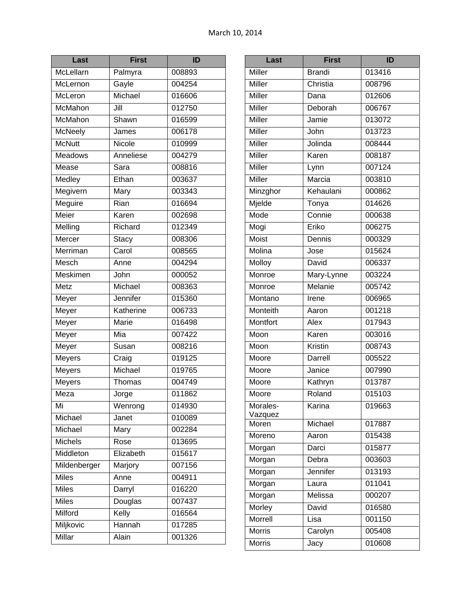| Last           | <b>First</b> | ID                  |
|----------------|--------------|---------------------|
| McLellarn      | Palmyra      | 008893              |
| McLernon       | Gayle        | 004254              |
| McLeron        | Michael      | 016606              |
| McMahon        | Jill         | 012750              |
| McMahon        | Shawn        | 016599              |
| <b>McNeely</b> | James        | 006178              |
| <b>McNutt</b>  | Nicole       | 010999              |
| <b>Meadows</b> | Anneliese    | 004279              |
| Mease          | Sara         | 008816              |
| Medley         | Ethan        | 003637              |
| Megivern       | Mary         | 003343              |
| Meguire        | Rian         | 016694              |
| Meier          | Karen        | 002698              |
| Melling        | Richard      | 012349              |
| Mercer         | <b>Stacy</b> | 008306              |
| Merriman       | Carol        | 008565              |
| Mesch          | Anne         | 004294              |
| Meskimen       | John         | 000052              |
| Metz           | Michael      | 008363              |
| Meyer          | Jennifer     | 015360              |
| Meyer          | Katherine    | 006733              |
| Meyer          | Marie        | 016498              |
| Meyer          | Mia          | 007422              |
| Meyer          | Susan        | 008216              |
| Meyers         | Craig        | 019125              |
| <b>Meyers</b>  | Michael      | 019765              |
| Meyers         | Thomas       | 004749              |
| Meza           | Jorge        | $\overline{011}862$ |
| Mi             | Wenrong      | 014930              |
| Michael        | Janet        | 010089              |
| Michael        | Mary         | 002284              |
| Michels        | Rose         | 013695              |
| Middleton      | Elizabeth    | 015617              |
| Mildenberger   | Marjory      | 007156              |
| <b>Miles</b>   | Anne         | 004911              |
| <b>Miles</b>   | Darryl       | 016220              |
| <b>Miles</b>   | Douglas      | 007437              |
| Milford        | Kelly        | 016564              |
| Miljkovic      | Hannah       | 017285              |
| Millar         | Alain        | 001326              |

| Last             | <b>First</b>  | ID     |
|------------------|---------------|--------|
| Miller           | <b>Brandi</b> | 013416 |
| Miller           | Christia      | 008796 |
| <b>Miller</b>    | Dana          | 012606 |
| <b>Miller</b>    | Deborah       | 006767 |
| <b>Miller</b>    | Jamie         | 013072 |
| <b>Miller</b>    | John          | 013723 |
| Miller           | Jolinda       | 008444 |
| <b>Miller</b>    | Karen         | 008187 |
| <b>Miller</b>    | Lynn          | 007124 |
| <b>Miller</b>    | Marcia        | 003810 |
| Minzghor         | Kehaulani     | 000862 |
| Mjelde           | Tonya         | 014626 |
| Mode             | Connie        | 000638 |
| Mogi             | Eriko         | 006275 |
| Moist            | Dennis        | 000329 |
| Molina           | Jose          | 015624 |
| Molloy           | David         | 006337 |
| Monroe           | Mary-Lynne    | 003224 |
| Monroe           | Melanie       | 005742 |
| Montano          | Irene         | 006965 |
| <b>Monteith</b>  | Aaron         | 001218 |
| Montfort         | Alex          | 017943 |
| Moon             | Karen         | 003016 |
| Moon             | Kristin       | 008743 |
| Moore            | Darrell       | 005522 |
| Moore            | Janice        | 007990 |
| Moore            | Kathryn       | 013787 |
| Moore            | Roland        | 015103 |
| Morales-         | Karina        | 019663 |
| Vazquez<br>Moren | Michael       | 017887 |
| Moreno           |               | 015438 |
|                  | Aaron         | 015877 |
| Morgan           | Darci         |        |
| Morgan           | Debra         | 003603 |
| Morgan           | Jennifer      | 013193 |
| Morgan           | Laura         | 011041 |
| Morgan           | Melissa       | 000207 |
| Morley           | David         | 016580 |
| Morrell          | Lisa          | 001150 |
| Morris           | Carolyn       | 005408 |
| <b>Morris</b>    | Jacy          | 010608 |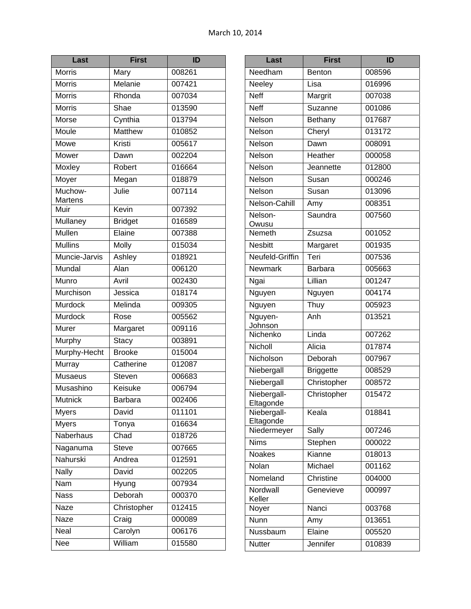| Last               | <b>First</b>   | ID     |
|--------------------|----------------|--------|
| <b>Morris</b>      | Mary           | 008261 |
| <b>Morris</b>      | Melanie        | 007421 |
| <b>Morris</b>      | Rhonda         | 007034 |
| <b>Morris</b>      | Shae           | 013590 |
| Morse              | Cynthia        | 013794 |
| Moule              | <b>Matthew</b> | 010852 |
| Mowe               | Kristi         | 005617 |
| Mower              | Dawn           | 002204 |
| Moxley             | Robert         | 016664 |
| Moyer              | Megan          | 018879 |
| Muchow-<br>Martens | Julie          | 007114 |
| Muir               | Kevin          | 007392 |
| Mullaney           | <b>Bridget</b> | 016589 |
| Mullen             | Elaine         | 007388 |
| <b>Mullins</b>     | Molly          | 015034 |
| Muncie-Jarvis      | Ashley         | 018921 |
| Mundal             | Alan           | 006120 |
| Munro              | Avril          | 002430 |
| Murchison          | Jessica        | 018174 |
| Murdock            | Melinda        | 009305 |
| Murdock            | Rose           | 005562 |
| Murer              | Margaret       | 009116 |
| Murphy             | <b>Stacy</b>   | 003891 |
| Murphy-Hecht       | <b>Brooke</b>  | 015004 |
| Murray             | Catherine      | 012087 |
| <b>Musaeus</b>     | Steven         | 006683 |
| Musashino          | Keisuke        | 006794 |
| Mutnick            | Barbara        | 002406 |
| <b>Myers</b>       | David          | 011101 |
| <b>Myers</b>       | Tonya          | 016634 |
| Naberhaus          | Chad           | 018726 |
| Naganuma           | Steve          | 007665 |
| Nahurski           | Andrea         | 012591 |
| <b>Nally</b>       | David          | 002205 |
| Nam                | Hyung          | 007934 |
| <b>Nass</b>        | Deborah        | 000370 |
| Naze               | Christopher    | 012415 |
| <b>Naze</b>        | Craig          | 000089 |
| Neal               | Carolyn        | 006176 |
| Nee                | William        | 015580 |

| Needham<br>008596<br><b>Benton</b><br>Neeley<br>016996<br>Lisa<br><b>Neff</b><br>Margrit<br>007038<br><b>Neff</b><br>Suzanne<br>001086<br>Nelson<br>Bethany<br>017687<br>Nelson<br>Cheryl<br>013172<br>Nelson<br>Dawn<br>008091<br>Heather<br>Nelson<br>000058<br>Nelson<br>012800<br>Jeannette<br>Nelson<br>000246<br>Susan<br>Nelson<br>013096<br>Susan<br>Nelson-Cahill<br>008351<br>Amy<br>Nelson-<br>Saundra<br>007560<br>Owusu<br>Nemeth<br>001052<br>Zsuzsa<br><b>Nesbitt</b><br>001935<br>Margaret<br>Neufeld-Griffin<br>Teri<br>007536<br><b>Newmark</b><br>005663<br><b>Barbara</b><br>001247<br>Lillian<br>Ngai<br>004174<br>Nguyen<br>Nguyen<br>Nguyen<br>005923<br>Thuy<br>Anh<br>013521<br>Nguyen-<br>Johnson<br>Linda<br>Nichenko<br>007262<br>Nicholl<br>Alicia<br>017874<br>Nicholson<br>Deborah<br>007967<br>Niebergall<br>008529<br><b>Briggette</b><br>Niebergall<br>Christopher<br>008572<br>015472<br>Niebergall-<br>Christopher<br>Eltagonde<br>Keala<br>018841<br>Niebergall-<br>Eltagonde<br>Niedermeyer<br>Sally<br>007246<br><b>Nims</b><br>Stephen<br>000022<br>Kianne<br><b>Noakes</b><br>018013<br>Nolan<br>Michael<br>001162<br>Christine<br>Nomeland<br>004000<br>Nordwall<br>Genevieve<br>000997<br>Keller<br>Nanci<br>003768<br>Noyer<br>Nunn<br>013651<br>Amy<br>Elaine<br>Nussbaum<br>005520<br>Jennifer<br>010839<br>Nutter | Last | <b>First</b> | ID |
|------------------------------------------------------------------------------------------------------------------------------------------------------------------------------------------------------------------------------------------------------------------------------------------------------------------------------------------------------------------------------------------------------------------------------------------------------------------------------------------------------------------------------------------------------------------------------------------------------------------------------------------------------------------------------------------------------------------------------------------------------------------------------------------------------------------------------------------------------------------------------------------------------------------------------------------------------------------------------------------------------------------------------------------------------------------------------------------------------------------------------------------------------------------------------------------------------------------------------------------------------------------------------------------------------------------------------------------------------------------|------|--------------|----|
|                                                                                                                                                                                                                                                                                                                                                                                                                                                                                                                                                                                                                                                                                                                                                                                                                                                                                                                                                                                                                                                                                                                                                                                                                                                                                                                                                                  |      |              |    |
|                                                                                                                                                                                                                                                                                                                                                                                                                                                                                                                                                                                                                                                                                                                                                                                                                                                                                                                                                                                                                                                                                                                                                                                                                                                                                                                                                                  |      |              |    |
|                                                                                                                                                                                                                                                                                                                                                                                                                                                                                                                                                                                                                                                                                                                                                                                                                                                                                                                                                                                                                                                                                                                                                                                                                                                                                                                                                                  |      |              |    |
|                                                                                                                                                                                                                                                                                                                                                                                                                                                                                                                                                                                                                                                                                                                                                                                                                                                                                                                                                                                                                                                                                                                                                                                                                                                                                                                                                                  |      |              |    |
|                                                                                                                                                                                                                                                                                                                                                                                                                                                                                                                                                                                                                                                                                                                                                                                                                                                                                                                                                                                                                                                                                                                                                                                                                                                                                                                                                                  |      |              |    |
|                                                                                                                                                                                                                                                                                                                                                                                                                                                                                                                                                                                                                                                                                                                                                                                                                                                                                                                                                                                                                                                                                                                                                                                                                                                                                                                                                                  |      |              |    |
|                                                                                                                                                                                                                                                                                                                                                                                                                                                                                                                                                                                                                                                                                                                                                                                                                                                                                                                                                                                                                                                                                                                                                                                                                                                                                                                                                                  |      |              |    |
|                                                                                                                                                                                                                                                                                                                                                                                                                                                                                                                                                                                                                                                                                                                                                                                                                                                                                                                                                                                                                                                                                                                                                                                                                                                                                                                                                                  |      |              |    |
|                                                                                                                                                                                                                                                                                                                                                                                                                                                                                                                                                                                                                                                                                                                                                                                                                                                                                                                                                                                                                                                                                                                                                                                                                                                                                                                                                                  |      |              |    |
|                                                                                                                                                                                                                                                                                                                                                                                                                                                                                                                                                                                                                                                                                                                                                                                                                                                                                                                                                                                                                                                                                                                                                                                                                                                                                                                                                                  |      |              |    |
|                                                                                                                                                                                                                                                                                                                                                                                                                                                                                                                                                                                                                                                                                                                                                                                                                                                                                                                                                                                                                                                                                                                                                                                                                                                                                                                                                                  |      |              |    |
|                                                                                                                                                                                                                                                                                                                                                                                                                                                                                                                                                                                                                                                                                                                                                                                                                                                                                                                                                                                                                                                                                                                                                                                                                                                                                                                                                                  |      |              |    |
|                                                                                                                                                                                                                                                                                                                                                                                                                                                                                                                                                                                                                                                                                                                                                                                                                                                                                                                                                                                                                                                                                                                                                                                                                                                                                                                                                                  |      |              |    |
|                                                                                                                                                                                                                                                                                                                                                                                                                                                                                                                                                                                                                                                                                                                                                                                                                                                                                                                                                                                                                                                                                                                                                                                                                                                                                                                                                                  |      |              |    |
|                                                                                                                                                                                                                                                                                                                                                                                                                                                                                                                                                                                                                                                                                                                                                                                                                                                                                                                                                                                                                                                                                                                                                                                                                                                                                                                                                                  |      |              |    |
|                                                                                                                                                                                                                                                                                                                                                                                                                                                                                                                                                                                                                                                                                                                                                                                                                                                                                                                                                                                                                                                                                                                                                                                                                                                                                                                                                                  |      |              |    |
|                                                                                                                                                                                                                                                                                                                                                                                                                                                                                                                                                                                                                                                                                                                                                                                                                                                                                                                                                                                                                                                                                                                                                                                                                                                                                                                                                                  |      |              |    |
|                                                                                                                                                                                                                                                                                                                                                                                                                                                                                                                                                                                                                                                                                                                                                                                                                                                                                                                                                                                                                                                                                                                                                                                                                                                                                                                                                                  |      |              |    |
|                                                                                                                                                                                                                                                                                                                                                                                                                                                                                                                                                                                                                                                                                                                                                                                                                                                                                                                                                                                                                                                                                                                                                                                                                                                                                                                                                                  |      |              |    |
|                                                                                                                                                                                                                                                                                                                                                                                                                                                                                                                                                                                                                                                                                                                                                                                                                                                                                                                                                                                                                                                                                                                                                                                                                                                                                                                                                                  |      |              |    |
|                                                                                                                                                                                                                                                                                                                                                                                                                                                                                                                                                                                                                                                                                                                                                                                                                                                                                                                                                                                                                                                                                                                                                                                                                                                                                                                                                                  |      |              |    |
|                                                                                                                                                                                                                                                                                                                                                                                                                                                                                                                                                                                                                                                                                                                                                                                                                                                                                                                                                                                                                                                                                                                                                                                                                                                                                                                                                                  |      |              |    |
|                                                                                                                                                                                                                                                                                                                                                                                                                                                                                                                                                                                                                                                                                                                                                                                                                                                                                                                                                                                                                                                                                                                                                                                                                                                                                                                                                                  |      |              |    |
|                                                                                                                                                                                                                                                                                                                                                                                                                                                                                                                                                                                                                                                                                                                                                                                                                                                                                                                                                                                                                                                                                                                                                                                                                                                                                                                                                                  |      |              |    |
|                                                                                                                                                                                                                                                                                                                                                                                                                                                                                                                                                                                                                                                                                                                                                                                                                                                                                                                                                                                                                                                                                                                                                                                                                                                                                                                                                                  |      |              |    |
|                                                                                                                                                                                                                                                                                                                                                                                                                                                                                                                                                                                                                                                                                                                                                                                                                                                                                                                                                                                                                                                                                                                                                                                                                                                                                                                                                                  |      |              |    |
|                                                                                                                                                                                                                                                                                                                                                                                                                                                                                                                                                                                                                                                                                                                                                                                                                                                                                                                                                                                                                                                                                                                                                                                                                                                                                                                                                                  |      |              |    |
|                                                                                                                                                                                                                                                                                                                                                                                                                                                                                                                                                                                                                                                                                                                                                                                                                                                                                                                                                                                                                                                                                                                                                                                                                                                                                                                                                                  |      |              |    |
|                                                                                                                                                                                                                                                                                                                                                                                                                                                                                                                                                                                                                                                                                                                                                                                                                                                                                                                                                                                                                                                                                                                                                                                                                                                                                                                                                                  |      |              |    |
|                                                                                                                                                                                                                                                                                                                                                                                                                                                                                                                                                                                                                                                                                                                                                                                                                                                                                                                                                                                                                                                                                                                                                                                                                                                                                                                                                                  |      |              |    |
|                                                                                                                                                                                                                                                                                                                                                                                                                                                                                                                                                                                                                                                                                                                                                                                                                                                                                                                                                                                                                                                                                                                                                                                                                                                                                                                                                                  |      |              |    |
|                                                                                                                                                                                                                                                                                                                                                                                                                                                                                                                                                                                                                                                                                                                                                                                                                                                                                                                                                                                                                                                                                                                                                                                                                                                                                                                                                                  |      |              |    |
|                                                                                                                                                                                                                                                                                                                                                                                                                                                                                                                                                                                                                                                                                                                                                                                                                                                                                                                                                                                                                                                                                                                                                                                                                                                                                                                                                                  |      |              |    |
|                                                                                                                                                                                                                                                                                                                                                                                                                                                                                                                                                                                                                                                                                                                                                                                                                                                                                                                                                                                                                                                                                                                                                                                                                                                                                                                                                                  |      |              |    |
|                                                                                                                                                                                                                                                                                                                                                                                                                                                                                                                                                                                                                                                                                                                                                                                                                                                                                                                                                                                                                                                                                                                                                                                                                                                                                                                                                                  |      |              |    |
|                                                                                                                                                                                                                                                                                                                                                                                                                                                                                                                                                                                                                                                                                                                                                                                                                                                                                                                                                                                                                                                                                                                                                                                                                                                                                                                                                                  |      |              |    |
|                                                                                                                                                                                                                                                                                                                                                                                                                                                                                                                                                                                                                                                                                                                                                                                                                                                                                                                                                                                                                                                                                                                                                                                                                                                                                                                                                                  |      |              |    |
|                                                                                                                                                                                                                                                                                                                                                                                                                                                                                                                                                                                                                                                                                                                                                                                                                                                                                                                                                                                                                                                                                                                                                                                                                                                                                                                                                                  |      |              |    |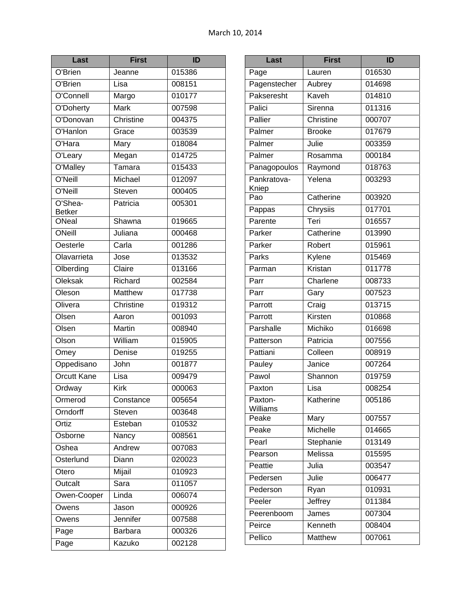| Last                     | <b>First</b> | ID     |
|--------------------------|--------------|--------|
| O'Brien                  | Jeanne       | 015386 |
| O'Brien                  | Lisa         | 008151 |
| O'Connell                | Margo        | 010177 |
| O'Doherty                | Mark         | 007598 |
| O'Donovan                | Christine    | 004375 |
| <b>O'Hanlon</b>          | Grace        | 003539 |
| O'Hara                   | Mary         | 018084 |
| O'Leary                  | Megan        | 014725 |
| O'Malley                 | Tamara       | 015433 |
| O'Neill                  | Michael      | 012097 |
| O'Neill                  | Steven       | 000405 |
| O'Shea-<br><b>Betker</b> | Patricia     | 005301 |
| ONeal                    | Shawna       | 019665 |
| ONeill                   | Juliana      | 000468 |
| Oesterle                 | Carla        | 001286 |
| Olavarrieta              | Jose         | 013532 |
| Olberding                | Claire       | 013166 |
| Oleksak                  | Richard      | 002584 |
| Oleson                   | Matthew      | 017738 |
| Olivera                  | Christine    | 019312 |
| Olsen                    | Aaron        | 001093 |
| Olsen                    | Martin       | 008940 |
| Olson                    | William      | 015905 |
| Omey                     | Denise       | 019255 |
| Oppedisano               | John         | 001877 |
| <b>Orcutt Kane</b>       | Lisa         | 009479 |
| Ordway                   | <b>Kirk</b>  | 000063 |
| Ormerod                  | Constance    | 005654 |
| Orndorff                 | Steven       | 003648 |
| Ortiz                    | Esteban      | 010532 |
| Osborne                  | Nancy        | 008561 |
| Oshea                    | Andrew       | 007083 |
| Osterlund                | Diann        | 020023 |
| Otero                    | Mijail       | 010923 |
| Outcalt                  | Sara         | 011057 |
| Owen-Cooper              | Linda        | 006074 |
| Owens                    | Jason        | 000926 |
| Owens                    | Jennifer     | 007588 |
| Page                     | Barbara      | 000326 |
| Page                     | Kazuko       | 002128 |

| Last                 | <b>First</b>        | ID     |
|----------------------|---------------------|--------|
| Page                 | Lauren              | 016530 |
| Pagenstecher         | Aubrey              | 014698 |
| Pakseresht           | Kaveh               | 014810 |
| Palici               | Sirenna             | 011316 |
| Pallier              | Christine           | 000707 |
| Palmer               | <b>Brooke</b>       | 017679 |
| Palmer               | Julie               | 003359 |
| Palmer               | Rosamma             | 000184 |
| Panagopoulos         | Raymond             | 018763 |
| Pankratova-<br>Kniep | Yelena              | 003293 |
| Pao                  | Catherine           | 003920 |
| Pappas               | Chrysiis            | 017701 |
| Parente              | Teri                | 016557 |
| Parker               | Catherine           | 013990 |
| Parker               | Robert              | 015961 |
| Parks                | Kylene              | 015469 |
| Parman               | Kristan             | 011778 |
| Parr                 | Charlene            | 008733 |
| Parr                 | Gary                | 007523 |
| Parrott              | $\overline{C}$ raig | 013715 |
| Parrott              | Kirsten             | 010868 |
| Parshalle            | Michiko             | 016698 |
| Patterson            | Patricia            | 007556 |
| Pattiani             | Colleen             | 008919 |
| Pauley               | Janice              | 007264 |
| Pawol                | Shannon             | 019759 |
| Paxton               | Lisa                | 008254 |
| Paxton-<br>Williams  | Katherine           | 005186 |
| Peake                | Mary                | 007557 |
| Peake                | Michelle            | 014665 |
| Pearl                | Stephanie           | 013149 |
| Pearson              | Melissa             | 015595 |
| Peattie              | Julia               | 003547 |
| Pedersen             | Julie               | 006477 |
| Pederson             | Ryan                | 010931 |
| Peeler               | Jeffrey             | 011384 |
| Peerenboom           | James               | 007304 |
| Peirce               | Kenneth             | 008404 |
| Pellico              | Matthew             | 007061 |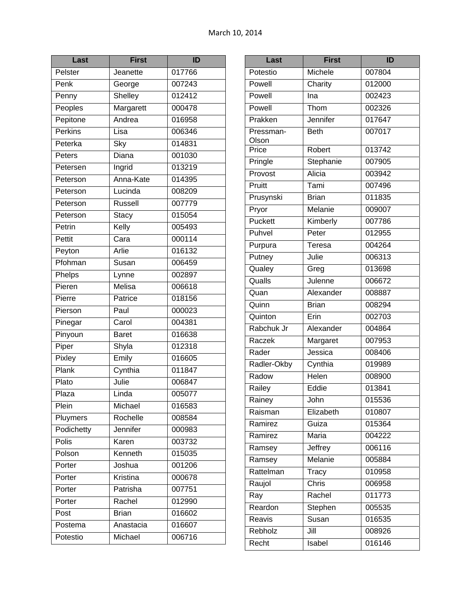| Last           | <b>First</b>                 | ID     |
|----------------|------------------------------|--------|
| Pelster        | Jeanette                     | 017766 |
| Penk           | George                       | 007243 |
| Penny          | Shelley                      | 012412 |
| Peoples        | Margarett                    | 000478 |
| Pepitone       | Andrea                       | 016958 |
| <b>Perkins</b> | Lisa                         | 006346 |
| Peterka        | Sky                          | 014831 |
| Peters         | Diana                        | 001030 |
| Petersen       | Ingrid                       | 013219 |
| Peterson       | Anna-Kate                    | 014395 |
| Peterson       | Lucinda                      | 008209 |
| Peterson       | <b>Russell</b>               | 007779 |
| Peterson       | <b>Stacy</b>                 | 015054 |
| Petrin         | Kelly                        | 005493 |
| Pettit         | Cara                         | 000114 |
| Peyton         | Arlie                        | 016132 |
| Pfohman        | Susan                        | 006459 |
| Phelps         | Lynne                        | 002897 |
| Pieren         | Melisa                       | 006618 |
| Pierre         | Patrice                      | 018156 |
| Pierson        | Paul                         | 000023 |
| Pinegar        | Carol                        | 004381 |
| Pinyoun        | <b>Baret</b>                 | 016638 |
| Piper          | Shyla                        | 012318 |
| Pixley         | Emily                        | 016605 |
| Plank          | Cynthia                      | 011847 |
| Plato          | $\overline{\mathsf{J}}$ ulie | 006847 |
| Plaza          | Linda                        | 005077 |
| Plein          | Michael                      | 016583 |
| Pluymers       | Rochelle                     | 008584 |
| Podichetty     | Jennifer                     | 000983 |
| Polis          | Karen                        | 003732 |
| Polson         | Kenneth                      | 015035 |
| Porter         | Joshua                       | 001206 |
| Porter         | Kristina                     | 000678 |
| Porter         | Patrisha                     | 007751 |
| Porter         | Rachel                       | 012990 |
| Post           | <b>Brian</b>                 | 016602 |
| Postema        | Anastacia                    | 016607 |
| Potestio       | Michael                      | 006716 |

| Last               | <b>First</b> | ID     |
|--------------------|--------------|--------|
| Potestio           | Michele      | 007804 |
| Powell             | Charity      | 012000 |
| Powell             | Ina          | 002423 |
| Powell             | Thom         | 002326 |
| Prakken            | Jennifer     | 017647 |
| Pressman-<br>Olson | <b>Beth</b>  | 007017 |
| Price              | Robert       | 013742 |
| Pringle            | Stephanie    | 007905 |
| Provost            | Alicia       | 003942 |
| Pruitt             | Tami         | 007496 |
| Prusynski          | <b>Brian</b> | 011835 |
| Pryor              | Melanie      | 009007 |
| Puckett            | Kimberly     | 007786 |
| Puhvel             | Peter        | 012955 |
| Purpura            | Teresa       | 004264 |
| Putney             | Julie        | 006313 |
| Qualey             | Greg         | 013698 |
| Qualls             | Julenne      | 006672 |
| Quan               | Alexander    | 008887 |
| Quinn              | <b>Brian</b> | 008294 |
| Quinton            | Erin         | 002703 |
| Rabchuk Jr         | Alexander    | 004864 |
| Raczek             | Margaret     | 007953 |
| Rader              | Jessica      | 008406 |
| Radler-Okby        | Cynthia      | 019989 |
| Radow              | Helen        | 008900 |
| Railey             | Eddie        | 013841 |
| Rainey             | John         | 015536 |
| Raisman            | Elizabeth    | 010807 |
| Ramirez            | Guiza        | 015364 |
| Ramirez            | Maria        | 004222 |
| Ramsey             | Jeffrey      | 006116 |
| Ramsey             | Melanie      | 005884 |
| Rattelman          | Tracy        | 010958 |
| Raujol             | Chris        | 006958 |
| Ray                | Rachel       | 011773 |
| Reardon            | Stephen      | 005535 |
| Reavis             | Susan        | 016535 |
| Rebholz            | Jill         | 008926 |
| Recht              | Isabel       | 016146 |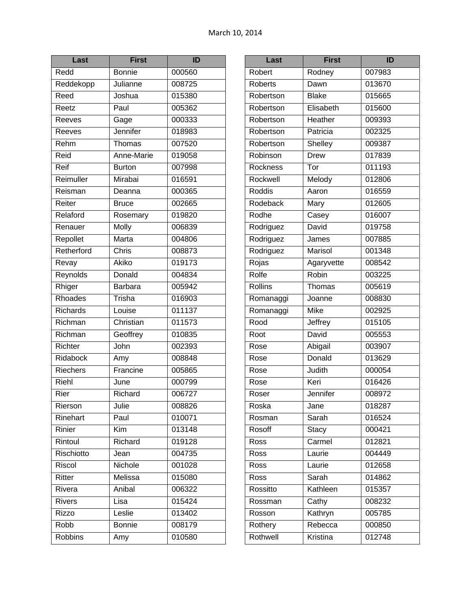| Last            | First                   | ID     |
|-----------------|-------------------------|--------|
| Redd            | <b>Bonnie</b>           | 000560 |
| Reddekopp       | Julianne                | 008725 |
| Reed            | Joshua                  | 015380 |
| Reetz           | Paul                    | 005362 |
| Reeves          | Gage                    | 000333 |
| Reeves          | Jennifer                | 018983 |
| Rehm            | Thomas                  | 007520 |
| Reid            | Anne-Marie              | 019058 |
| Reif            | <b>Burton</b>           | 007998 |
| Reimuller       | Mirabai                 | 016591 |
| Reisman         | Deanna                  | 000365 |
| Reiter          | <b>Bruce</b>            | 002665 |
| Relaford        | Rosemary                | 019820 |
| Renauer         | Molly                   | 006839 |
| Repollet        | Marta                   | 004806 |
| Retherford      | Chris                   | 008873 |
| Revay           | Akiko                   | 019173 |
| Reynolds        | Donald                  | 004834 |
| Rhiger          | <b>Barbara</b>          | 005942 |
| Rhoades         | Trisha                  | 016903 |
| <b>Richards</b> | Louise                  | 011137 |
| Richman         | Christian               | 011573 |
| Richman         | Geoffrey                | 010835 |
| Richter         | John                    | 002393 |
| Ridabock        | Amy                     | 008848 |
| Riechers        | Francine                | 005865 |
| Riehl           | June                    | 000799 |
| Rier            | Richard                 | 006727 |
| Rierson         | Julie                   | 008826 |
| Rinehart        | Paul                    | 010071 |
| Rinier          | $\overline{\text{Kim}}$ | 013148 |
| Rintoul         | Richard                 | 019128 |
| Rischiotto      | Jean                    | 004735 |
| Riscol          | Nichole                 | 001028 |
| Ritter          | Melissa                 | 015080 |
| Rivera          | Anibal                  | 006322 |
| <b>Rivers</b>   | Lisa                    | 015424 |
| <b>Rizzo</b>    | Leslie                  | 013402 |
| Robb            | <b>Bonnie</b>           | 008179 |
| Robbins         | Amy                     | 010580 |

| Last           | <b>First</b>   | ID     |
|----------------|----------------|--------|
| Robert         | Rodney         | 007983 |
| <b>Roberts</b> | Dawn           | 013670 |
| Robertson      | <b>Blake</b>   | 015665 |
| Robertson      | Elisabeth      | 015600 |
| Robertson      | Heather        | 009393 |
| Robertson      | Patricia       | 002325 |
| Robertson      | Shelley        | 009387 |
| Robinson       | <b>Drew</b>    | 017839 |
| Rockness       | Tor            | 011193 |
| Rockwell       | Melody         | 012806 |
| Roddis         | Aaron          | 016559 |
| Rodeback       | Mary           | 012605 |
| Rodhe          | Casey          | 016007 |
| Rodriguez      | David          | 019758 |
| Rodriguez      | James          | 007885 |
| Rodriguez      | <b>Marisol</b> | 001348 |
| Rojas          | Agaryvette     | 008542 |
| Rolfe          | Robin          | 003225 |
| Rollins        | <b>Thomas</b>  | 005619 |
| Romanaggi      | Joanne         | 008830 |
| Romanaggi      | <b>Mike</b>    | 002925 |
| Rood           | Jeffrey        | 015105 |
| Root           | David          | 005553 |
| Rose           | Abigail        | 003907 |
| Rose           | Donald         | 013629 |
| Rose           | Judith         | 000054 |
| Rose           | Keri           | 016426 |
| Roser          | Jennifer       | 008972 |
| Roska          | Jane           | 018287 |
| Rosman         | Sarah          | 016524 |
| Rosoff         | <b>Stacy</b>   | 000421 |
| Ross           | Carmel         | 012821 |
| Ross           | Laurie         | 004449 |
| Ross           | Laurie         | 012658 |
| Ross           | Sarah          | 014862 |
| Rossitto       | Kathleen       | 015357 |
| Rossman        | Cathy          | 008232 |
| Rosson         | Kathryn        | 005785 |
| Rothery        | Rebecca        | 000850 |
| Rothwell       | Kristina       | 012748 |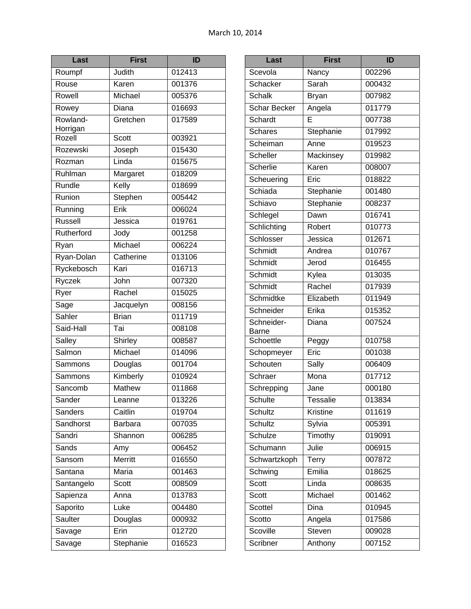| Last                 | <b>First</b>   | ID                  |
|----------------------|----------------|---------------------|
| Roumpf               | Judith         | 012413              |
| Rouse                | Karen          | 001376              |
| Rowell               | Michael        | 005376              |
| Rowey                | Diana          | 016693              |
| Rowland-<br>Horrigan | Gretchen       | 017589              |
| Rozell               | <b>Scott</b>   | 003921              |
| Rozewski             | Joseph         | 015430              |
| Rozman               | Linda          | 015675              |
| Ruhlman              | Margaret       | 018209              |
| Rundle               | Kelly          | 018699              |
| Runion               | Stephen        | 005442              |
| Running              | Erik           | 006024              |
| <b>Russell</b>       | Jessica        | 019761              |
| Rutherford           | Jody           | 001258              |
| Ryan                 | Michael        | 006224              |
| Ryan-Dolan           | Catherine      | 013106              |
| Ryckebosch           | Kari           | 016713              |
| Ryczek               | John           | 007320              |
| Ryer                 | Rachel         | 015025              |
| Sage                 | Jacquelyn      | 008156              |
| Sahler               | <b>Brian</b>   | $\overline{011719}$ |
| Said-Hall            | Tai            | 008108              |
| Salley               | Shirley        | 008587              |
| Salmon               | Michael        | $\overline{014096}$ |
| Sammons              | Douglas        | 001704              |
| Sammons              | Kimberly       | 010924              |
| Sancomb              | <b>Mathew</b>  | 011868              |
| Sander               | Leanne         | 013226              |
| <b>Sanders</b>       | Caitlin        | 019704              |
| Sandhorst            | Barbara        | 007035              |
| Sandri               | Shannon        | 006285              |
| Sands                | Amy            | 006452              |
| Sansom               | <b>Merritt</b> | 016550              |
| Santana              | Maria          | 001463              |
| Santangelo           | Scott          | 008509              |
| Sapienza             | Anna           | 013783              |
| Saporito             | Luke           | 004480              |
| Saulter              | Douglas        | 000932              |
| Savage               | Erin           | 012720              |
| Savage               | Stephanie      | 016523              |

| Last                | <b>First</b>    | ID     |
|---------------------|-----------------|--------|
| Scevola             | Nancy           | 002296 |
| Schacker            | Sarah           | 000432 |
| <b>Schalk</b>       | <b>Bryan</b>    | 007982 |
| <b>Schar Becker</b> | Angela          | 011779 |
| <b>Schardt</b>      | E               | 007738 |
| <b>Schares</b>      | Stephanie       | 017992 |
| Scheiman            | Anne            | 019523 |
| <b>Scheller</b>     | Mackinsey       | 019982 |
| Scherlie            | Karen           | 008007 |
| Scheuering          | Eric            | 018822 |
| Schiada             | Stephanie       | 001480 |
| Schiavo             | Stephanie       | 008237 |
| Schlegel            | Dawn            | 016741 |
| Schlichting         | Robert          | 010773 |
| Schlosser           | Jessica         | 012671 |
| Schmidt             | Andrea          | 010767 |
| Schmidt             | Jerod           | 016455 |
| Schmidt             | Kylea           | 013035 |
| Schmidt             | Rachel          | 017939 |
| Schmidtke           | Elizabeth       | 011949 |
| Schneider           | Erika           | 015352 |
| Schneider-<br>Barne | Diana           | 007524 |
| Schoettle           | Peggy           | 010758 |
| Schopmeyer          | Eric            | 001038 |
| Schouten            | Sally           | 006409 |
| Schraer             | Mona            | 017712 |
| Schrepping          | Jane            | 000180 |
| Schulte             | <b>Tessalie</b> | 013834 |
| Schultz             | Kristine        | 011619 |
| <b>Schultz</b>      | Sylvia          | 005391 |
| Schulze             | Timothy         | 019091 |
| Schumann            | Julie           | 006915 |
| Schwartzkoph        | Terry           | 007872 |
| Schwing             | Emilia          | 018625 |
| Scott               | Linda           | 008635 |
| Scott               | Michael         | 001462 |
| <b>Scottel</b>      | Dina            | 010945 |
| Scotto              | Angela          | 017586 |
| Scoville            | Steven          | 009028 |
| Scribner            | Anthony         | 007152 |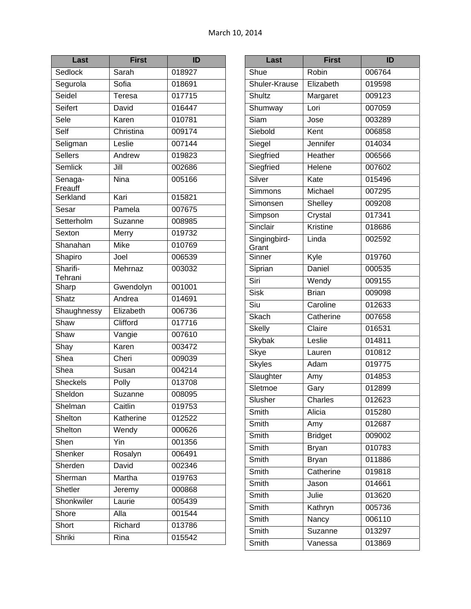| Last                | <b>First</b> | ID     |
|---------------------|--------------|--------|
| Sedlock             | Sarah        | 018927 |
| Segurola            | Sofia        | 018691 |
| Seidel              | Teresa       | 017715 |
| Seifert             | David        | 016447 |
| Sele                | Karen        | 010781 |
| Self                | Christina    | 009174 |
| Seligman            | Leslie       | 007144 |
| <b>Sellers</b>      | Andrew       | 019823 |
| <b>Semlick</b>      | Jill         | 002686 |
| Senaga-<br>Freauff  | Nina         | 005166 |
| Serkland            | Kari         | 015821 |
| Sesar               | Pamela       | 007675 |
| Setterholm          | Suzanne      | 008985 |
| Sexton              | Merry        | 019732 |
| Shanahan            | Mike         | 010769 |
| Shapiro             | Joel         | 006539 |
| Sharifi-<br>Tehrani | Mehrnaz      | 003032 |
| Sharp               | Gwendolyn    | 001001 |
| Shatz               | Andrea       | 014691 |
| Shaughnessy         | Elizabeth    | 006736 |
| Shaw                | Clifford     | 017716 |
| Shaw                | Vangie       | 007610 |
| Shay                | Karen        | 003472 |
| Shea                | Cheri        | 009039 |
| Shea                | Susan        | 004214 |
| <b>Sheckels</b>     | Polly        | 013708 |
| Sheldon             | Suzanne      | 008095 |
| Shelman             | Caitlin      | 019753 |
| Shelton             | Katherine    | 012522 |
| Shelton             | Wendy        | 000626 |
| Shen                | Yin          | 001356 |
| Shenker             | Rosalyn      | 006491 |
| Sherden             | David        | 002346 |
| Sherman             | Martha       | 019763 |
| Shetler             | Jeremy       | 000868 |
| Shonkwiler          | Laurie       | 005439 |
| Shore               | Alla         | 001544 |
| Short               | Richard      | 013786 |
| Shriki              | Rina         | 015542 |

| $\overline{\text{Last}}$    | <b>First</b>   | ID     |
|-----------------------------|----------------|--------|
| Shue                        | Robin          | 006764 |
| Shuler-Krause               | Elizabeth      | 019598 |
| Shultz                      | Margaret       | 009123 |
| Shumway                     | Lori           | 007059 |
| $\overline{\mathsf{S}}$ iam | Jose           | 003289 |
| Siebold                     | Kent           | 006858 |
| Siegel                      | Jennifer       | 014034 |
| Siegfried                   | Heather        | 006566 |
| Siegfried                   | Helene         | 007602 |
| Silver                      | Kate           | 015496 |
| Simmons                     | Michael        | 007295 |
| Simonsen                    | Shelley        | 009208 |
| Simpson                     | Crystal        | 017341 |
| Sinclair                    | Kristine       | 018686 |
| Singingbird-<br>Grant       | Linda          | 002592 |
| Sinner                      | Kyle           | 019760 |
| Siprian                     | Daniel         | 000535 |
| Siri                        | Wendy          | 009155 |
| <b>Sisk</b>                 | <b>Brian</b>   | 009098 |
| Siu                         | Caroline       | 012633 |
| Skach                       | Catherine      | 007658 |
| <b>Skelly</b>               | Claire         | 016531 |
| Skybak                      | Leslie         | 014811 |
| Skye                        | Lauren         | 010812 |
| <b>Skyles</b>               | Adam           | 019775 |
| Slaughter                   | Amy            | 014853 |
| Sletmoe                     | Gary           | 012899 |
| Slusher                     | Charles        | 012623 |
| Smith                       | Alicia         | 015280 |
| Smith                       | Amy            | 012687 |
| Smith                       | <b>Bridget</b> | 009002 |
| Smith                       | <b>Bryan</b>   | 010783 |
| <b>Smith</b>                | <b>Bryan</b>   | 011886 |
| Smith                       | Catherine      | 019818 |
| Smith                       | Jason          | 014661 |
| Smith                       | Julie          | 013620 |
| Smith                       | Kathryn        | 005736 |
| Smith                       | Nancy          | 006110 |
| Smith                       | Suzanne        | 013297 |
| Smith                       | Vanessa        | 013869 |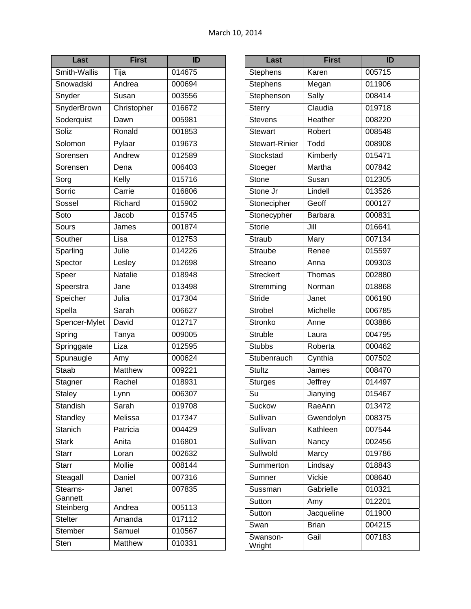| Last                | First          | ID                  |
|---------------------|----------------|---------------------|
| Smith-Wallis        | Tija           | 014675              |
| Snowadski           | Andrea         | 000694              |
| Snyder              | Susan          | 003556              |
| SnyderBrown         | Christopher    | 016672              |
| Soderquist          | Dawn           | 005981              |
| Soliz               | Ronald         | 001853              |
| Solomon             | Pylaar         | 019673              |
| Sorensen            | Andrew         | 012589              |
| Sorensen            | Dena           | 006403              |
| Sorg                | Kelly          | 015716              |
| Sorric              | Carrie         | 016806              |
| Sossel              | Richard        | 015902              |
| Soto                | Jacob          | 015745              |
| Sours               | James          | 001874              |
| Souther             | Lisa           | 012753              |
| Sparling            | Julie          | 014226              |
| Spector             | Lesley         | 012698              |
| Speer               | <b>Natalie</b> | 018948              |
| Speerstra           | Jane           | 013498              |
| Speicher            | Julia          | 017304              |
| Spella              | Sarah          | 006627              |
| Spencer-Mylet       | David          | $\overline{012717}$ |
| Spring              | Tanya          | 009005              |
| Springgate          | Liza           | 012595              |
| Spunaugle           | Amy            | 000624              |
| <b>Staab</b>        | <b>Matthew</b> | 009221              |
| Stagner             | Rachel         | 018931              |
| <b>Staley</b>       | Lynn           | 006307              |
| Standish            | Sarah          | 019708              |
| Standley            | Melissa        | 017347              |
| <b>Stanich</b>      | Patricia       | 004429              |
| <b>Stark</b>        | Anita          | 016801              |
| <b>Starr</b>        | Loran          | 002632              |
| <b>Starr</b>        | Mollie         | 008144              |
| Steagall            | Daniel         | 007316              |
| Stearns-<br>Gannett | Janet          | 007835              |
| Steinberg           | Andrea         | 005113              |
| <b>Stelter</b>      | Amanda         | 017112              |
| <b>Stember</b>      | Samuel         | 010567              |
| Sten                | Matthew        | 010331              |

| Last                              | <b>First</b> | ID     |
|-----------------------------------|--------------|--------|
| <b>Stephens</b>                   | Karen        | 005715 |
| Stephens                          | Megan        | 011906 |
| Stephenson                        | Sally        | 008414 |
| <b>Sterry</b>                     | Claudia      | 019718 |
| Stevens                           | Heather      | 008220 |
| <b>Stewart</b>                    | Robert       | 008548 |
| <b>Stewart-Rinier</b>             | Todd         | 008908 |
| Stockstad                         | Kimberly     | 015471 |
| Stoeger                           | Martha       | 007842 |
| Stone                             | Susan        | 012305 |
| Stone Jr                          | Lindell      | 013526 |
| Stonecipher                       | Geoff        | 000127 |
| Stonecypher                       | Barbara      | 000831 |
| <b>Storie</b>                     | Jill         | 016641 |
| Straub                            | Mary         | 007134 |
| <b>Straube</b>                    | Renee        | 015597 |
| Streano                           | Anna         | 009303 |
| <b>Streckert</b>                  | Thomas       | 002880 |
| Stremming                         | Norman       | 018868 |
| <b>Stride</b>                     | Janet        | 006190 |
| <b>Strobel</b>                    | Michelle     | 006785 |
| Stronko                           | Anne         | 003886 |
| <b>Struble</b>                    | Laura        | 004795 |
| <b>Stubbs</b>                     | Roberta      | 000462 |
| Stubenrauch                       | Cynthia      | 007502 |
| <b>Stultz</b>                     | James        | 008470 |
| <b>Sturges</b>                    | Jeffrey      | 014497 |
| $\overline{\mathsf{S}\mathsf{u}}$ | Jianying     | 015467 |
| <b>Suckow</b>                     | RaeAnn       | 013472 |
| Sullivan                          | Gwendolyn    | 008375 |
| Sullivan                          | Kathleen     | 007544 |
| Sullivan                          | Nancy        | 002456 |
| Sullwold                          | Marcy        | 019786 |
| Summerton                         | Lindsay      | 018843 |
| Sumner                            | Vickie       | 008640 |
| Sussman                           | Gabrielle    | 010321 |
| Sutton                            | Amy          | 012201 |
| Sutton                            | Jacqueline   | 011900 |
| Swan                              | <b>Brian</b> | 004215 |
| Swanson-<br>Wright                | Gail         | 007183 |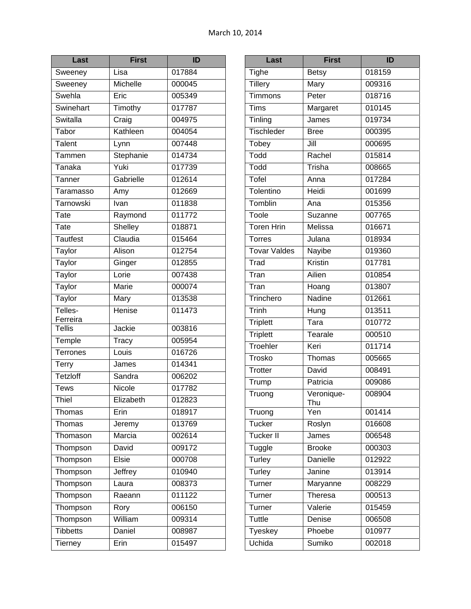| Last                | <b>First</b> | ID     |
|---------------------|--------------|--------|
| Sweeney             | Lisa         | 017884 |
| Sweeney             | Michelle     | 000045 |
| Swehla              | Eric         | 005349 |
| Swinehart           | Timothy      | 017787 |
| Switalla            | Craig        | 004975 |
| Tabor               | Kathleen     | 004054 |
| <b>Talent</b>       | Lynn         | 007448 |
| Tammen              | Stephanie    | 014734 |
| Tanaka              | Yuki         | 017739 |
| Tanner              | Gabrielle    | 012614 |
| Taramasso           | Amy          | 012669 |
| Tarnowski           | Ivan         | 011838 |
| Tate                | Raymond      | 011772 |
| <b>Tate</b>         | Shelley      | 018871 |
| Tautfest            | Claudia      | 015464 |
| Taylor              | Alison       | 012754 |
| Taylor              | Ginger       | 012855 |
| Taylor              | Lorie        | 007438 |
| Taylor              | <b>Marie</b> | 000074 |
| Taylor              | Mary         | 013538 |
| Telles-<br>Ferreira | Henise       | 011473 |
| <b>Tellis</b>       | Jackie       | 003816 |
| Temple              | Tracy        | 005954 |
| <b>Terrones</b>     | Louis        | 016726 |
| Terry               | James        | 014341 |
| <b>Tetzloff</b>     | Sandra       | 006202 |
| <b>Tews</b>         | Nicole       | 017782 |
| Thiel               | Elizabeth    | 012823 |
| Thomas              | Erin         | 018917 |
| Thomas              | Jeremy       | 013769 |
| Thomason            | Marcia       | 002614 |
| Thompson            | David        | 009172 |
| Thompson            | <b>Elsie</b> | 000708 |
| Thompson            | Jeffrey      | 010940 |
| Thompson            | Laura        | 008373 |
| Thompson            | Raeann       | 011122 |
| Thompson            | Rory         | 006150 |
| Thompson            | William      | 009314 |
| <b>Tibbetts</b>     | Daniel       | 008987 |
| <b>Tierney</b>      | Erin         | 015497 |

| Last                | <b>First</b>                | <b>ID</b> |
|---------------------|-----------------------------|-----------|
| <b>Tighe</b>        | <b>Betsy</b>                | 018159    |
| Tillery             | Mary                        | 009316    |
| Timmons             | Peter                       | 018716    |
| Tims                | Margaret                    | 010145    |
| Tinling             | $\overline{\mathsf{James}}$ | 019734    |
| Tischleder          | <b>Bree</b>                 | 000395    |
| Tobey               | Jill                        | 000695    |
| Todd                | Rachel                      | 015814    |
| Todd                | Trisha                      | 008665    |
| <b>Tofel</b>        | Anna                        | 017284    |
| Tolentino           | Heidi                       | 001699    |
| Tomblin             | Ana                         | 015356    |
| Toole               | Suzanne                     | 007765    |
| <b>Toren Hrin</b>   | Melissa                     | 016671    |
| <b>Torres</b>       | Julana                      | 018934    |
| <b>Tovar Valdes</b> | <b>Nayibe</b>               | 019360    |
| Trad                | Kristin                     | 017781    |
| Tran                | Ailien                      | 010854    |
| Tran                | Hoang                       | 013807    |
| Trinchero           | Nadine                      | 012661    |
| Trinh               | Hung                        | 013511    |
| <b>Triplett</b>     | $\overline{\mathsf{T}}$ ara | 010772    |
| <b>Triplett</b>     | Tearale                     | 000510    |
| Troehler            | Keri                        | 011714    |
| Trosko              | Thomas                      | 005665    |
| <b>Trotter</b>      | David                       | 008491    |
| Trump               | Patricia                    | 009086    |
| Truong              | Veronique-<br>Thu           | 008904    |
| Truong              | Yen                         | 001414    |
| <b>Tucker</b>       | Roslyn                      | 016608    |
| <b>Tucker II</b>    | James                       | 006548    |
| Tuggle              | <b>Brooke</b>               | 000303    |
| Turley              | <b>Danielle</b>             | 012922    |
| Turley              | Janine                      | 013914    |
| Turner              | Maryanne                    | 008229    |
| Turner              | <b>Theresa</b>              | 000513    |
| Turner              | Valerie                     | 015459    |
| <b>Tuttle</b>       | Denise                      | 006508    |
| <b>Tyeskey</b>      | Phoebe                      | 010977    |
| Uchida              | Sumiko                      | 002018    |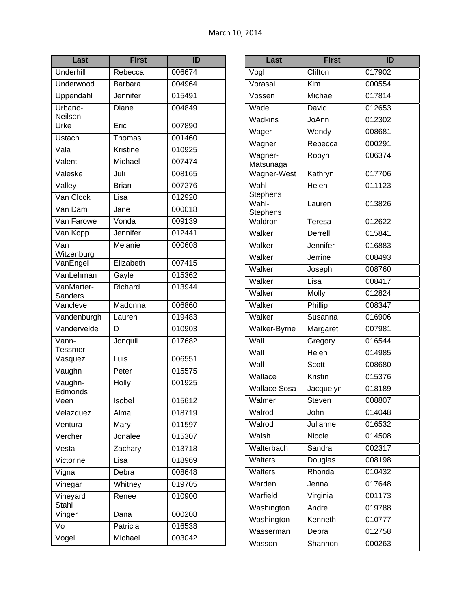| Last                  | <b>First</b>    | ID     |
|-----------------------|-----------------|--------|
| Underhill             | Rebecca         | 006674 |
| Underwood             | <b>Barbara</b>  | 004964 |
| Uppendahl             | Jennifer        | 015491 |
| Urbano-<br>Neilson    | Diane           | 004849 |
| Urke                  | Eric            | 007890 |
| Ustach                | Thomas          | 001460 |
| Vala                  | <b>Kristine</b> | 010925 |
| Valenti               | Michael         | 007474 |
| Valeske               | Juli            | 008165 |
| Valley                | <b>Brian</b>    | 007276 |
| Van Clock             | Lisa            | 012920 |
| Van Dam               | Jane            | 000018 |
| Van Farowe            | Vonda           | 009139 |
| Van Kopp              | Jennifer        | 012441 |
| Van<br>Witzenburg     | Melanie         | 000608 |
| VanEngel              | Elizabeth       | 007415 |
| VanLehman             | Gayle           | 015362 |
| VanMarter-<br>Sanders | Richard         | 013944 |
| Vancleve              | Madonna         | 006860 |
| Vandenburgh           | Lauren          | 019483 |
| Vandervelde           | D               | 010903 |
| Vann-<br>Tessmer      | Jonquil         | 017682 |
| Vasquez               | Luis            | 006551 |
| Vaughn                | Peter           | 015575 |
| Vaughn-<br>Edmonds    | Holly           | 001925 |
| Veen                  | Isobel          | 015612 |
| Velazquez             | Alma            | 018719 |
| Ventura               | Mary            | 011597 |
| Vercher               | Jonalee         | 015307 |
| Vestal                | Zachary         | 013718 |
| Victorine             | Lisa            | 018969 |
| Vigna                 | Debra           | 008648 |
| Vinegar               | Whitney         | 019705 |
| Vineyard<br>Stahl     | Renee           | 010900 |
| Vinger                | Dana            | 000208 |
| Vo                    | Patricia        | 016538 |
| Vogel                 | Michael         | 003042 |

| Last                 | <b>First</b> | ID     |
|----------------------|--------------|--------|
| Vogl                 | Clifton      | 017902 |
| Vorasai              | Kim          | 000554 |
| Vossen               | Michael      | 017814 |
| Wade                 | David        | 012653 |
| Wadkins              | JoAnn        | 012302 |
| Wager                | Wendy        | 008681 |
| Wagner               | Rebecca      | 000291 |
| Wagner-<br>Matsunaga | Robyn        | 006374 |
| Wagner-West          | Kathryn      | 017706 |
| Wahl-<br>Stephens    | Helen        | 011123 |
| Wahl-<br>Stephens    | Lauren       | 013826 |
| Waldron              | Teresa       | 012622 |
| Walker               | Derrell      | 015841 |
| Walker               | Jennifer     | 016883 |
| Walker               | Jerrine      | 008493 |
| Walker               | Joseph       | 008760 |
| Walker               | Lisa         | 008417 |
| Walker               | Molly        | 012824 |
| Walker               | Phillip      | 008347 |
| Walker               | Susanna      | 016906 |
| Walker-Byrne         | Margaret     | 007981 |
| Wall                 | Gregory      | 016544 |
| Wall                 | Helen        | 014985 |
| Wall                 | <b>Scott</b> | 008680 |
| Wallace              | Kristin      | 015376 |
| <b>Wallace Sosa</b>  | Jacquelyn    | 018189 |
| Walmer               | Steven       | 008807 |
| Walrod               | John         | 014048 |
| Walrod               | Julianne     | 016532 |
| Walsh                | Nicole       | 014508 |
| Walterbach           | Sandra       | 002317 |
| Walters              | Douglas      | 008198 |
| Walters              | Rhonda       | 010432 |
| Warden               | Jenna        | 017648 |
| Warfield             | Virginia     | 001173 |
| Washington           | Andre        | 019788 |
| Washington           | Kenneth      | 010777 |
| Wasserman            | Debra        | 012758 |
| Wasson               | Shannon      | 000263 |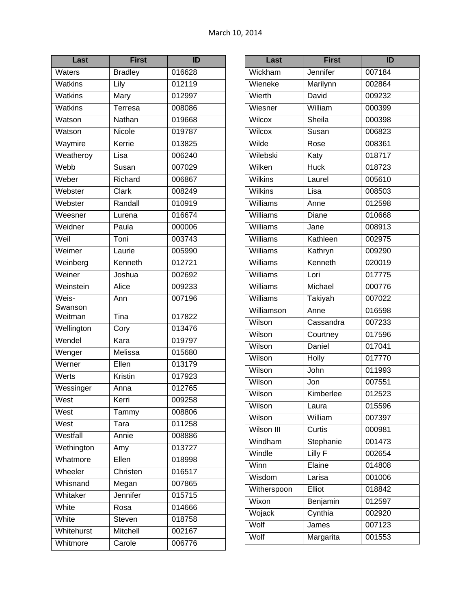| Last           | <b>First</b>                | ID               |
|----------------|-----------------------------|------------------|
| Waters         | <b>Bradley</b>              | 016628           |
| Watkins        | Lily                        | 012119           |
| <b>Watkins</b> | Mary                        | 012997           |
| <b>Watkins</b> | <b>Terresa</b>              | 008086           |
| Watson         | Nathan                      | 019668           |
| Watson         | Nicole                      | 019787           |
| Waymire        | Kerrie                      | 013825           |
| Weatheroy      | Lisa                        | 006240           |
| Webb           | Susan                       | 007029           |
| Weber          | Richard                     | 006867           |
| Webster        | Clark                       | 008249           |
| Webster        | Randall                     | 010919           |
| Weesner        | Lurena                      | 016674           |
| Weidner        | Paula                       | 000006           |
| Weil           | $\overline{\mathsf{T}}$ oni | 003743           |
| Weimer         | Laurie                      | 005990           |
| Weinberg       | Kenneth                     | 012721           |
| Weiner         | Joshua                      | 002692           |
| Weinstein      | Alice                       | 009233           |
| Weis-          | Ann                         | 007196           |
| Swanson        | Tina                        |                  |
| Weitman        |                             | 017822           |
| Wellington     | Cory                        | 013476           |
| Wendel         | Kara<br>Melissa             | 019797           |
| Wenger         |                             | 015680           |
| Werner         | Ellen                       | 013179           |
| Werts          | Kristin                     | 017923<br>012765 |
| Wessinger      | Anna                        |                  |
| West           | Kerri                       | 009258           |
| West           | Tammy                       | 008806           |
| West           | Tara                        | 011258           |
| Westfall       | Annie                       | 008886           |
| Wethington     | Amy                         | 013727           |
| Whatmore       | Ellen                       | 018998           |
| Wheeler        | Christen                    | 016517           |
| Whisnand       | Megan                       | 007865           |
| Whitaker       | Jennifer                    | 015715           |
| White          | Rosa                        | 014666           |
| White          | Steven                      | 018758           |
| Whitehurst     | Mitchell                    | 002167           |
| Whitmore       | Carole                      | 006776           |

| Last              | <b>First</b> | ID     |
|-------------------|--------------|--------|
| Wickham           | Jennifer     | 007184 |
| Wieneke           | Marilynn     | 002864 |
| Wierth            | David        | 009232 |
| Wiesner           | William      | 000399 |
| Wilcox            | Sheila       | 000398 |
| Wilcox            | Susan        | 006823 |
| Wilde             | Rose         | 008361 |
| Wilebski          | Katy         | 018717 |
| Wilken            | <b>Huck</b>  | 018723 |
| <b>Wilkins</b>    | Laurel       | 005610 |
| <b>Wilkins</b>    | Lisa         | 008503 |
| Williams          | Anne         | 012598 |
| Williams          | Diane        | 010668 |
| Williams          | Jane         | 008913 |
| Williams          | Kathleen     | 002975 |
| Williams          | Kathryn      | 009290 |
| Williams          | Kenneth      | 020019 |
| Williams          | Lori         | 017775 |
| <b>Williams</b>   | Michael      | 000776 |
| Williams          | Takiyah      | 007022 |
| Williamson        | Anne         | 016598 |
| Wilson            | Cassandra    | 007233 |
| Wilson            | Courtney     | 017596 |
| Wilson            | Daniel       | 017041 |
| Wilson            | <b>Holly</b> | 017770 |
| Wilson            | John         | 011993 |
| Wilson            | Jon          | 007551 |
| Wilson            | Kimberlee    | 012523 |
| Wilson            | Laura        | 015596 |
| Wilson            | William      | 007397 |
| <b>Wilson III</b> | Curtis       | 000981 |
| Windham           | Stephanie    | 001473 |
| Windle            | Lilly F      | 002654 |
| Winn              | Elaine       | 014808 |
| Wisdom            | Larisa       | 001006 |
| Witherspoon       | Elliot       | 018842 |
| Wixon             | Benjamin     | 012597 |
| Wojack            | Cynthia      | 002920 |
| Wolf              | James        | 007123 |
| Wolf              | Margarita    | 001553 |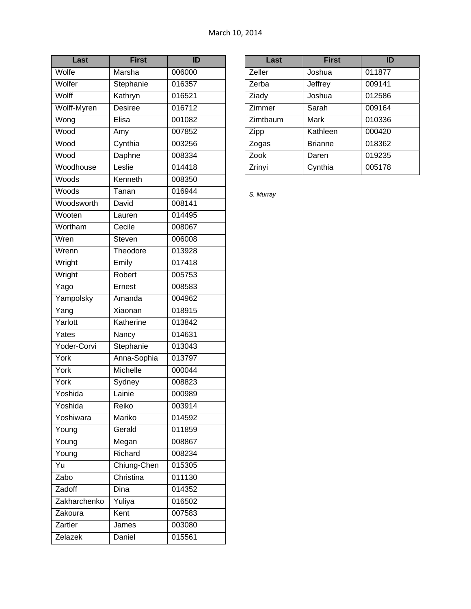| Last         | <b>First</b>   | ID     |
|--------------|----------------|--------|
| Wolfe        | Marsha         | 006000 |
| Wolfer       | Stephanie      | 016357 |
| Wolff        | Kathryn        | 016521 |
| Wolff-Myren  | <b>Desiree</b> | 016712 |
| Wong         | Elisa          | 001082 |
| Wood         | Amy            | 007852 |
| Wood         | Cynthia        | 003256 |
| Wood         | Daphne         | 008334 |
| Woodhouse    | Leslie         | 014418 |
| Woods        | Kenneth        | 008350 |
| Woods        | Tanan          | 016944 |
| Woodsworth   | David          | 008141 |
| Wooten       | Lauren         | 014495 |
| Wortham      | Cecile         | 008067 |
| Wren         | Steven         | 006008 |
| Wrenn        | Theodore       | 013928 |
| Wright       | Emily          | 017418 |
| Wright       | Robert         | 005753 |
| Yago         | Ernest         | 008583 |
| Yampolsky    | Amanda         | 004962 |
| Yang         | Xiaonan        | 018915 |
| Yarlott      | Katherine      | 013842 |
| Yates        | Nancy          | 014631 |
| Yoder-Corvi  | Stephanie      | 013043 |
| York         | Anna-Sophia    | 013797 |
| York         | Michelle       | 000044 |
| York         | Sydney         | 008823 |
| Yoshida      | Lainie         | 000989 |
| Yoshida      | Reiko          | 003914 |
| Yoshiwara    | Mariko         | 014592 |
| Young        | Gerald         | 011859 |
| Young        | Megan          | 008867 |
| Young        | Richard        | 008234 |
| Yu           | Chiung-Chen    | 015305 |
| Zabo         | Christina      | 011130 |
| Zadoff       | Dina           | 014352 |
| Zakharchenko | Yuliya         | 016502 |
| Zakoura      | Kent           | 007583 |
| Zartler      | James          | 003080 |
| Zelazek      | Daniel         | 015561 |

| Last     | <b>First</b>   | ID     |
|----------|----------------|--------|
| Zeller   | Joshua         | 011877 |
| Zerba    | Jeffrey        | 009141 |
| Ziady    | Joshua         | 012586 |
| Zimmer   | Sarah          | 009164 |
| Zimtbaum | Mark           | 010336 |
| Zipp     | Kathleen       | 000420 |
| Zogas    | <b>Brianne</b> | 018362 |
| Zook     | Daren          | 019235 |
| Zrinyi   | Cynthia        | 005178 |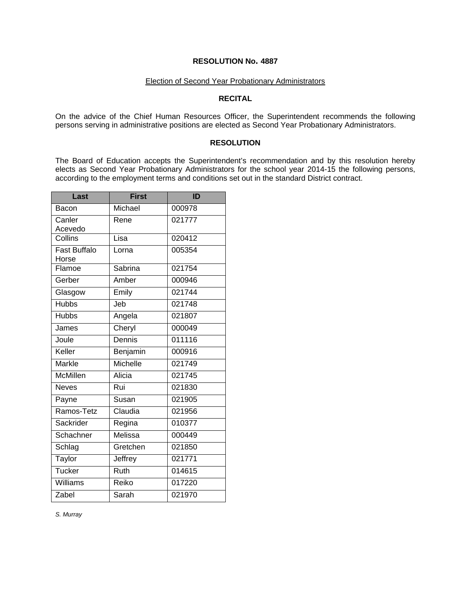# Election of Second Year Probationary Administrators

# **RECITAL**

On the advice of the Chief Human Resources Officer, the Superintendent recommends the following persons serving in administrative positions are elected as Second Year Probationary Administrators.

### **RESOLUTION**

The Board of Education accepts the Superintendent's recommendation and by this resolution hereby elects as Second Year Probationary Administrators for the school year 2014-15 the following persons, according to the employment terms and conditions set out in the standard District contract.

| Last                         | <b>First</b> | ID     |
|------------------------------|--------------|--------|
| Bacon                        | Michael      | 000978 |
| Canler<br>Acevedo            | Rene         | 021777 |
| Collins                      | Lisa         | 020412 |
| <b>Fast Buffalo</b><br>Horse | Lorna        | 005354 |
| Flamoe                       | Sabrina      | 021754 |
| Gerber                       | Amber        | 000946 |
| Glasgow                      | Emily        | 021744 |
| <b>Hubbs</b>                 | Jeb          | 021748 |
| <b>Hubbs</b>                 | Angela       | 021807 |
| James                        | Cheryl       | 000049 |
| Joule                        | Dennis       | 011116 |
| Keller                       | Benjamin     | 000916 |
| <b>Markle</b>                | Michelle     | 021749 |
| McMillen                     | Alicia       | 021745 |
| <b>Neves</b>                 | Rui          | 021830 |
| Payne                        | Susan        | 021905 |
| Ramos-Tetz                   | Claudia      | 021956 |
| Sackrider                    | Regina       | 010377 |
| Schachner                    | Melissa      | 000449 |
| Schlag                       | Gretchen     | 021850 |
| Taylor                       | Jeffrey      | 021771 |
| Tucker                       | Ruth         | 014615 |
| Williams                     | Reiko        | 017220 |
| Zabel                        | Sarah        | 021970 |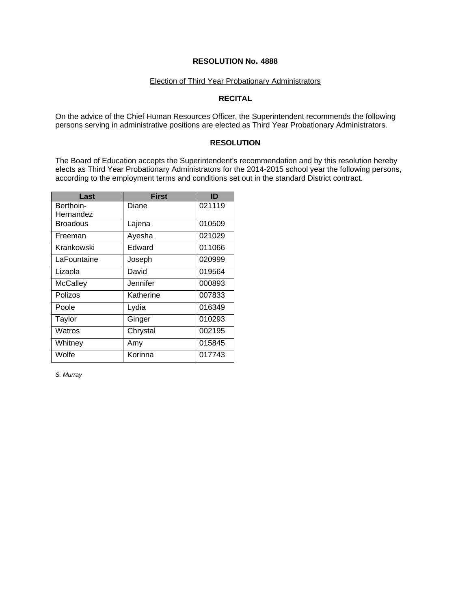#### Election of Third Year Probationary Administrators

# **RECITAL**

On the advice of the Chief Human Resources Officer, the Superintendent recommends the following persons serving in administrative positions are elected as Third Year Probationary Administrators.

### **RESOLUTION**

The Board of Education accepts the Superintendent's recommendation and by this resolution hereby elects as Third Year Probationary Administrators for the 2014-2015 school year the following persons, according to the employment terms and conditions set out in the standard District contract.

| Last                   | <b>First</b> | ID     |
|------------------------|--------------|--------|
| Berthoin-<br>Hernandez | Diane        | 021119 |
| <b>Broadous</b>        | Lajena       | 010509 |
| Freeman                | Ayesha       | 021029 |
| Krankowski             | Edward       | 011066 |
| LaFountaine            | Joseph       | 020999 |
| Lizaola                | David        | 019564 |
| <b>McCalley</b>        | Jennifer     | 000893 |
| Polizos                | Katherine    | 007833 |
| Poole                  | Lydia        | 016349 |
| Taylor                 | Ginger       | 010293 |
| Watros                 | Chrystal     | 002195 |
| Whitney                | Amy          | 015845 |
| Wolfe                  | Korinna      | 017743 |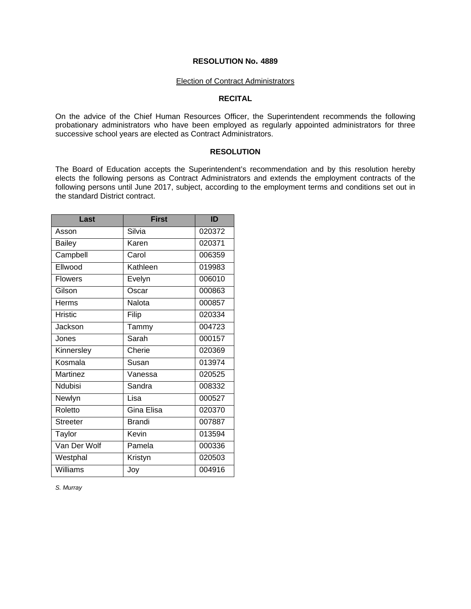#### Election of Contract Administrators

#### **RECITAL**

On the advice of the Chief Human Resources Officer, the Superintendent recommends the following probationary administrators who have been employed as regularly appointed administrators for three successive school years are elected as Contract Administrators.

### **RESOLUTION**

The Board of Education accepts the Superintendent's recommendation and by this resolution hereby elects the following persons as Contract Administrators and extends the employment contracts of the following persons until June 2017, subject, according to the employment terms and conditions set out in the standard District contract.

| Last            | <b>First</b>  | ID     |
|-----------------|---------------|--------|
| Asson           | Silvia        | 020372 |
| <b>Bailey</b>   | Karen         | 020371 |
| Campbell        | Carol         | 006359 |
| Ellwood         | Kathleen      | 019983 |
| <b>Flowers</b>  | Evelyn        | 006010 |
| Gilson          | Oscar         | 000863 |
| Herms           | Nalota        | 000857 |
| <b>Hristic</b>  | Filip         | 020334 |
| Jackson         | Tammy         | 004723 |
| Jones           | Sarah         | 000157 |
| Kinnersley      | Cherie        | 020369 |
| Kosmala         | Susan         | 013974 |
| Martinez        | Vanessa       | 020525 |
| Ndubisi         | Sandra        | 008332 |
| Newlyn          | Lisa          | 000527 |
| Roletto         | Gina Elisa    | 020370 |
| <b>Streeter</b> | <b>Brandi</b> | 007887 |
| Taylor          | Kevin         | 013594 |
| Van Der Wolf    | Pamela        | 000336 |
| Westphal        | Kristyn       | 020503 |
| Williams        | Joy           | 004916 |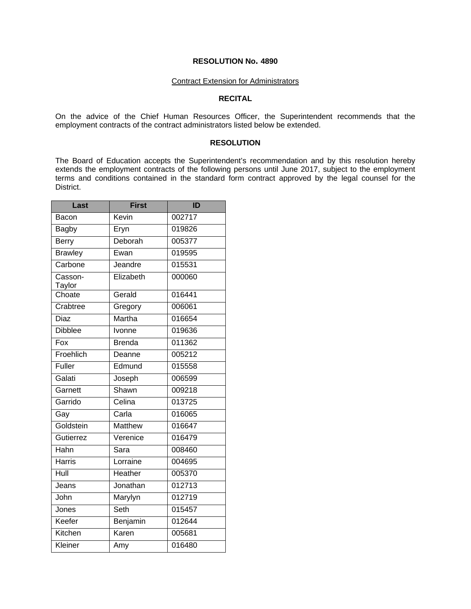#### Contract Extension for Administrators

# **RECITAL**

On the advice of the Chief Human Resources Officer, the Superintendent recommends that the employment contracts of the contract administrators listed below be extended.

#### **RESOLUTION**

The Board of Education accepts the Superintendent's recommendation and by this resolution hereby extends the employment contracts of the following persons until June 2017, subject to the employment terms and conditions contained in the standard form contract approved by the legal counsel for the District.

| Last              | <b>First</b>   | ID     |
|-------------------|----------------|--------|
| Bacon             | Kevin          | 002717 |
| <b>Bagby</b>      | Eryn           | 019826 |
| Berry             | Deborah        | 005377 |
| <b>Brawley</b>    | Ewan           | 019595 |
| Carbone           | Jeandre        | 015531 |
| Casson-<br>Taylor | Elizabeth      | 000060 |
| Choate            | Gerald         | 016441 |
| Crabtree          | Gregory        | 006061 |
| Diaz              | Martha         | 016654 |
| <b>Dibblee</b>    | Ivonne         | 019636 |
| Fox               | <b>Brenda</b>  | 011362 |
| Froehlich         | Deanne         | 005212 |
| Fuller            | Edmund         | 015558 |
| Galati            | Joseph         | 006599 |
| Garnett           | Shawn          | 009218 |
| Garrido           | Celina         | 013725 |
| Gay               | Carla          | 016065 |
| Goldstein         | <b>Matthew</b> | 016647 |
| Gutierrez         | Verenice       | 016479 |
| Hahn              | Sara           | 008460 |
| Harris            | Lorraine       | 004695 |
| Hull              | Heather        | 005370 |
| Jeans             | Jonathan       | 012713 |
| John              | Marylyn        | 012719 |
| Jones             | Seth           | 015457 |
| Keefer            | Benjamin       | 012644 |
| Kitchen           | Karen          | 005681 |
| Kleiner           | Amy            | 016480 |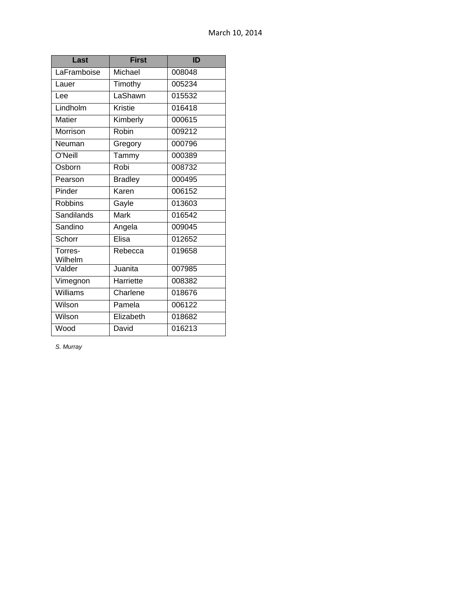| Last               | <b>First</b>   | ID     |
|--------------------|----------------|--------|
| LaFramboise        | Michael        | 008048 |
| Lauer              | Timothy        | 005234 |
| Lee                | LaShawn        | 015532 |
| Lindholm           | Kristie        | 016418 |
| <b>Matier</b>      | Kimberly       | 000615 |
| Morrison           | Robin          | 009212 |
| Neuman             | Gregory        | 000796 |
| O'Neill            | Tammy          | 000389 |
| Osborn             | Robi           | 008732 |
| Pearson            | <b>Bradley</b> | 000495 |
| Pinder             | Karen          | 006152 |
| <b>Robbins</b>     | Gayle          | 013603 |
| Sandilands         | <b>Mark</b>    | 016542 |
| Sandino            | Angela         | 009045 |
| Schorr             | Elisa          | 012652 |
| Torres-<br>Wilhelm | Rebecca        | 019658 |
| Valder             | Juanita        | 007985 |
| Vimegnon           | Harriette      | 008382 |
| Williams           | Charlene       | 018676 |
| Wilson             | Pamela         | 006122 |
| Wilson             | Elizabeth      | 018682 |
| Wood               | David          | 016213 |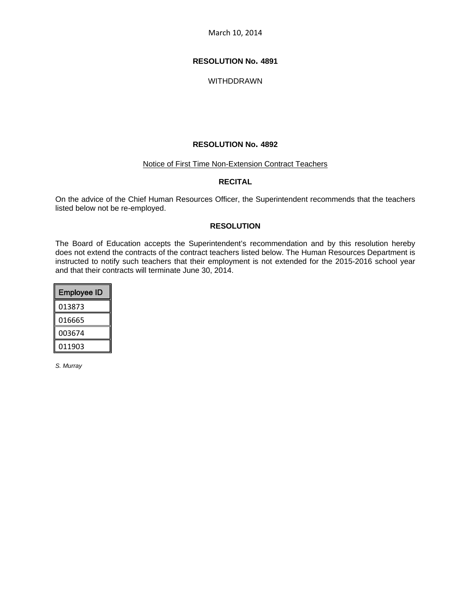# **RESOLUTION No. 4891**

WITHDDRAWN

### **RESOLUTION No. 4892**

#### Notice of First Time Non-Extension Contract Teachers

# **RECITAL**

On the advice of the Chief Human Resources Officer, the Superintendent recommends that the teachers listed below not be re-employed.

## **RESOLUTION**

The Board of Education accepts the Superintendent's recommendation and by this resolution hereby does not extend the contracts of the contract teachers listed below. The Human Resources Department is instructed to notify such teachers that their employment is not extended for the 2015-2016 school year and that their contracts will terminate June 30, 2014.

| <b>Employee ID</b> |
|--------------------|
| 013873             |
| 016665             |
| 003674             |
| 011903             |
|                    |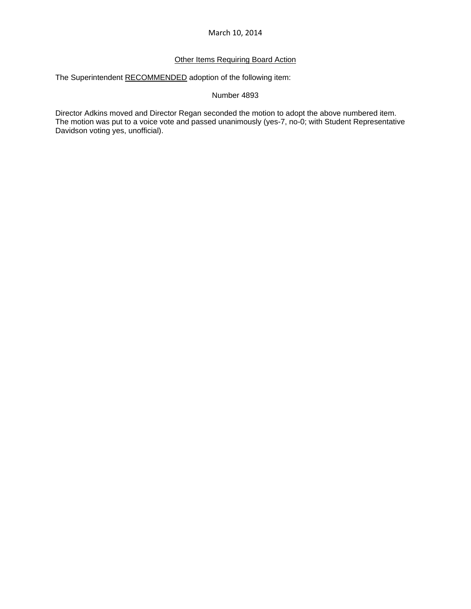# **Other Items Requiring Board Action**

The Superintendent RECOMMENDED adoption of the following item:

## Number 4893

Director Adkins moved and Director Regan seconded the motion to adopt the above numbered item. The motion was put to a voice vote and passed unanimously (yes-7, no-0; with Student Representative Davidson voting yes, unofficial).